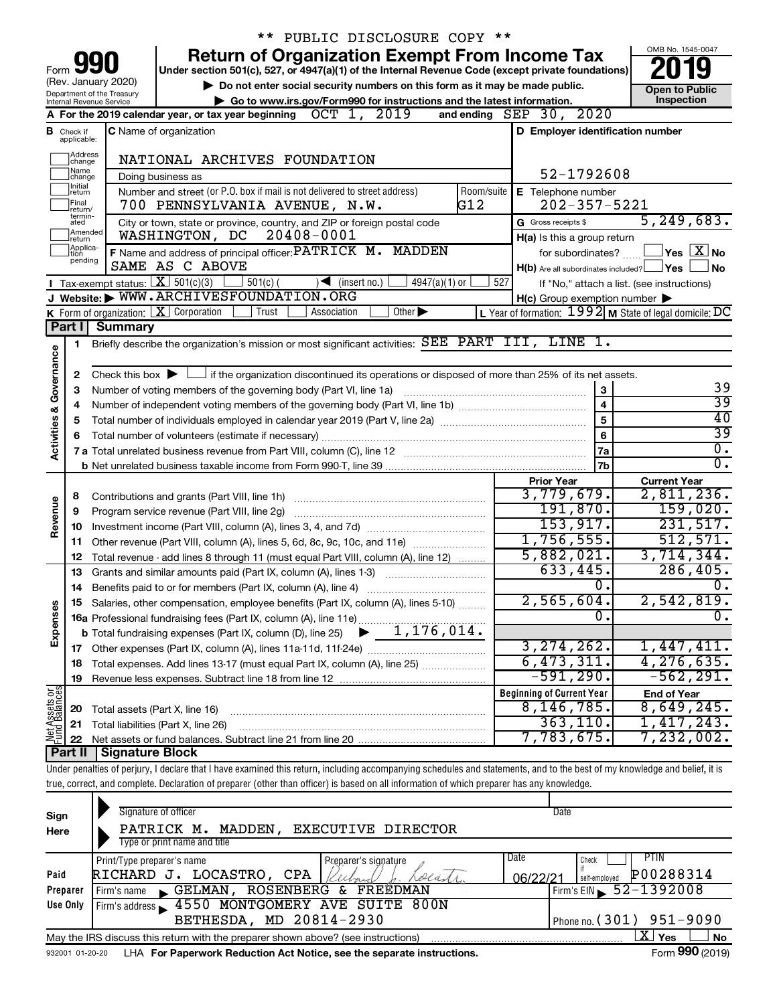|                         |                                                                                                                                            |                                                                                                                                                         |                                                                                                                |                                                                                                    |                                                                        | ** PUBLIC DISCLOSURE COPY ** |                                   |  |                             |                 |     |                                  |                                 |                                                     |                                                                                                                                                                            |
|-------------------------|--------------------------------------------------------------------------------------------------------------------------------------------|---------------------------------------------------------------------------------------------------------------------------------------------------------|----------------------------------------------------------------------------------------------------------------|----------------------------------------------------------------------------------------------------|------------------------------------------------------------------------|------------------------------|-----------------------------------|--|-----------------------------|-----------------|-----|----------------------------------|---------------------------------|-----------------------------------------------------|----------------------------------------------------------------------------------------------------------------------------------------------------------------------------|
|                         |                                                                                                                                            |                                                                                                                                                         |                                                                                                                | <b>Return of Organization Exempt From Income Tax</b>                                               |                                                                        |                              |                                   |  |                             |                 |     |                                  |                                 |                                                     | OMB No. 1545-0047                                                                                                                                                          |
| Form                    |                                                                                                                                            |                                                                                                                                                         |                                                                                                                | Under section 501(c), 527, or 4947(a)(1) of the Internal Revenue Code (except private foundations) |                                                                        |                              |                                   |  |                             |                 |     |                                  |                                 |                                                     |                                                                                                                                                                            |
|                         |                                                                                                                                            | (Rev. January 2020)                                                                                                                                     |                                                                                                                | Do not enter social security numbers on this form as it may be made public.                        |                                                                        |                              |                                   |  |                             |                 |     |                                  |                                 |                                                     | <b>Open to Public</b>                                                                                                                                                      |
|                         |                                                                                                                                            | Department of the Treasury<br>Internal Revenue Service                                                                                                  |                                                                                                                |                                                                                                    | Go to www.irs.gov/Form990 for instructions and the latest information. |                              |                                   |  |                             |                 |     |                                  |                                 |                                                     | Inspection                                                                                                                                                                 |
|                         |                                                                                                                                            | A For the 2019 calendar year, or tax year beginning $OCT$ $1$ , $2019$                                                                                  |                                                                                                                |                                                                                                    |                                                                        |                              |                                   |  |                             |                 |     | and ending $SEP$ 30, $2020$      |                                 |                                                     |                                                                                                                                                                            |
| в                       | Check if                                                                                                                                   |                                                                                                                                                         | <b>C</b> Name of organization                                                                                  |                                                                                                    |                                                                        |                              |                                   |  |                             |                 |     |                                  |                                 |                                                     | D Employer identification number                                                                                                                                           |
|                         | applicable:                                                                                                                                |                                                                                                                                                         |                                                                                                                |                                                                                                    |                                                                        |                              |                                   |  |                             |                 |     |                                  |                                 |                                                     |                                                                                                                                                                            |
|                         | Address<br> change                                                                                                                         |                                                                                                                                                         |                                                                                                                | NATIONAL ARCHIVES FOUNDATION                                                                       |                                                                        |                              |                                   |  |                             |                 |     |                                  |                                 |                                                     |                                                                                                                                                                            |
|                         | Name<br>52-1792608<br>Doing business as<br>change<br>Initial<br>Number and street (or P.O. box if mail is not delivered to street address) |                                                                                                                                                         |                                                                                                                |                                                                                                    |                                                                        |                              |                                   |  |                             |                 |     |                                  |                                 |                                                     |                                                                                                                                                                            |
|                         | return<br>Final                                                                                                                            |                                                                                                                                                         |                                                                                                                |                                                                                                    |                                                                        |                              |                                   |  |                             | Room/suite      |     |                                  |                                 | E Telephone number                                  |                                                                                                                                                                            |
|                         | return/<br>termin-                                                                                                                         |                                                                                                                                                         |                                                                                                                | 700 PENNSYLVANIA AVENUE, N.W.                                                                      |                                                                        |                              |                                   |  |                             | G12             |     |                                  |                                 | $202 - 357 - 5221$                                  | 5, 249, 683.                                                                                                                                                               |
|                         | ated<br>Amended                                                                                                                            |                                                                                                                                                         |                                                                                                                | City or town, state or province, country, and ZIP or foreign postal code<br>WASHINGTON, DC         |                                                                        | $20408 - 0001$               |                                   |  |                             |                 |     | G Gross receipts \$              |                                 |                                                     |                                                                                                                                                                            |
|                         | Írëturn<br>Applica-                                                                                                                        |                                                                                                                                                         |                                                                                                                | F Name and address of principal officer: PATRICK M. MADDEN                                         |                                                                        |                              |                                   |  |                             |                 |     |                                  |                                 | H(a) Is this a group return<br>for subordinates?    | $ {\mathsf Y}\mathsf{es}\ \boxed{{\mathsf X}}$ No                                                                                                                          |
|                         | tion<br>pending                                                                                                                            |                                                                                                                                                         | SAME AS C ABOVE                                                                                                |                                                                                                    |                                                                        |                              |                                   |  |                             |                 |     |                                  |                                 |                                                     | H(b) Are all subordinates included? <b>Yes</b><br>No                                                                                                                       |
|                         |                                                                                                                                            | <b>I</b> Tax-exempt status: $\boxed{\mathbf{X}}$ 501(c)(3)                                                                                              |                                                                                                                |                                                                                                    | $\frac{1}{2}$ 501(c) (                                                 |                              | $\sqrt{\frac{1}{1}}$ (insert no.) |  | $4947(a)(1)$ or             |                 | 527 |                                  |                                 |                                                     | If "No," attach a list. (see instructions)                                                                                                                                 |
|                         |                                                                                                                                            | J Website: WWW.ARCHIVESFOUNDATION.ORG                                                                                                                   |                                                                                                                |                                                                                                    |                                                                        |                              |                                   |  |                             |                 |     |                                  |                                 | $H(c)$ Group exemption number $\blacktriangleright$ |                                                                                                                                                                            |
|                         |                                                                                                                                            | <b>K</b> Form of organization: $\boxed{\mathbf{X}}$ Corporation                                                                                         |                                                                                                                |                                                                                                    | Trust                                                                  | Association                  |                                   |  | Other $\blacktriangleright$ |                 |     |                                  |                                 |                                                     | L Year of formation: $1992$ M State of legal domicile: DC                                                                                                                  |
|                         | Part I                                                                                                                                     | <b>Summary</b>                                                                                                                                          |                                                                                                                |                                                                                                    |                                                                        |                              |                                   |  |                             |                 |     |                                  |                                 |                                                     |                                                                                                                                                                            |
|                         | 1.                                                                                                                                         | Briefly describe the organization's mission or most significant activities: SEE PART III, LINE 1.                                                       |                                                                                                                |                                                                                                    |                                                                        |                              |                                   |  |                             |                 |     |                                  |                                 |                                                     |                                                                                                                                                                            |
| Governance              |                                                                                                                                            |                                                                                                                                                         |                                                                                                                |                                                                                                    |                                                                        |                              |                                   |  |                             |                 |     |                                  |                                 |                                                     |                                                                                                                                                                            |
|                         | 2                                                                                                                                          | Check this box $\blacktriangleright$ $\Box$ if the organization discontinued its operations or disposed of more than 25% of its net assets.             |                                                                                                                |                                                                                                    |                                                                        |                              |                                   |  |                             |                 |     |                                  |                                 |                                                     |                                                                                                                                                                            |
|                         | З                                                                                                                                          | Number of voting members of the governing body (Part VI, line 1a)                                                                                       |                                                                                                                |                                                                                                    |                                                                        |                              |                                   |  |                             |                 |     |                                  |                                 | 3                                                   | 39                                                                                                                                                                         |
|                         | 4                                                                                                                                          |                                                                                                                                                         |                                                                                                                |                                                                                                    |                                                                        |                              |                                   |  |                             |                 |     |                                  |                                 | $\overline{\mathbf{4}}$                             | 39                                                                                                                                                                         |
|                         | 5                                                                                                                                          |                                                                                                                                                         |                                                                                                                |                                                                                                    |                                                                        |                              |                                   |  |                             |                 |     |                                  |                                 | 5                                                   | 40                                                                                                                                                                         |
| <b>Activities &amp;</b> |                                                                                                                                            |                                                                                                                                                         | 7 a Total unrelated business revenue from Part VIII, column (C), line 12 [11] [2] [11] [12] [11] [12] [11] [12 |                                                                                                    |                                                                        |                              |                                   |  | 6                           | $\overline{39}$ |     |                                  |                                 |                                                     |                                                                                                                                                                            |
|                         |                                                                                                                                            |                                                                                                                                                         |                                                                                                                |                                                                                                    |                                                                        |                              |                                   |  |                             |                 |     |                                  |                                 | 7a                                                  | $\overline{0}$ .<br>$\overline{0}$ .                                                                                                                                       |
|                         |                                                                                                                                            |                                                                                                                                                         |                                                                                                                |                                                                                                    |                                                                        |                              |                                   |  |                             |                 |     |                                  |                                 | 7b                                                  |                                                                                                                                                                            |
|                         |                                                                                                                                            |                                                                                                                                                         |                                                                                                                |                                                                                                    |                                                                        |                              |                                   |  |                             |                 |     |                                  | <b>Prior Year</b><br>3,779,679. |                                                     | <b>Current Year</b><br>2,811,236.                                                                                                                                          |
| Revenue                 | 8<br>9                                                                                                                                     | Contributions and grants (Part VIII, line 1h)<br>Program service revenue (Part VIII, line 2g)                                                           |                                                                                                                |                                                                                                    |                                                                        |                              |                                   |  |                             |                 |     |                                  | 191,870.                        |                                                     | 159,020.                                                                                                                                                                   |
|                         | 10                                                                                                                                         |                                                                                                                                                         |                                                                                                                |                                                                                                    |                                                                        |                              |                                   |  |                             |                 |     |                                  | 153, 917.                       |                                                     | 231,517.                                                                                                                                                                   |
|                         |                                                                                                                                            | 11 Other revenue (Part VIII, column (A), lines 5, 6d, 8c, 9c, 10c, and 11e)                                                                             |                                                                                                                |                                                                                                    |                                                                        |                              |                                   |  |                             |                 |     |                                  | 1,756,555.                      |                                                     | 512,571.                                                                                                                                                                   |
|                         | 12                                                                                                                                         | Total revenue - add lines 8 through 11 (must equal Part VIII, column (A), line 12)                                                                      |                                                                                                                |                                                                                                    |                                                                        |                              |                                   |  |                             |                 |     |                                  | 5,882,021.                      |                                                     | 3,714,344.                                                                                                                                                                 |
|                         | 13                                                                                                                                         | Grants and similar amounts paid (Part IX, column (A), lines 1-3)                                                                                        |                                                                                                                |                                                                                                    |                                                                        |                              |                                   |  |                             |                 |     |                                  | 633,445.                        |                                                     | 286, 405.                                                                                                                                                                  |
|                         | 14                                                                                                                                         | Benefits paid to or for members (Part IX, column (A), line 4)                                                                                           |                                                                                                                |                                                                                                    |                                                                        |                              |                                   |  |                             |                 |     |                                  |                                 | о.                                                  | $\overline{0}$ .                                                                                                                                                           |
|                         |                                                                                                                                            | 15 Salaries, other compensation, employee benefits (Part IX, column (A), lines 5-10)                                                                    |                                                                                                                |                                                                                                    |                                                                        |                              |                                   |  |                             |                 |     |                                  | 2,565,604.                      |                                                     | 2,542,819.                                                                                                                                                                 |
| Expenses                |                                                                                                                                            | 15 Salaries, outer components,<br>16a Professional fundraising fees (Part IX, column (A), line 11e)<br>$\begin{array}{r} \hline 1,176,014. \end{array}$ |                                                                                                                |                                                                                                    |                                                                        |                              |                                   |  |                             |                 |     |                                  |                                 | о.                                                  | $\overline{0}$ .                                                                                                                                                           |
|                         |                                                                                                                                            |                                                                                                                                                         |                                                                                                                |                                                                                                    |                                                                        |                              |                                   |  |                             |                 |     |                                  |                                 |                                                     |                                                                                                                                                                            |
|                         |                                                                                                                                            |                                                                                                                                                         |                                                                                                                |                                                                                                    |                                                                        |                              |                                   |  |                             |                 |     |                                  | 3, 274, 262.                    |                                                     | 1,447,411.                                                                                                                                                                 |
|                         | 18                                                                                                                                         | Total expenses. Add lines 13-17 (must equal Part IX, column (A), line 25)                                                                               |                                                                                                                |                                                                                                    |                                                                        |                              |                                   |  |                             |                 |     |                                  | 6,473,311.                      |                                                     | 4,276,635.                                                                                                                                                                 |
|                         | 19                                                                                                                                         |                                                                                                                                                         |                                                                                                                |                                                                                                    |                                                                        |                              |                                   |  |                             |                 |     |                                  | $-591,290.$                     |                                                     | $-562, 291.$                                                                                                                                                               |
| Net Assets or           |                                                                                                                                            |                                                                                                                                                         |                                                                                                                |                                                                                                    |                                                                        |                              |                                   |  |                             |                 |     | <b>Beginning of Current Year</b> | $8,146,785$ .                   |                                                     | <b>End of Year</b><br>8,649,245.                                                                                                                                           |
|                         | 20                                                                                                                                         | Total assets (Part X, line 16)                                                                                                                          |                                                                                                                |                                                                                                    |                                                                        |                              |                                   |  |                             |                 |     |                                  | 363, 110.                       |                                                     | 1,417,243.                                                                                                                                                                 |
|                         | 21<br>22                                                                                                                                   | Total liabilities (Part X, line 26)                                                                                                                     |                                                                                                                |                                                                                                    |                                                                        |                              |                                   |  |                             |                 |     |                                  | 7,783,675.                      |                                                     | $7,232,002$ .                                                                                                                                                              |
|                         | Part II                                                                                                                                    | <b>Signature Block</b>                                                                                                                                  |                                                                                                                |                                                                                                    |                                                                        |                              |                                   |  |                             |                 |     |                                  |                                 |                                                     |                                                                                                                                                                            |
|                         |                                                                                                                                            |                                                                                                                                                         |                                                                                                                |                                                                                                    |                                                                        |                              |                                   |  |                             |                 |     |                                  |                                 |                                                     | Under penalties of perjury, I declare that I have examined this return, including accompanying schedules and statements, and to the best of my knowledge and belief, it is |
|                         |                                                                                                                                            | true, correct, and complete. Declaration of preparer (other than officer) is based on all information of which preparer has any knowledge.              |                                                                                                                |                                                                                                    |                                                                        |                              |                                   |  |                             |                 |     |                                  |                                 |                                                     |                                                                                                                                                                            |
|                         |                                                                                                                                            |                                                                                                                                                         |                                                                                                                |                                                                                                    |                                                                        |                              |                                   |  |                             |                 |     |                                  |                                 |                                                     |                                                                                                                                                                            |
| Sign                    |                                                                                                                                            |                                                                                                                                                         | Signature of officer                                                                                           |                                                                                                    |                                                                        |                              |                                   |  |                             |                 |     |                                  | Date                            |                                                     |                                                                                                                                                                            |

| <b>Sign</b>     |                                                                                   |                                        |
|-----------------|-----------------------------------------------------------------------------------|----------------------------------------|
| Here            | <b>EXECUTIVE DIRECTOR</b><br>PATRICK M.<br>MADDEN,                                |                                        |
|                 | Type or print name and title                                                      |                                        |
|                 | Date<br>Print/Type preparer's name<br>Reparer's signature                         | PTIN<br>Check                          |
| Paid            | LOCASTRO,<br>RICHARD J.<br>CPA                                                    | P00288314<br>06/22/21<br>self-employed |
| Preparer        | GELMAN, ROSENBERG &<br>FREEDMAN<br>Firm's name                                    | Firm's EIN $\, 52 - 1392008$           |
| Use Only        | Firm's address 1550 MONTGOMERY AVE SUITE 800N                                     |                                        |
|                 | BETHESDA, MD 20814-2930                                                           | Phone no. $(301)$ 951-9090             |
|                 | May the IRS discuss this return with the preparer shown above? (see instructions) | $X \mid$<br>No<br>Yes                  |
| 932001 01-20-20 | LHA For Paperwork Reduction Act Notice, see the separate instructions.            | Form 990 (2019)                        |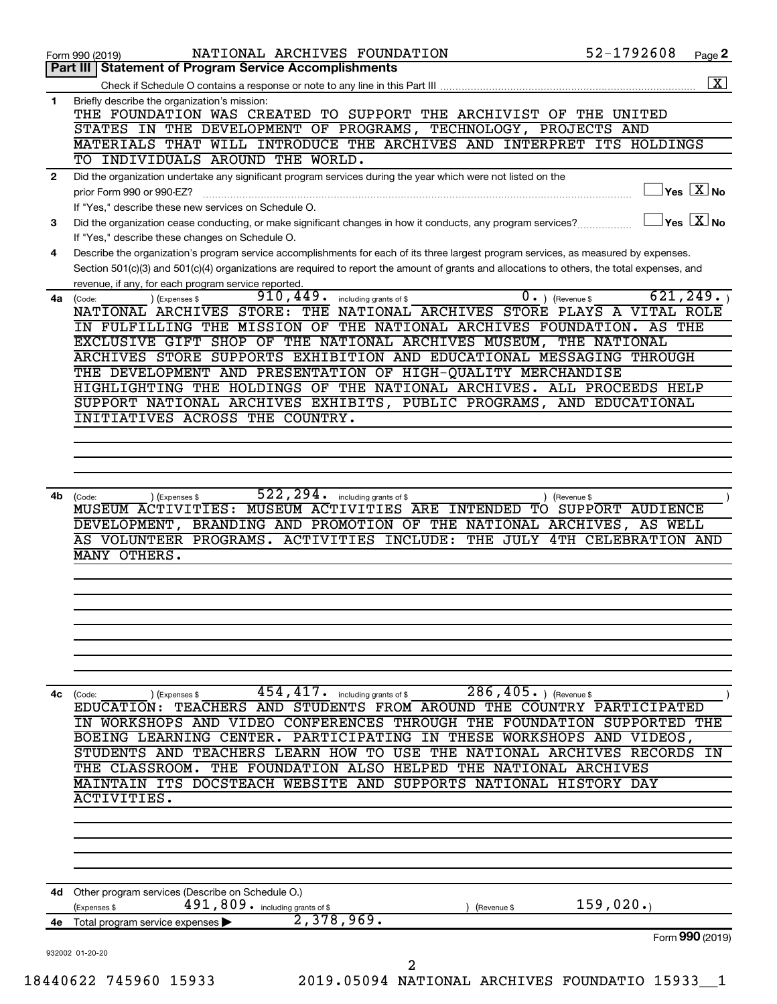|              | 52-1792608<br>NATIONAL ARCHIVES FOUNDATION<br>Page 2<br>Form 990 (2019)                                                                                                |
|--------------|------------------------------------------------------------------------------------------------------------------------------------------------------------------------|
|              | Part III   Statement of Program Service Accomplishments                                                                                                                |
|              |                                                                                                                                                                        |
| $\mathbf{1}$ | Briefly describe the organization's mission:<br>THE FOUNDATION WAS CREATED TO SUPPORT THE ARCHIVIST OF THE UNITED                                                      |
|              | STATES IN THE DEVELOPMENT OF PROGRAMS, TECHNOLOGY, PROJECTS AND                                                                                                        |
|              | MATERIALS THAT WILL INTRODUCE THE ARCHIVES AND INTERPRET ITS HOLDINGS                                                                                                  |
|              | TO INDIVIDUALS AROUND THE WORLD.                                                                                                                                       |
| $\mathbf{2}$ | Did the organization undertake any significant program services during the year which were not listed on the                                                           |
|              | $\sqrt{}$ Yes $\sqrt{}\,$ X $\sqrt{}\,$ No<br>prior Form 990 or 990-EZ?                                                                                                |
|              | If "Yes," describe these new services on Schedule O.                                                                                                                   |
| 3            | $\vert$ Yes $\vert$ $\overline{\mathrm{X}}$ $\vert$ No<br>Did the organization cease conducting, or make significant changes in how it conducts, any program services? |
|              | If "Yes," describe these changes on Schedule O.                                                                                                                        |
| 4            | Describe the organization's program service accomplishments for each of its three largest program services, as measured by expenses.                                   |
|              | Section 501(c)(3) and 501(c)(4) organizations are required to report the amount of grants and allocations to others, the total expenses, and                           |
|              | revenue, if any, for each program service reported.                                                                                                                    |
|              | 910, 449.<br>621, 249.<br>$0 \cdot$ ) (Revenue \$<br>including grants of \$<br>(Expenses \$<br>4a (Code:                                                               |
|              | NATIONAL ARCHIVES STORE: THE NATIONAL ARCHIVES STORE PLAYS A VITAL ROLE                                                                                                |
|              | IN FULFILLING THE MISSION OF THE NATIONAL ARCHIVES FOUNDATION. AS THE                                                                                                  |
|              | EXCLUSIVE GIFT SHOP OF THE NATIONAL ARCHIVES MUSEUM, THE NATIONAL                                                                                                      |
|              | ARCHIVES STORE SUPPORTS EXHIBITION AND EDUCATIONAL MESSAGING THROUGH                                                                                                   |
|              | THE DEVELOPMENT AND PRESENTATION OF HIGH-QUALITY MERCHANDISE                                                                                                           |
|              | HIGHLIGHTING THE HOLDINGS OF THE NATIONAL ARCHIVES. ALL PROCEEDS HELP                                                                                                  |
|              | SUPPORT NATIONAL ARCHIVES EXHIBITS, PUBLIC PROGRAMS, AND EDUCATIONAL                                                                                                   |
|              | INITIATIVES ACROSS THE COUNTRY.                                                                                                                                        |
|              |                                                                                                                                                                        |
|              |                                                                                                                                                                        |
|              |                                                                                                                                                                        |
|              | 522, 294.                                                                                                                                                              |
| 4b.          | including grants of \$<br>) (Expenses \$<br>Revenue \$<br>(Code:<br>MUSEUM ACTIVITIES: MUSEUM ACTIVITIES ARE INTENDED TO SUPPORT AUDIENCE                              |
|              | DEVELOPMENT, BRANDING AND PROMOTION OF THE NATIONAL ARCHIVES, AS WELL                                                                                                  |
|              | AS VOLUNTEER PROGRAMS. ACTIVITIES INCLUDE: THE JULY 4TH CELEBRATION AND                                                                                                |
|              | MANY OTHERS.                                                                                                                                                           |
|              |                                                                                                                                                                        |
|              |                                                                                                                                                                        |
|              |                                                                                                                                                                        |
|              |                                                                                                                                                                        |
|              |                                                                                                                                                                        |
|              |                                                                                                                                                                        |
|              |                                                                                                                                                                        |
|              |                                                                                                                                                                        |
|              |                                                                                                                                                                        |
|              | $454, 417$ and $\frac{1}{286}$ and $286, 405$ and $\frac{1}{286}$ (Revenue \$<br>4c (Code:<br>(Expenses \$                                                             |
|              | EDUCATION: TEACHERS AND STUDENTS FROM AROUND THE COUNTRY PARTICIPATED                                                                                                  |
|              | IN WORKSHOPS AND VIDEO CONFERENCES THROUGH THE FOUNDATION SUPPORTED THE                                                                                                |
|              | BOEING LEARNING CENTER. PARTICIPATING IN THESE WORKSHOPS AND VIDEOS,                                                                                                   |
|              | STUDENTS AND TEACHERS LEARN HOW TO USE THE NATIONAL ARCHIVES RECORDS                                                                                                   |
|              | THE CLASSROOM. THE FOUNDATION ALSO HELPED THE NATIONAL ARCHIVES                                                                                                        |
|              | MAINTAIN ITS DOCSTEACH WEBSITE AND SUPPORTS NATIONAL HISTORY DAY                                                                                                       |
|              | ACTIVITIES.                                                                                                                                                            |
|              |                                                                                                                                                                        |
|              |                                                                                                                                                                        |
|              |                                                                                                                                                                        |
|              |                                                                                                                                                                        |
|              |                                                                                                                                                                        |
|              | Other program services (Describe on Schedule O.)                                                                                                                       |
|              | 159,020.<br>$491,809$ $\cdot$ including grants of \$<br>(Expenses \$<br>(Revenue \$                                                                                    |
| 4d<br>4е     | 2,378,969.<br>Total program service expenses                                                                                                                           |
|              | Form 990 (2019)                                                                                                                                                        |
|              | 932002 01-20-20<br>2                                                                                                                                                   |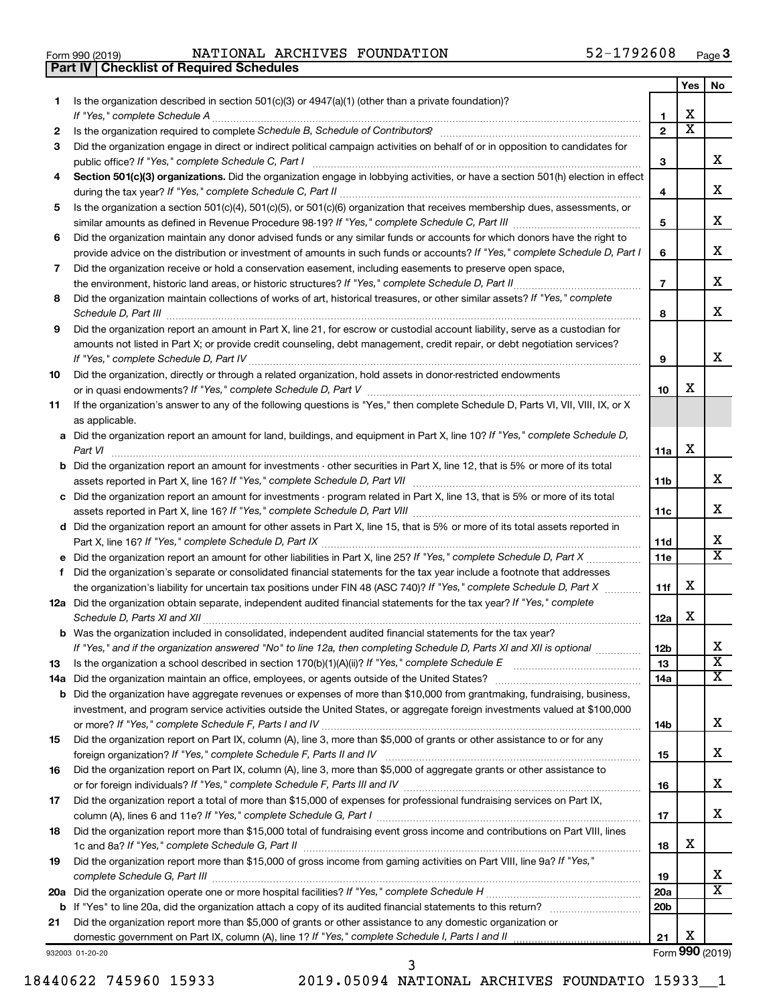| Form 990 (2019) |  |  |
|-----------------|--|--|

**Part IV Checklist of Required Schedules**

Form 990 (2019) Page NATIONAL ARCHIVES FOUNDATION 52-1792608

|     |                                                                                                                                                                                                                                     |                 | Yes | No                      |
|-----|-------------------------------------------------------------------------------------------------------------------------------------------------------------------------------------------------------------------------------------|-----------------|-----|-------------------------|
| 1   | Is the organization described in section $501(c)(3)$ or $4947(a)(1)$ (other than a private foundation)?                                                                                                                             |                 |     |                         |
|     | If "Yes," complete Schedule A                                                                                                                                                                                                       | 1               | х   |                         |
| 2   |                                                                                                                                                                                                                                     | $\mathbf{2}$    | х   |                         |
| 3   | Did the organization engage in direct or indirect political campaign activities on behalf of or in opposition to candidates for                                                                                                     |                 |     |                         |
|     | public office? If "Yes," complete Schedule C, Part I                                                                                                                                                                                | З               |     | x                       |
| 4   | Section 501(c)(3) organizations. Did the organization engage in lobbying activities, or have a section 501(h) election in effect                                                                                                    |                 |     |                         |
|     |                                                                                                                                                                                                                                     | 4               |     | х                       |
| 5   | Is the organization a section 501(c)(4), 501(c)(5), or 501(c)(6) organization that receives membership dues, assessments, or                                                                                                        |                 |     |                         |
|     |                                                                                                                                                                                                                                     | 5               |     | х                       |
| 6   | Did the organization maintain any donor advised funds or any similar funds or accounts for which donors have the right to                                                                                                           |                 |     |                         |
|     | provide advice on the distribution or investment of amounts in such funds or accounts? If "Yes," complete Schedule D, Part I                                                                                                        | 6               |     | х                       |
| 7   | Did the organization receive or hold a conservation easement, including easements to preserve open space,                                                                                                                           |                 |     |                         |
|     |                                                                                                                                                                                                                                     | $\overline{7}$  |     | х                       |
| 8   | Did the organization maintain collections of works of art, historical treasures, or other similar assets? If "Yes," complete                                                                                                        |                 |     |                         |
|     | Schedule D, Part III <b>Marting Communities</b> Contract and Contract and Contract and Contract and Contract and Contract and Contract and Contract and Contract and Contract and Contract and Contract and Contract and Contract a | 8               |     | х                       |
| 9   | Did the organization report an amount in Part X, line 21, for escrow or custodial account liability, serve as a custodian for                                                                                                       |                 |     |                         |
|     | amounts not listed in Part X; or provide credit counseling, debt management, credit repair, or debt negotiation services?                                                                                                           |                 |     |                         |
|     |                                                                                                                                                                                                                                     | 9               |     | х                       |
| 10  | Did the organization, directly or through a related organization, hold assets in donor-restricted endowments                                                                                                                        |                 |     |                         |
|     |                                                                                                                                                                                                                                     | 10              | x   |                         |
| 11  | If the organization's answer to any of the following questions is "Yes," then complete Schedule D, Parts VI, VII, VIII, IX, or X                                                                                                    |                 |     |                         |
|     | as applicable.                                                                                                                                                                                                                      |                 |     |                         |
|     | a Did the organization report an amount for land, buildings, and equipment in Part X, line 10? If "Yes," complete Schedule D,                                                                                                       |                 |     |                         |
|     |                                                                                                                                                                                                                                     | 11a             | х   |                         |
|     | <b>b</b> Did the organization report an amount for investments - other securities in Part X, line 12, that is 5% or more of its total                                                                                               |                 |     |                         |
|     |                                                                                                                                                                                                                                     | 11 <sub>b</sub> |     | x                       |
|     | c Did the organization report an amount for investments - program related in Part X, line 13, that is 5% or more of its total                                                                                                       |                 |     |                         |
|     |                                                                                                                                                                                                                                     | 11c             |     | x                       |
|     | d Did the organization report an amount for other assets in Part X, line 15, that is 5% or more of its total assets reported in                                                                                                     |                 |     |                         |
|     |                                                                                                                                                                                                                                     | 11d             |     | х                       |
|     |                                                                                                                                                                                                                                     | 11e             |     | $\overline{\texttt{x}}$ |
|     | f Did the organization's separate or consolidated financial statements for the tax year include a footnote that addresses                                                                                                           |                 |     |                         |
|     | the organization's liability for uncertain tax positions under FIN 48 (ASC 740)? If "Yes," complete Schedule D, Part X                                                                                                              | 11f             | х   |                         |
|     | 12a Did the organization obtain separate, independent audited financial statements for the tax year? If "Yes," complete                                                                                                             |                 |     |                         |
|     |                                                                                                                                                                                                                                     | 12a             | х   |                         |
|     | <b>b</b> Was the organization included in consolidated, independent audited financial statements for the tax year?                                                                                                                  |                 |     |                         |
|     | If "Yes," and if the organization answered "No" to line 12a, then completing Schedule D, Parts XI and XII is optional                                                                                                               | 12 <sub>b</sub> |     | х                       |
| 13  |                                                                                                                                                                                                                                     | 13              |     | $\overline{\textbf{x}}$ |
| 14a |                                                                                                                                                                                                                                     | 14a             |     | x                       |
| b   | Did the organization have aggregate revenues or expenses of more than \$10,000 from grantmaking, fundraising, business,                                                                                                             |                 |     |                         |
|     | investment, and program service activities outside the United States, or aggregate foreign investments valued at \$100,000                                                                                                          |                 |     |                         |
|     |                                                                                                                                                                                                                                     | 14b             |     | x                       |
| 15  | Did the organization report on Part IX, column (A), line 3, more than \$5,000 of grants or other assistance to or for any                                                                                                           |                 |     |                         |
|     |                                                                                                                                                                                                                                     | 15              |     | х                       |
| 16  | Did the organization report on Part IX, column (A), line 3, more than \$5,000 of aggregate grants or other assistance to                                                                                                            |                 |     |                         |
|     |                                                                                                                                                                                                                                     | 16              |     | х                       |
| 17  | Did the organization report a total of more than \$15,000 of expenses for professional fundraising services on Part IX,                                                                                                             |                 |     |                         |
|     |                                                                                                                                                                                                                                     | 17              |     | x                       |
| 18  | Did the organization report more than \$15,000 total of fundraising event gross income and contributions on Part VIII, lines                                                                                                        |                 |     |                         |
|     |                                                                                                                                                                                                                                     | 18              | х   |                         |
| 19  | Did the organization report more than \$15,000 of gross income from gaming activities on Part VIII, line 9a? If "Yes,"                                                                                                              |                 |     |                         |
|     |                                                                                                                                                                                                                                     | 19              |     | x                       |
|     |                                                                                                                                                                                                                                     | 20a             |     | $\overline{\text{X}}$   |
|     |                                                                                                                                                                                                                                     | 20 <sub>b</sub> |     |                         |
| b   | Did the organization report more than \$5,000 of grants or other assistance to any domestic organization or                                                                                                                         |                 |     |                         |
| 21  |                                                                                                                                                                                                                                     | 21              | х   |                         |
|     |                                                                                                                                                                                                                                     |                 |     | Form 990 (2019)         |
|     | 932003 01-20-20                                                                                                                                                                                                                     |                 |     |                         |

18440622 745960 15933 2019.05094 NATIONAL ARCHIVES FOUNDATIO 15933\_\_1 3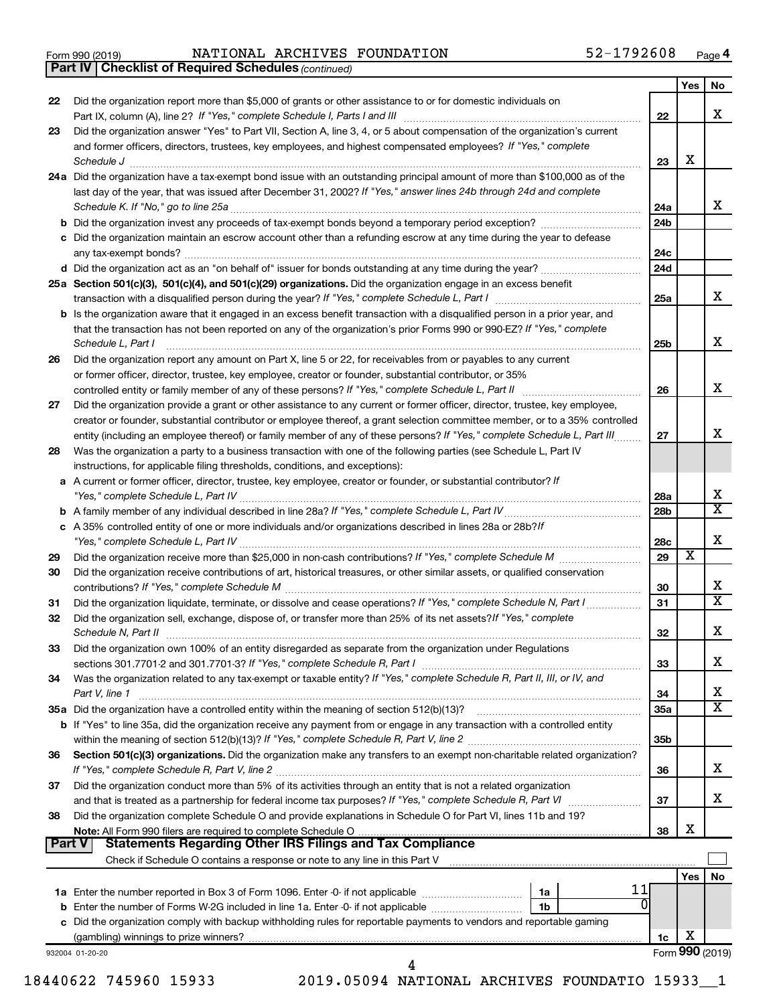|  | Form 990 (2019) |
|--|-----------------|
|  |                 |

Form 990 (2019) Page NATIONAL ARCHIVES FOUNDATION 52-1792608

*(continued)* **Part IV Checklist of Required Schedules**

| 22            | Did the organization report more than \$5,000 of grants or other assistance to or for domestic individuals on                                                                                                                                |                 |                 |                         |
|---------------|----------------------------------------------------------------------------------------------------------------------------------------------------------------------------------------------------------------------------------------------|-----------------|-----------------|-------------------------|
|               |                                                                                                                                                                                                                                              | 22              |                 | X                       |
| 23            | Did the organization answer "Yes" to Part VII, Section A, line 3, 4, or 5 about compensation of the organization's current<br>and former officers, directors, trustees, key employees, and highest compensated employees? If "Yes," complete |                 |                 |                         |
|               |                                                                                                                                                                                                                                              | 23              | X               |                         |
|               | 24a Did the organization have a tax-exempt bond issue with an outstanding principal amount of more than \$100,000 as of the                                                                                                                  |                 |                 |                         |
|               | last day of the year, that was issued after December 31, 2002? If "Yes," answer lines 24b through 24d and complete                                                                                                                           |                 |                 |                         |
|               |                                                                                                                                                                                                                                              | 24a             |                 | x                       |
|               |                                                                                                                                                                                                                                              | 24 <sub>b</sub> |                 |                         |
|               | c Did the organization maintain an escrow account other than a refunding escrow at any time during the year to defease                                                                                                                       |                 |                 |                         |
|               |                                                                                                                                                                                                                                              | 24с             |                 |                         |
|               |                                                                                                                                                                                                                                              | 24d             |                 |                         |
|               | 25a Section 501(c)(3), 501(c)(4), and 501(c)(29) organizations. Did the organization engage in an excess benefit                                                                                                                             |                 |                 | x                       |
|               | <b>b</b> Is the organization aware that it engaged in an excess benefit transaction with a disqualified person in a prior year, and                                                                                                          | 25a             |                 |                         |
|               | that the transaction has not been reported on any of the organization's prior Forms 990 or 990-EZ? If "Yes," complete<br>Schedule L, Part I                                                                                                  | 25b             |                 | x                       |
| 26            | Did the organization report any amount on Part X, line 5 or 22, for receivables from or payables to any current                                                                                                                              |                 |                 |                         |
|               | or former officer, director, trustee, key employee, creator or founder, substantial contributor, or 35%                                                                                                                                      |                 |                 |                         |
|               |                                                                                                                                                                                                                                              | 26              |                 | x                       |
| 27            | Did the organization provide a grant or other assistance to any current or former officer, director, trustee, key employee,                                                                                                                  |                 |                 |                         |
|               | creator or founder, substantial contributor or employee thereof, a grant selection committee member, or to a 35% controlled                                                                                                                  |                 |                 |                         |
|               | entity (including an employee thereof) or family member of any of these persons? If "Yes," complete Schedule L, Part III                                                                                                                     | 27              |                 | x                       |
| 28            | Was the organization a party to a business transaction with one of the following parties (see Schedule L, Part IV                                                                                                                            |                 |                 |                         |
|               | instructions, for applicable filing thresholds, conditions, and exceptions):                                                                                                                                                                 |                 |                 |                         |
|               | a A current or former officer, director, trustee, key employee, creator or founder, or substantial contributor? If                                                                                                                           | 28a             |                 | х                       |
|               |                                                                                                                                                                                                                                              | 28b             |                 | $\overline{\mathbf{x}}$ |
|               | c A 35% controlled entity of one or more individuals and/or organizations described in lines 28a or 28b?If                                                                                                                                   |                 |                 |                         |
|               |                                                                                                                                                                                                                                              | 28c             |                 | Х                       |
| 29            |                                                                                                                                                                                                                                              | 29              | х               |                         |
| 30            | Did the organization receive contributions of art, historical treasures, or other similar assets, or qualified conservation                                                                                                                  | 30              |                 | х                       |
| 31            | Did the organization liquidate, terminate, or dissolve and cease operations? If "Yes," complete Schedule N, Part I                                                                                                                           | 31              |                 | $\overline{\texttt{x}}$ |
| 32            | Did the organization sell, exchange, dispose of, or transfer more than 25% of its net assets? If "Yes," complete<br>Schedule N, Part II                                                                                                      | 32              |                 | Х                       |
| 33            | Did the organization own 100% of an entity disregarded as separate from the organization under Regulations                                                                                                                                   |                 |                 |                         |
|               |                                                                                                                                                                                                                                              | 33              |                 | x                       |
| 34            | Was the organization related to any tax-exempt or taxable entity? If "Yes," complete Schedule R, Part II, III, or IV, and                                                                                                                    |                 |                 |                         |
|               | Part V, line 1                                                                                                                                                                                                                               | 34              |                 | х<br>$\mathbf x$        |
|               | 35a Did the organization have a controlled entity within the meaning of section 512(b)(13)?<br><b>b</b> If "Yes" to line 35a, did the organization receive any payment from or engage in any transaction with a controlled entity            | <b>35a</b>      |                 |                         |
|               |                                                                                                                                                                                                                                              | 35b             |                 |                         |
| 36            | Section 501(c)(3) organizations. Did the organization make any transfers to an exempt non-charitable related organization?                                                                                                                   |                 |                 |                         |
|               |                                                                                                                                                                                                                                              | 36              |                 | x                       |
| 37            | Did the organization conduct more than 5% of its activities through an entity that is not a related organization                                                                                                                             |                 |                 |                         |
|               | and that is treated as a partnership for federal income tax purposes? If "Yes," complete Schedule R, Part VI                                                                                                                                 | 37              |                 | х                       |
| 38            | Did the organization complete Schedule O and provide explanations in Schedule O for Part VI, lines 11b and 19?                                                                                                                               |                 |                 |                         |
| <b>Part V</b> | <b>Statements Regarding Other IRS Filings and Tax Compliance</b>                                                                                                                                                                             | 38              | X               |                         |
|               | Check if Schedule O contains a response or note to any line in this Part V [11] [12] Check if Schedule O contains a response or note to any line in this Part V                                                                              |                 |                 |                         |
|               |                                                                                                                                                                                                                                              |                 | Yes             | No                      |
|               | 11<br>1a                                                                                                                                                                                                                                     |                 |                 |                         |
|               | Enter the number of Forms W-2G included in line 1a. Enter -0- if not applicable<br>1b                                                                                                                                                        |                 |                 |                         |
|               | c Did the organization comply with backup withholding rules for reportable payments to vendors and reportable gaming                                                                                                                         |                 | X               |                         |
|               |                                                                                                                                                                                                                                              | 1c              | Form 990 (2019) |                         |
|               | 932004 01-20-20                                                                                                                                                                                                                              |                 |                 |                         |
|               | 18440622 745960 15933<br>2019.05094 NATIONAL ARCHIVES FOUNDATIO 15933                                                                                                                                                                        |                 |                 |                         |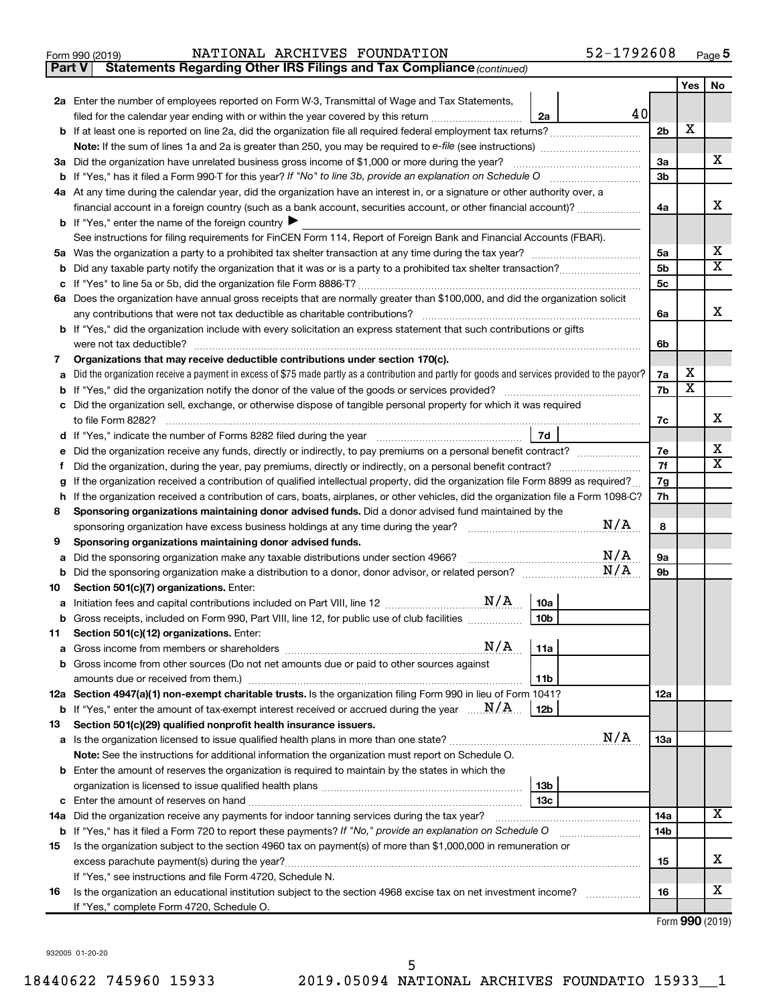**Part V** Statements Regarding Other IRS Filings and Tax Compliance (continued)

|         |                                                                                                                                                 |                | Yes                     | No               |  |  |  |  |  |
|---------|-------------------------------------------------------------------------------------------------------------------------------------------------|----------------|-------------------------|------------------|--|--|--|--|--|
|         | 2a Enter the number of employees reported on Form W-3, Transmittal of Wage and Tax Statements,                                                  |                |                         |                  |  |  |  |  |  |
|         | 40<br>2a<br>filed for the calendar year ending with or within the year covered by this return                                                   |                |                         |                  |  |  |  |  |  |
|         |                                                                                                                                                 | 2 <sub>b</sub> | х                       |                  |  |  |  |  |  |
|         |                                                                                                                                                 |                |                         |                  |  |  |  |  |  |
|         | 3a Did the organization have unrelated business gross income of \$1,000 or more during the year?                                                | За             |                         | X.               |  |  |  |  |  |
|         |                                                                                                                                                 | 3b             |                         |                  |  |  |  |  |  |
|         | 4a At any time during the calendar year, did the organization have an interest in, or a signature or other authority over, a                    |                |                         |                  |  |  |  |  |  |
|         | financial account in a foreign country (such as a bank account, securities account, or other financial account)?                                | 4a             |                         | x                |  |  |  |  |  |
|         | <b>b</b> If "Yes," enter the name of the foreign country                                                                                        |                |                         |                  |  |  |  |  |  |
|         | See instructions for filing requirements for FinCEN Form 114, Report of Foreign Bank and Financial Accounts (FBAR).                             |                |                         | х                |  |  |  |  |  |
|         |                                                                                                                                                 | 5a<br>5b       |                         | X                |  |  |  |  |  |
|         | b                                                                                                                                               |                |                         |                  |  |  |  |  |  |
|         | 6a Does the organization have annual gross receipts that are normally greater than \$100,000, and did the organization solicit                  | 5 <sub>c</sub> |                         |                  |  |  |  |  |  |
|         | any contributions that were not tax deductible as charitable contributions?                                                                     | 6a             |                         | x                |  |  |  |  |  |
|         | b If "Yes," did the organization include with every solicitation an express statement that such contributions or gifts                          |                |                         |                  |  |  |  |  |  |
|         | were not tax deductible?                                                                                                                        | 6b             |                         |                  |  |  |  |  |  |
| 7       | Organizations that may receive deductible contributions under section 170(c).                                                                   |                |                         |                  |  |  |  |  |  |
| a       | Did the organization receive a payment in excess of \$75 made partly as a contribution and partly for goods and services provided to the payor? | 7a             | х                       |                  |  |  |  |  |  |
|         |                                                                                                                                                 | 7b             | $\overline{\textbf{x}}$ |                  |  |  |  |  |  |
| С       | Did the organization sell, exchange, or otherwise dispose of tangible personal property for which it was required                               |                |                         |                  |  |  |  |  |  |
|         | to file Form 8282?                                                                                                                              | 7c             |                         | x                |  |  |  |  |  |
|         | 7d                                                                                                                                              |                |                         |                  |  |  |  |  |  |
| е       | Did the organization receive any funds, directly or indirectly, to pay premiums on a personal benefit contract?                                 | 7е             |                         | x<br>$\mathbf x$ |  |  |  |  |  |
|         |                                                                                                                                                 |                |                         |                  |  |  |  |  |  |
|         | If the organization received a contribution of qualified intellectual property, did the organization file Form 8899 as required?                |                |                         |                  |  |  |  |  |  |
| h       | If the organization received a contribution of cars, boats, airplanes, or other vehicles, did the organization file a Form 1098-C?              |                |                         |                  |  |  |  |  |  |
| 8       | Sponsoring organizations maintaining donor advised funds. Did a donor advised fund maintained by the                                            |                |                         |                  |  |  |  |  |  |
|         | N/A<br>sponsoring organization have excess business holdings at any time during the year?                                                       | 8              |                         |                  |  |  |  |  |  |
| 9       | Sponsoring organizations maintaining donor advised funds.                                                                                       |                |                         |                  |  |  |  |  |  |
| а       | N/A<br>Did the sponsoring organization make any taxable distributions under section 4966?<br>N/A                                                | 9а             |                         |                  |  |  |  |  |  |
| b       | Did the sponsoring organization make a distribution to a donor, donor advisor, or related person?                                               | 9b             |                         |                  |  |  |  |  |  |
| 10      | Section 501(c)(7) organizations. Enter:<br>10a                                                                                                  |                |                         |                  |  |  |  |  |  |
| а       | 10 <sub>b</sub>                                                                                                                                 |                |                         |                  |  |  |  |  |  |
| b<br>11 | Gross receipts, included on Form 990, Part VIII, line 12, for public use of club facilities<br>Section 501(c)(12) organizations. Enter:         |                |                         |                  |  |  |  |  |  |
|         |                                                                                                                                                 |                |                         |                  |  |  |  |  |  |
|         | <b>b</b> Gross income from other sources (Do not net amounts due or paid to other sources against                                               |                |                         |                  |  |  |  |  |  |
|         | amounts due or received from them.)<br>11b                                                                                                      |                |                         |                  |  |  |  |  |  |
|         | 12a Section 4947(a)(1) non-exempt charitable trusts. Is the organization filing Form 990 in lieu of Form 1041?                                  | 12a            |                         |                  |  |  |  |  |  |
|         | <b>b</b> If "Yes," enter the amount of tax-exempt interest received or accrued during the year $\ldots \mathbf{N}/\mathbf{A}$ .<br>12b          |                |                         |                  |  |  |  |  |  |
| 13      | Section 501(c)(29) qualified nonprofit health insurance issuers.                                                                                |                |                         |                  |  |  |  |  |  |
|         | N/A<br><b>a</b> Is the organization licensed to issue qualified health plans in more than one state?                                            | 13a            |                         |                  |  |  |  |  |  |
|         | Note: See the instructions for additional information the organization must report on Schedule O.                                               |                |                         |                  |  |  |  |  |  |
|         | <b>b</b> Enter the amount of reserves the organization is required to maintain by the states in which the                                       |                |                         |                  |  |  |  |  |  |
|         | 13 <sub>b</sub>                                                                                                                                 |                |                         |                  |  |  |  |  |  |
|         | 13 <sub>c</sub>                                                                                                                                 |                |                         |                  |  |  |  |  |  |
|         | 14a Did the organization receive any payments for indoor tanning services during the tax year?                                                  | 14a            |                         | х                |  |  |  |  |  |
|         | b If "Yes," has it filed a Form 720 to report these payments? If "No," provide an explanation on Schedule O                                     | 14b            |                         |                  |  |  |  |  |  |
| 15      | Is the organization subject to the section 4960 tax on payment(s) of more than \$1,000,000 in remuneration or                                   |                |                         |                  |  |  |  |  |  |
|         |                                                                                                                                                 | 15             |                         | x                |  |  |  |  |  |
|         | If "Yes," see instructions and file Form 4720, Schedule N.                                                                                      |                |                         | х                |  |  |  |  |  |
| 16      | Is the organization an educational institution subject to the section 4968 excise tax on net investment income?                                 | 16             |                         |                  |  |  |  |  |  |
|         | If "Yes," complete Form 4720, Schedule O.                                                                                                       |                |                         |                  |  |  |  |  |  |

Form (2019) **990**

932005 01-20-20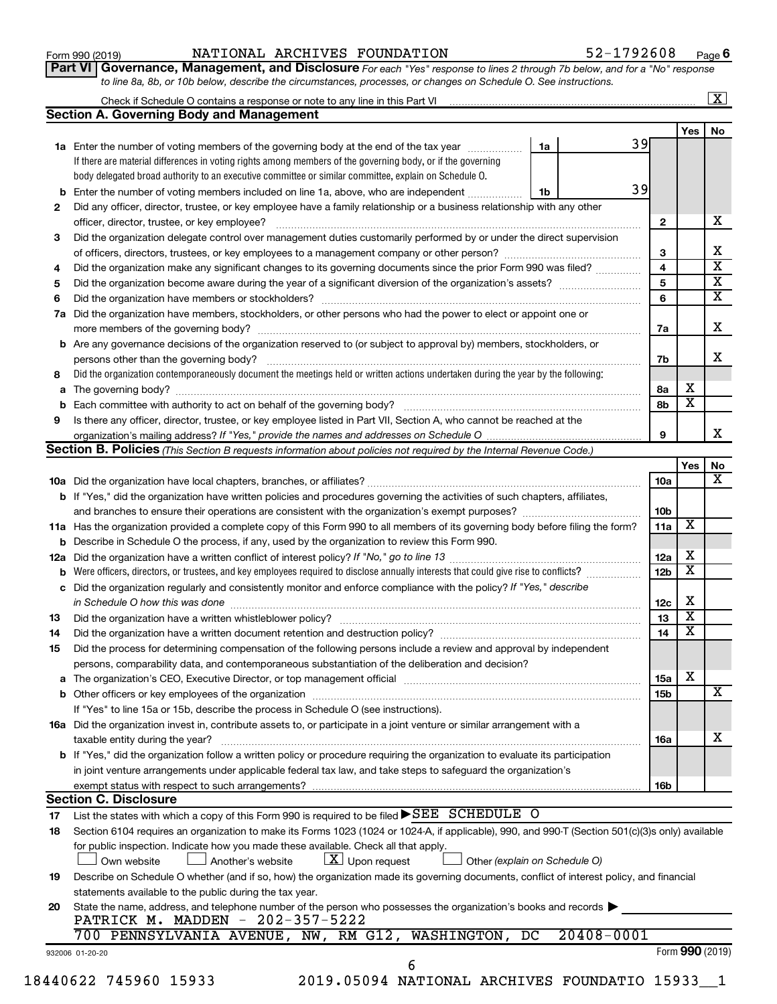| Form 990 (2019) |  |
|-----------------|--|
|-----------------|--|

#### Form 990 (2019) Page NATIONAL ARCHIVES FOUNDATION 52-1792608

**Part VI** Governance, Management, and Disclosure For each "Yes" response to lines 2 through 7b below, and for a "No" response *to line 8a, 8b, or 10b below, describe the circumstances, processes, or changes on Schedule O. See instructions.*

|     | Check if Schedule O contains a response or note to any line in this Part VI [11] [12] Check if Schedule O contains a response or note to any line in this Part VI |                               |                         |                         | $\overline{\mathbf{X}}$ |
|-----|-------------------------------------------------------------------------------------------------------------------------------------------------------------------|-------------------------------|-------------------------|-------------------------|-------------------------|
|     | <b>Section A. Governing Body and Management</b>                                                                                                                   |                               |                         |                         |                         |
|     |                                                                                                                                                                   |                               |                         | Yes                     | No                      |
|     | 1a Enter the number of voting members of the governing body at the end of the tax year                                                                            | 39<br>1a                      |                         |                         |                         |
|     | If there are material differences in voting rights among members of the governing body, or if the governing                                                       |                               |                         |                         |                         |
|     | body delegated broad authority to an executive committee or similar committee, explain on Schedule O.                                                             |                               |                         |                         |                         |
| b   | Enter the number of voting members included on line 1a, above, who are independent                                                                                | 39<br>1b                      |                         |                         |                         |
| 2   | Did any officer, director, trustee, or key employee have a family relationship or a business relationship with any other                                          |                               |                         |                         |                         |
|     | officer, director, trustee, or key employee?                                                                                                                      |                               | $\mathbf{2}$            |                         |                         |
| 3   | Did the organization delegate control over management duties customarily performed by or under the direct supervision                                             |                               |                         |                         |                         |
|     |                                                                                                                                                                   |                               | 3                       |                         |                         |
| 4   | Did the organization make any significant changes to its governing documents since the prior Form 990 was filed?                                                  |                               | $\overline{4}$          |                         |                         |
| 5   |                                                                                                                                                                   |                               | $\overline{\mathbf{5}}$ |                         |                         |
| 6   |                                                                                                                                                                   |                               | 6                       |                         |                         |
| 7a  | Did the organization have members, stockholders, or other persons who had the power to elect or appoint one or                                                    |                               |                         |                         |                         |
|     |                                                                                                                                                                   |                               | 7a                      |                         |                         |
|     | <b>b</b> Are any governance decisions of the organization reserved to (or subject to approval by) members, stockholders, or                                       |                               |                         |                         |                         |
|     | persons other than the governing body?                                                                                                                            |                               | 7b                      |                         |                         |
| 8   | Did the organization contemporaneously document the meetings held or written actions undertaken during the year by the following:                                 |                               |                         |                         |                         |
|     |                                                                                                                                                                   |                               | 8а                      | х                       |                         |
|     |                                                                                                                                                                   |                               | 8b                      | $\overline{\mathbf{x}}$ |                         |
| 9   | Is there any officer, director, trustee, or key employee listed in Part VII, Section A, who cannot be reached at the                                              |                               |                         |                         |                         |
|     |                                                                                                                                                                   |                               | 9                       |                         |                         |
|     | Section B. Policies (This Section B requests information about policies not required by the Internal Revenue Code.)                                               |                               |                         |                         |                         |
|     |                                                                                                                                                                   |                               |                         | Yes                     |                         |
|     |                                                                                                                                                                   |                               | 10a                     |                         |                         |
|     | b If "Yes," did the organization have written policies and procedures governing the activities of such chapters, affiliates,                                      |                               |                         |                         |                         |
|     | and branches to ensure their operations are consistent with the organization's exempt purposes? <i>managereconominion</i>                                         |                               | 10 <sub>b</sub>         |                         |                         |
|     | 11a Has the organization provided a complete copy of this Form 990 to all members of its governing body before filing the form?                                   |                               | 11a                     | $\overline{\mathbf{X}}$ |                         |
|     | <b>b</b> Describe in Schedule O the process, if any, used by the organization to review this Form 990.                                                            |                               |                         |                         |                         |
| 12a |                                                                                                                                                                   |                               | 12a                     | х                       |                         |
| b   | Were officers, directors, or trustees, and key employees required to disclose annually interests that could give rise to conflicts?                               |                               | 12 <sub>b</sub>         | $\overline{\text{x}}$   |                         |
|     | c Did the organization regularly and consistently monitor and enforce compliance with the policy? If "Yes," describe                                              |                               |                         |                         |                         |
|     | in Schedule O how this was done manufactured and continuum and contact the way to the set of the set of the schedule O how this was done                          |                               | 12c                     | х                       |                         |
| 13  |                                                                                                                                                                   |                               | 13                      | $\overline{\textbf{x}}$ |                         |
|     | Did the organization have a written document retention and destruction policy? [11] manufaction manufaction in                                                    |                               | 14                      | $\overline{\textbf{x}}$ |                         |
| 14  |                                                                                                                                                                   |                               |                         |                         |                         |
| 15  | Did the process for determining compensation of the following persons include a review and approval by independent                                                |                               |                         |                         |                         |
|     | persons, comparability data, and contemporaneous substantiation of the deliberation and decision?                                                                 |                               |                         | x                       |                         |
|     |                                                                                                                                                                   |                               | 15a                     |                         |                         |
|     |                                                                                                                                                                   |                               | 15b                     |                         |                         |
|     | If "Yes" to line 15a or 15b, describe the process in Schedule O (see instructions).                                                                               |                               |                         |                         |                         |
|     | 16a Did the organization invest in, contribute assets to, or participate in a joint venture or similar arrangement with a                                         |                               |                         |                         |                         |
|     | taxable entity during the year?                                                                                                                                   |                               | 16a                     |                         |                         |
|     | b If "Yes," did the organization follow a written policy or procedure requiring the organization to evaluate its participation                                    |                               |                         |                         |                         |
|     | in joint venture arrangements under applicable federal tax law, and take steps to safeguard the organization's                                                    |                               |                         |                         |                         |
|     | exempt status with respect to such arrangements?                                                                                                                  |                               | 16b                     |                         |                         |
|     | <b>Section C. Disclosure</b>                                                                                                                                      |                               |                         |                         |                         |
| 17  | List the states with which a copy of this Form 990 is required to be filed $\blacktriangleright$ SEE SCHEDULE O                                                   |                               |                         |                         |                         |
| 18  | Section 6104 requires an organization to make its Forms 1023 (1024 or 1024-A, if applicable), 990, and 990-T (Section 501(c)(3)s only) available                  |                               |                         |                         |                         |
|     | for public inspection. Indicate how you made these available. Check all that apply.                                                                               |                               |                         |                         |                         |
|     | $ \underline{X} $ Upon request<br>Own website<br>Another's website                                                                                                | Other (explain on Schedule O) |                         |                         |                         |
| 19  | Describe on Schedule O whether (and if so, how) the organization made its governing documents, conflict of interest policy, and financial                         |                               |                         |                         |                         |
|     | statements available to the public during the tax year.                                                                                                           |                               |                         |                         |                         |
| 20  | State the name, address, and telephone number of the person who possesses the organization's books and records                                                    |                               |                         |                         |                         |
|     | PATRICK M. MADDEN - 202-357-5222                                                                                                                                  |                               |                         |                         |                         |
|     | 700 PENNSYLVANIA AVENUE, NW, RM G12, WASHINGTON, DC                                                                                                               | $20408 - 0001$                |                         |                         |                         |
|     | 932006 01-20-20                                                                                                                                                   |                               |                         | Form 990 (2019)         |                         |
|     | 6<br>2019.05094 NATIONAL ARCHIVES FOUNDATIO 15933 1<br>18440622 745960 15933                                                                                      |                               |                         |                         |                         |
|     |                                                                                                                                                                   |                               |                         |                         |                         |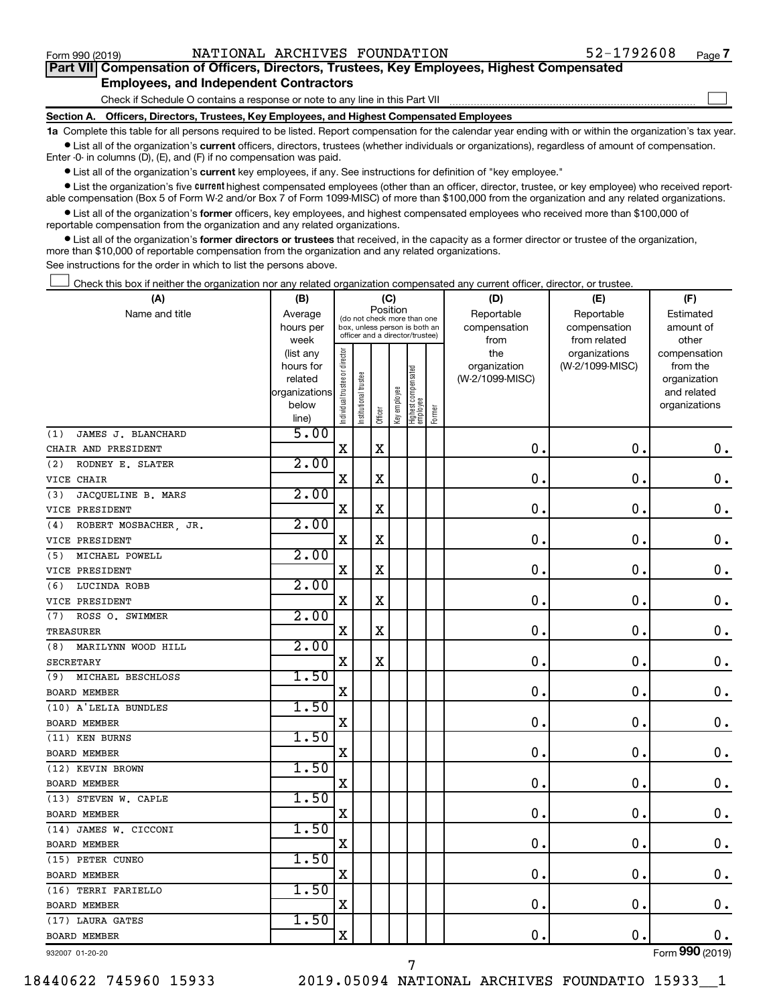$\Box$ 

| Part VII Compensation of Officers, Directors, Trustees, Key Employees, Highest Compensated |  |  |
|--------------------------------------------------------------------------------------------|--|--|
| <b>Employees, and Independent Contractors</b>                                              |  |  |

Check if Schedule O contains a response or note to any line in this Part VII

**Section A. Officers, Directors, Trustees, Key Employees, and Highest Compensated Employees**

**1a**  Complete this table for all persons required to be listed. Report compensation for the calendar year ending with or within the organization's tax year.  $\bullet$  List all of the organization's current officers, directors, trustees (whether individuals or organizations), regardless of amount of compensation.

Enter -0- in columns (D), (E), and (F) if no compensation was paid.

**•** List all of the organization's current key employees, if any. See instructions for definition of "key employee."

• List the organization's five *current* highest compensated employees (other than an officer, director, trustee, or key employee) who received reportable compensation (Box 5 of Form W-2 and/or Box 7 of Form 1099-MISC) of more than \$100,000 from the organization and any related organizations.

 $\bullet$  List all of the organization's former officers, key employees, and highest compensated employees who received more than \$100,000 of reportable compensation from the organization and any related organizations.

**•** List all of the organization's former directors or trustees that received, in the capacity as a former director or trustee of the organization, more than \$10,000 of reportable compensation from the organization and any related organizations.

See instructions for the order in which to list the persons above.

Check this box if neither the organization nor any related organization compensated any current officer, director, or trustee.  $\Box$ 

| (A)                         | (B)                    |                                |                                                                  | (C)         |              |                                   |        | (D)                 | (E)                              | (F)                      |
|-----------------------------|------------------------|--------------------------------|------------------------------------------------------------------|-------------|--------------|-----------------------------------|--------|---------------------|----------------------------------|--------------------------|
| Name and title              | Average                |                                | (do not check more than one                                      |             | Position     |                                   |        | Reportable          | Reportable                       | Estimated                |
|                             | hours per              |                                | box, unless person is both an<br>officer and a director/trustee) |             |              |                                   |        | compensation        | compensation                     | amount of                |
|                             | week                   |                                |                                                                  |             |              |                                   |        | from                | from related                     | other                    |
|                             | (list any<br>hours for | Individual trustee or director |                                                                  |             |              |                                   |        | the<br>organization | organizations<br>(W-2/1099-MISC) | compensation<br>from the |
|                             | related                |                                |                                                                  |             |              |                                   |        | (W-2/1099-MISC)     |                                  | organization             |
|                             | organizations          |                                |                                                                  |             |              |                                   |        |                     |                                  | and related              |
|                             | below                  |                                | nstitutional trustee                                             |             | Key employee |                                   |        |                     |                                  | organizations            |
|                             | line)                  |                                |                                                                  | Officer     |              | Highest compensated<br>  employee | Former |                     |                                  |                          |
| JAMES J. BLANCHARD<br>(1)   | 5.00                   |                                |                                                                  |             |              |                                   |        |                     |                                  |                          |
| CHAIR AND PRESIDENT         |                        | $\mathbf X$                    |                                                                  | X           |              |                                   |        | $\mathbf 0$ .       | $\mathbf 0$ .                    | 0.                       |
| RODNEY E. SLATER<br>(2)     | 2.00                   |                                |                                                                  |             |              |                                   |        |                     |                                  |                          |
| VICE CHAIR                  |                        | $\mathbf X$                    |                                                                  | X           |              |                                   |        | $\mathbf 0$ .       | $\mathbf 0$ .                    | $\mathbf 0$ .            |
| JACQUELINE B. MARS<br>(3)   | 2.00                   |                                |                                                                  |             |              |                                   |        |                     |                                  |                          |
| VICE PRESIDENT              |                        | X                              |                                                                  | X           |              |                                   |        | $\mathbf 0$ .       | 0.                               | 0.                       |
| ROBERT MOSBACHER JR.<br>(4) | 2.00                   |                                |                                                                  |             |              |                                   |        |                     |                                  |                          |
| VICE PRESIDENT              |                        | $\mathbf X$                    |                                                                  | X           |              |                                   |        | $\mathbf 0$ .       | $\mathbf 0$ .                    | $\mathbf 0$ .            |
| MICHAEL POWELL<br>(5)       | 2.00                   |                                |                                                                  |             |              |                                   |        |                     |                                  |                          |
| VICE PRESIDENT              |                        | $\mathbf X$                    |                                                                  | X           |              |                                   |        | $\mathbf 0$ .       | $\mathbf 0$ .                    | $\mathbf 0$ .            |
| (6)<br>LUCINDA ROBB         | 2.00                   |                                |                                                                  |             |              |                                   |        |                     |                                  |                          |
| VICE PRESIDENT              |                        | $\mathbf X$                    |                                                                  | $\mathbf x$ |              |                                   |        | $\mathbf 0$ .       | $\mathbf 0$ .                    | $\mathbf 0$ .            |
| ROSS O. SWIMMER<br>(7)      | 2.00                   |                                |                                                                  |             |              |                                   |        |                     |                                  |                          |
| TREASURER                   |                        | $\mathbf X$                    |                                                                  | X           |              |                                   |        | $\mathbf 0$ .       | $\mathbf 0$ .                    | $\mathbf 0$ .            |
| MARILYNN WOOD HILL<br>(8)   | 2.00                   |                                |                                                                  |             |              |                                   |        |                     |                                  |                          |
| <b>SECRETARY</b>            |                        | $\mathbf X$                    |                                                                  | X           |              |                                   |        | $\mathbf 0$ .       | $\mathbf 0$ .                    | $\mathbf 0$ .            |
| MICHAEL BESCHLOSS<br>(9)    | 1.50                   |                                |                                                                  |             |              |                                   |        |                     |                                  |                          |
| <b>BOARD MEMBER</b>         |                        | $\mathbf X$                    |                                                                  |             |              |                                   |        | $\mathbf 0$ .       | $\mathbf 0$ .                    | $0$ .                    |
| (10) A'LELIA BUNDLES        | 1.50                   |                                |                                                                  |             |              |                                   |        |                     |                                  |                          |
| <b>BOARD MEMBER</b>         |                        | X                              |                                                                  |             |              |                                   |        | $\mathbf 0$ .       | $\mathbf 0$ .                    | 0.                       |
| (11) KEN BURNS              | 1.50                   |                                |                                                                  |             |              |                                   |        |                     |                                  |                          |
| <b>BOARD MEMBER</b>         |                        | $\mathbf X$                    |                                                                  |             |              |                                   |        | $\mathbf 0$ .       | $\mathbf 0$ .                    | $\mathbf 0$ .            |
| (12) KEVIN BROWN            | 1.50                   |                                |                                                                  |             |              |                                   |        |                     |                                  |                          |
| <b>BOARD MEMBER</b>         |                        | $\mathbf X$                    |                                                                  |             |              |                                   |        | $\mathbf 0$ .       | $\mathbf 0$ .                    | $\mathbf 0$ .            |
| (13) STEVEN W. CAPLE        | 1.50                   |                                |                                                                  |             |              |                                   |        |                     |                                  |                          |
| <b>BOARD MEMBER</b>         |                        | $\mathbf X$                    |                                                                  |             |              |                                   |        | $\mathbf 0$ .       | $\mathbf 0$ .                    | $\mathbf 0$ .            |
| (14) JAMES W. CICCONI       | 1.50                   |                                |                                                                  |             |              |                                   |        |                     |                                  |                          |
| <b>BOARD MEMBER</b>         |                        | $\mathbf X$                    |                                                                  |             |              |                                   |        | 0.                  | $\mathbf 0$ .                    | $\mathbf 0$ .            |
| (15) PETER CUNEO            | 1.50                   |                                |                                                                  |             |              |                                   |        |                     |                                  |                          |
| <b>BOARD MEMBER</b>         |                        | X                              |                                                                  |             |              |                                   |        | $\mathbf 0$ .       | $\mathbf 0$ .                    | $\mathbf 0$ .            |
| (16) TERRI FARIELLO         | 1.50                   |                                |                                                                  |             |              |                                   |        |                     |                                  |                          |
| <b>BOARD MEMBER</b>         |                        | $\mathbf X$                    |                                                                  |             |              |                                   |        | $\mathbf 0$ .       | $\mathbf 0$ .                    | $0$ .                    |
| (17) LAURA GATES            | 1.50                   |                                |                                                                  |             |              |                                   |        |                     |                                  |                          |
| <b>BOARD MEMBER</b>         |                        | $\mathbf X$                    |                                                                  |             |              |                                   |        | 0.                  | $\mathbf 0$ .                    | $0$ .                    |
| 932007 01-20-20             |                        |                                |                                                                  |             |              |                                   |        |                     |                                  | Form 990 (2019)          |

18440622 745960 15933 2019.05094 NATIONAL ARCHIVES FOUNDATIO 15933\_\_1

7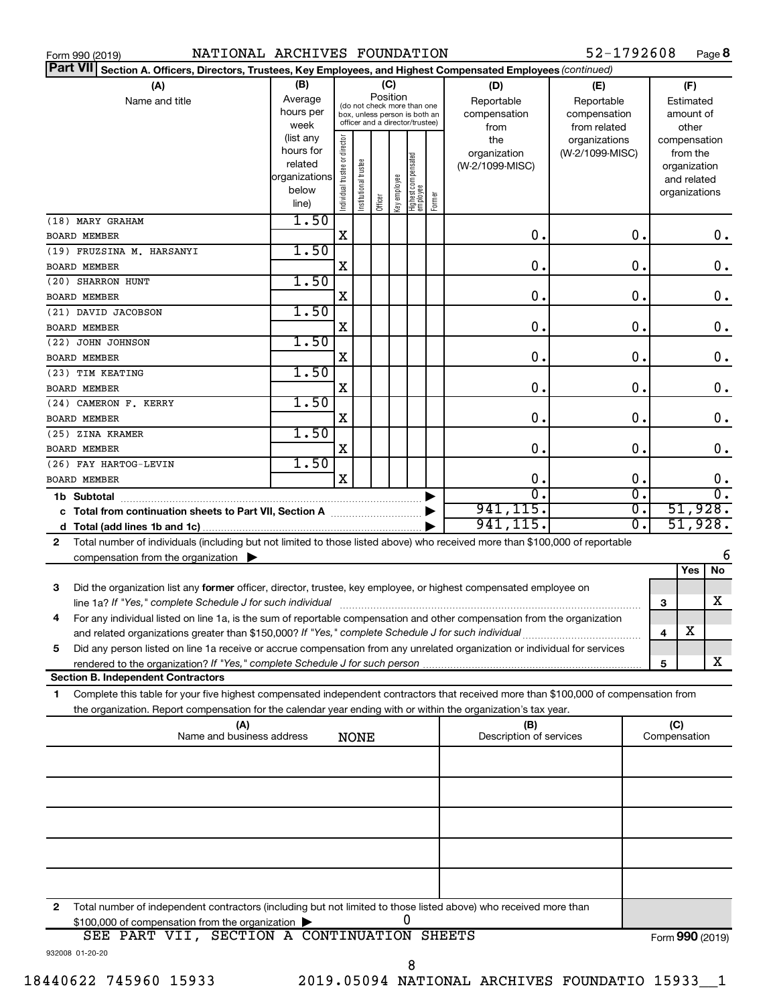| NATIONAL ARCHIVES FOUNDATION<br>Form 990 (2019)                                                                                              |               |                       |                       |         |              |                                                              |        |                         | 52-1792608       |              | Page 8           |
|----------------------------------------------------------------------------------------------------------------------------------------------|---------------|-----------------------|-----------------------|---------|--------------|--------------------------------------------------------------|--------|-------------------------|------------------|--------------|------------------|
| <b>Part VII</b><br>Section A. Officers, Directors, Trustees, Key Employees, and Highest Compensated Employees (continued)                    |               |                       |                       |         |              |                                                              |        |                         |                  |              |                  |
| (A)                                                                                                                                          | (B)           |                       |                       | (C)     |              |                                                              |        | (D)                     | (E)              |              | (F)              |
| Name and title                                                                                                                               | Average       |                       |                       |         | Position     |                                                              |        | Reportable              | Reportable       |              | Estimated        |
|                                                                                                                                              | hours per     |                       |                       |         |              | (do not check more than one<br>box, unless person is both an |        | compensation            | compensation     |              | amount of        |
|                                                                                                                                              | week          |                       |                       |         |              | officer and a director/trustee)                              |        | from                    | from related     |              | other            |
|                                                                                                                                              | (list any     |                       |                       |         |              |                                                              |        | the                     | organizations    |              | compensation     |
|                                                                                                                                              | hours for     | director              |                       |         |              |                                                              |        | organization            | (W-2/1099-MISC)  |              | from the         |
|                                                                                                                                              | related       |                       |                       |         |              |                                                              |        | (W-2/1099-MISC)         |                  |              | organization     |
|                                                                                                                                              | organizations |                       |                       |         |              |                                                              |        |                         |                  |              | and related      |
|                                                                                                                                              | below         | Individual trustee or | Institutional trustee |         | key employee | Highest compensated<br> employee                             | Former |                         |                  |              | organizations    |
|                                                                                                                                              | line)         |                       |                       | Officer |              |                                                              |        |                         |                  |              |                  |
| (18) MARY GRAHAM                                                                                                                             | 1.50          |                       |                       |         |              |                                                              |        |                         |                  |              |                  |
| <b>BOARD MEMBER</b>                                                                                                                          |               | Χ                     |                       |         |              |                                                              |        | 0.                      | 0.               |              | $0$ .            |
| (19) FRUZSINA M. HARSANYI                                                                                                                    | 1.50          |                       |                       |         |              |                                                              |        |                         |                  |              |                  |
| <b>BOARD MEMBER</b>                                                                                                                          |               | X                     |                       |         |              |                                                              |        | 0.                      | 0.               |              | 0.               |
| (20) SHARRON HUNT                                                                                                                            | 1.50          |                       |                       |         |              |                                                              |        |                         |                  |              |                  |
| <b>BOARD MEMBER</b>                                                                                                                          |               | X                     |                       |         |              |                                                              |        | $\mathbf 0$ .           | 0.               |              | 0.               |
| (21) DAVID JACOBSON                                                                                                                          | 1.50          |                       |                       |         |              |                                                              |        |                         |                  |              |                  |
| <b>BOARD MEMBER</b>                                                                                                                          |               | X                     |                       |         |              |                                                              |        | $\mathbf 0$ .           | 0.               |              | 0.               |
| (22) JOHN JOHNSON                                                                                                                            | 1.50          |                       |                       |         |              |                                                              |        |                         |                  |              |                  |
| <b>BOARD MEMBER</b>                                                                                                                          |               | х                     |                       |         |              |                                                              |        | $\mathbf 0$ .           | 0.               |              | 0.               |
| (23) TIM KEATING                                                                                                                             | 1.50          |                       |                       |         |              |                                                              |        |                         |                  |              |                  |
| <b>BOARD MEMBER</b>                                                                                                                          |               | х                     |                       |         |              |                                                              |        | $\mathbf 0$ .           | 0.               |              | 0.               |
| (24) CAMERON F. KERRY                                                                                                                        | 1.50          |                       |                       |         |              |                                                              |        |                         |                  |              |                  |
| <b>BOARD MEMBER</b>                                                                                                                          |               | х                     |                       |         |              |                                                              |        | $\mathbf 0$ .           | 0.               |              | 0.               |
| (25) ZINA KRAMER                                                                                                                             | 1.50          |                       |                       |         |              |                                                              |        |                         |                  |              |                  |
| <b>BOARD MEMBER</b>                                                                                                                          |               | х                     |                       |         |              |                                                              |        | 0.                      | 0.               |              | 0.               |
| (26) FAY HARTOG-LEVIN                                                                                                                        | 1.50          |                       |                       |         |              |                                                              |        |                         |                  |              |                  |
| <b>BOARD MEMBER</b>                                                                                                                          |               | X                     |                       |         |              |                                                              |        | 0.                      | 0.               |              | 0.               |
| 1b Subtotal                                                                                                                                  |               |                       |                       |         |              |                                                              | ▶      | $\overline{0}$          | $\overline{0}$ . |              | $\overline{0}$ . |
| c Total from continuation sheets to Part VII, Section A manuscreen continuum                                                                 |               |                       |                       |         |              |                                                              | ▶      | 941, 115.               | $\overline{0}$ . |              | 51,928.          |
|                                                                                                                                              |               |                       |                       |         |              |                                                              |        | 941, 115.               | $\overline{0}$ . |              | 51,928.          |
|                                                                                                                                              |               |                       |                       |         |              |                                                              |        |                         |                  |              |                  |
| Total number of individuals (including but not limited to those listed above) who received more than \$100,000 of reportable<br>$\mathbf{2}$ |               |                       |                       |         |              |                                                              |        |                         |                  |              | 6                |
| compensation from the organization $\blacktriangleright$                                                                                     |               |                       |                       |         |              |                                                              |        |                         |                  |              | Yes<br>No        |
|                                                                                                                                              |               |                       |                       |         |              |                                                              |        |                         |                  |              |                  |
| 3<br>Did the organization list any former officer, director, trustee, key employee, or highest compensated employee on                       |               |                       |                       |         |              |                                                              |        |                         |                  |              |                  |
| line 1a? If "Yes," complete Schedule J for such individual manufacture content to the set of the set of the su                               |               |                       |                       |         |              |                                                              |        |                         |                  | 3            | X                |
| For any individual listed on line 1a, is the sum of reportable compensation and other compensation from the organization                     |               |                       |                       |         |              |                                                              |        |                         |                  |              |                  |
| and related organizations greater than \$150,000? If "Yes," complete Schedule J for such individual                                          |               |                       |                       |         |              |                                                              |        |                         |                  | 4            | X                |
| Did any person listed on line 1a receive or accrue compensation from any unrelated organization or individual for services<br>5              |               |                       |                       |         |              |                                                              |        |                         |                  |              |                  |
|                                                                                                                                              |               |                       |                       |         |              |                                                              |        |                         |                  | 5            | x                |
| <b>Section B. Independent Contractors</b>                                                                                                    |               |                       |                       |         |              |                                                              |        |                         |                  |              |                  |
| Complete this table for your five highest compensated independent contractors that received more than \$100,000 of compensation from<br>1.   |               |                       |                       |         |              |                                                              |        |                         |                  |              |                  |
| the organization. Report compensation for the calendar year ending with or within the organization's tax year.                               |               |                       |                       |         |              |                                                              |        |                         |                  |              |                  |
| (A)                                                                                                                                          |               |                       |                       |         |              |                                                              |        | (B)                     |                  | (C)          |                  |
| Name and business address                                                                                                                    |               |                       | <b>NONE</b>           |         |              |                                                              |        | Description of services |                  | Compensation |                  |
|                                                                                                                                              |               |                       |                       |         |              |                                                              |        |                         |                  |              |                  |
|                                                                                                                                              |               |                       |                       |         |              |                                                              |        |                         |                  |              |                  |
|                                                                                                                                              |               |                       |                       |         |              |                                                              |        |                         |                  |              |                  |
|                                                                                                                                              |               |                       |                       |         |              |                                                              |        |                         |                  |              |                  |
|                                                                                                                                              |               |                       |                       |         |              |                                                              |        |                         |                  |              |                  |
|                                                                                                                                              |               |                       |                       |         |              |                                                              |        |                         |                  |              |                  |
|                                                                                                                                              |               |                       |                       |         |              |                                                              |        |                         |                  |              |                  |
|                                                                                                                                              |               |                       |                       |         |              |                                                              |        |                         |                  |              |                  |
|                                                                                                                                              |               |                       |                       |         |              |                                                              |        |                         |                  |              |                  |
| Total number of independent contractors (including but not limited to those listed above) who received more than<br>2                        |               |                       |                       |         |              |                                                              |        |                         |                  |              |                  |
| \$100,000 of compensation from the organization >                                                                                            |               |                       |                       |         |              | 0                                                            |        |                         |                  |              |                  |

|                 |  | <b>Provided of compensation from the organization</b> |                                         |  |                 |
|-----------------|--|-------------------------------------------------------|-----------------------------------------|--|-----------------|
| SEE             |  |                                                       | PART VII, SECTION A CONTINUATION SHEETS |  | Form 990 (2019) |
| 932008 01-20-20 |  |                                                       |                                         |  |                 |
|                 |  |                                                       |                                         |  |                 |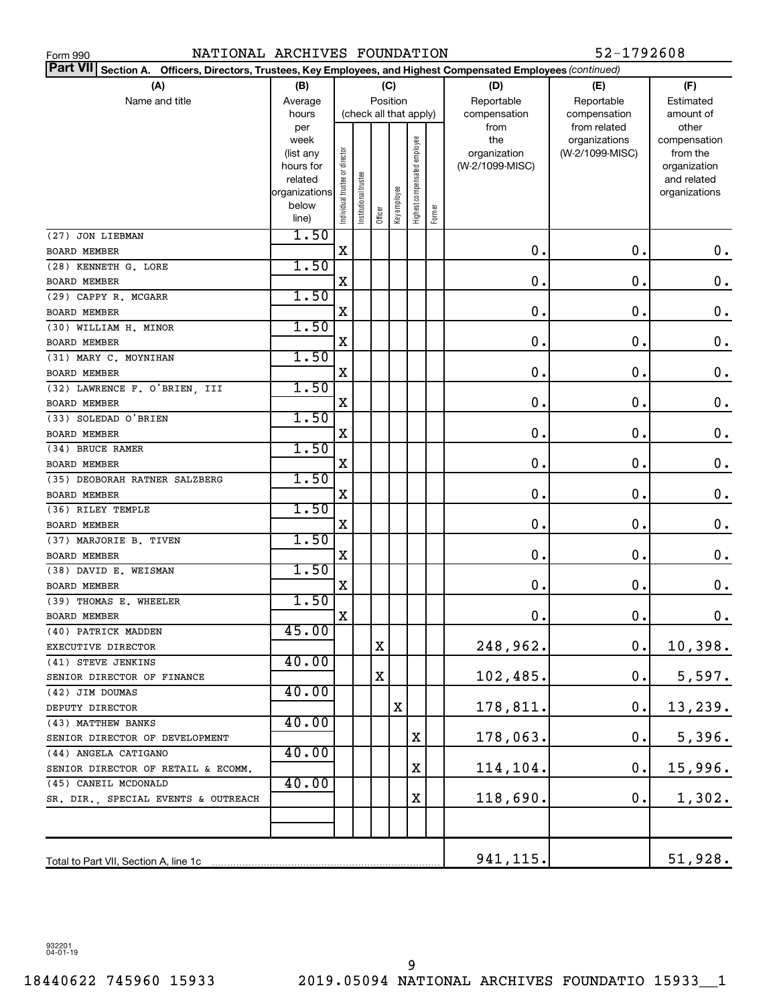| NATIONAL ARCHIVES FOUNDATION<br>Form 990                                                                                     |                   |                                |                       |                        |              |                              |        |                     | 52-1792608                       |                          |
|------------------------------------------------------------------------------------------------------------------------------|-------------------|--------------------------------|-----------------------|------------------------|--------------|------------------------------|--------|---------------------|----------------------------------|--------------------------|
| <b>Part VII</b><br>Officers, Directors, Trustees, Key Employees, and Highest Compensated Employees (continued)<br>Section A. |                   |                                |                       |                        |              |                              |        |                     |                                  |                          |
| (A)                                                                                                                          | (B)               |                                |                       | (C)                    |              |                              |        | (D)                 | (E)                              | (F)                      |
| Name and title                                                                                                               | Average           |                                |                       | Position               |              |                              |        | Reportable          | Reportable                       | Estimated                |
|                                                                                                                              | hours             |                                |                       | (check all that apply) |              |                              |        | compensation        | compensation                     | amount of                |
|                                                                                                                              | per               |                                |                       |                        |              |                              |        | from                | from related                     | other                    |
|                                                                                                                              | week<br>(list any |                                |                       |                        |              |                              |        | the<br>organization | organizations<br>(W-2/1099-MISC) | compensation<br>from the |
|                                                                                                                              | hours for         |                                |                       |                        |              |                              |        | (W-2/1099-MISC)     |                                  | organization             |
|                                                                                                                              | related           |                                |                       |                        |              |                              |        |                     |                                  | and related              |
|                                                                                                                              | organizations     | Individual trustee or director | Institutional trustee |                        |              | Highest compensated employee |        |                     |                                  | organizations            |
|                                                                                                                              | below             |                                |                       | Officer                | Key employee |                              | Former |                     |                                  |                          |
|                                                                                                                              | line)             |                                |                       |                        |              |                              |        |                     |                                  |                          |
| (27) JON LIEBMAN                                                                                                             | 1.50              |                                |                       |                        |              |                              |        |                     |                                  |                          |
| <b>BOARD MEMBER</b>                                                                                                          |                   | $\mathbf X$                    |                       |                        |              |                              |        | 0                   | О.                               | $\mathbf 0$ .            |
| (28) KENNETH G. LORE                                                                                                         | 1.50              |                                |                       |                        |              |                              |        |                     |                                  |                          |
| <b>BOARD MEMBER</b>                                                                                                          |                   | X                              |                       |                        |              |                              |        | $\mathbf 0$ .       | 0.                               | 0.                       |
| (29) CAPPY R. MCGARR                                                                                                         | 1.50              | X                              |                       |                        |              |                              |        | 0.                  | 0.                               |                          |
| <b>BOARD MEMBER</b>                                                                                                          | 1.50              |                                |                       |                        |              |                              |        |                     |                                  | 0.                       |
| (30) WILLIAM H. MINOR                                                                                                        |                   | X                              |                       |                        |              |                              |        | 0.                  | 0.                               | 0.                       |
| <b>BOARD MEMBER</b><br>(31) MARY C. MOYNIHAN                                                                                 | 1.50              |                                |                       |                        |              |                              |        |                     |                                  |                          |
| <b>BOARD MEMBER</b>                                                                                                          |                   | $\mathbf X$                    |                       |                        |              |                              |        | 0.                  | 0.                               | 0.                       |
| (32) LAWRENCE F. O'BRIEN, III                                                                                                | 1.50              |                                |                       |                        |              |                              |        |                     |                                  |                          |
| <b>BOARD MEMBER</b>                                                                                                          |                   | $\mathbf X$                    |                       |                        |              |                              |        | 0.                  | 0.                               | 0.                       |
| (33) SOLEDAD O'BRIEN                                                                                                         | 1.50              |                                |                       |                        |              |                              |        |                     |                                  |                          |
| <b>BOARD MEMBER</b>                                                                                                          |                   | $\mathbf X$                    |                       |                        |              |                              |        | 0.                  | 0.                               | 0.                       |
| (34) BRUCE RAMER                                                                                                             | 1.50              |                                |                       |                        |              |                              |        |                     |                                  |                          |
| <b>BOARD MEMBER</b>                                                                                                          |                   | X                              |                       |                        |              |                              |        | 0.                  | 0.                               | 0.                       |
| (35) DEOBORAH RATNER SALZBERG                                                                                                | 1.50              |                                |                       |                        |              |                              |        |                     |                                  |                          |
| <b>BOARD MEMBER</b>                                                                                                          |                   | X                              |                       |                        |              |                              |        | 0.                  | 0.                               | 0.                       |
| (36) RILEY TEMPLE                                                                                                            | 1.50              |                                |                       |                        |              |                              |        |                     |                                  |                          |
| <b>BOARD MEMBER</b>                                                                                                          |                   | X                              |                       |                        |              |                              |        | 0                   | 0.                               | 0.                       |
| (37) MARJORIE B. TIVEN                                                                                                       | 1.50              |                                |                       |                        |              |                              |        |                     |                                  |                          |
| <b>BOARD MEMBER</b>                                                                                                          |                   | X                              |                       |                        |              |                              |        | 0                   | 0.                               | 0.                       |
| (38) DAVID E. WEISMAN                                                                                                        | 1.50              |                                |                       |                        |              |                              |        |                     |                                  |                          |
| <b>BOARD MEMBER</b>                                                                                                          |                   | X                              |                       |                        |              |                              |        | 0                   | О.                               | $\boldsymbol{0}$ .       |
| (39) THOMAS E. WHEELER                                                                                                       | 1.50              |                                |                       |                        |              |                              |        |                     |                                  |                          |
| <b>BOARD MEMBER</b>                                                                                                          |                   | X                              |                       |                        |              |                              |        | $0$ .               | 0.                               | 0.                       |
| (40) PATRICK MADDEN                                                                                                          | 45.00             |                                |                       |                        |              |                              |        |                     |                                  |                          |
| EXECUTIVE DIRECTOR<br>(41) STEVE JENKINS                                                                                     | 40.00             |                                |                       | Χ                      |              |                              |        | 248,962.            | 0.                               | 10,398.                  |
| SENIOR DIRECTOR OF FINANCE                                                                                                   |                   |                                |                       | X                      |              |                              |        | 102,485.            | 0.                               | 5,597.                   |
| (42) JIM DOUMAS                                                                                                              | 40.00             |                                |                       |                        |              |                              |        |                     |                                  |                          |
| DEPUTY DIRECTOR                                                                                                              |                   |                                |                       |                        | X            |                              |        | 178,811.            | 0.                               | 13,239.                  |
| (43) MATTHEW BANKS                                                                                                           | 40.00             |                                |                       |                        |              |                              |        |                     |                                  |                          |
| SENIOR DIRECTOR OF DEVELOPMENT                                                                                               |                   |                                |                       |                        |              | X                            |        | 178,063.            | 0.                               | 5,396.                   |
| (44) ANGELA CATIGANO                                                                                                         | 40.00             |                                |                       |                        |              |                              |        |                     |                                  |                          |
| SENIOR DIRECTOR OF RETAIL & ECOMM.                                                                                           |                   |                                |                       |                        |              | X                            |        | 114,104.            | 0.                               | 15,996.                  |
| (45) CANEIL MCDONALD                                                                                                         | 40.00             |                                |                       |                        |              |                              |        |                     |                                  |                          |
| SR. DIR., SPECIAL EVENTS & OUTREACH                                                                                          |                   |                                |                       |                        |              | X                            |        | 118,690.            | 0.                               | 1,302.                   |
|                                                                                                                              |                   |                                |                       |                        |              |                              |        |                     |                                  |                          |
|                                                                                                                              |                   |                                |                       |                        |              |                              |        |                     |                                  |                          |
|                                                                                                                              |                   |                                |                       |                        |              |                              |        |                     |                                  |                          |
|                                                                                                                              |                   |                                |                       |                        |              |                              |        | 941,115.            |                                  | 51,928.                  |

932201 04-01-19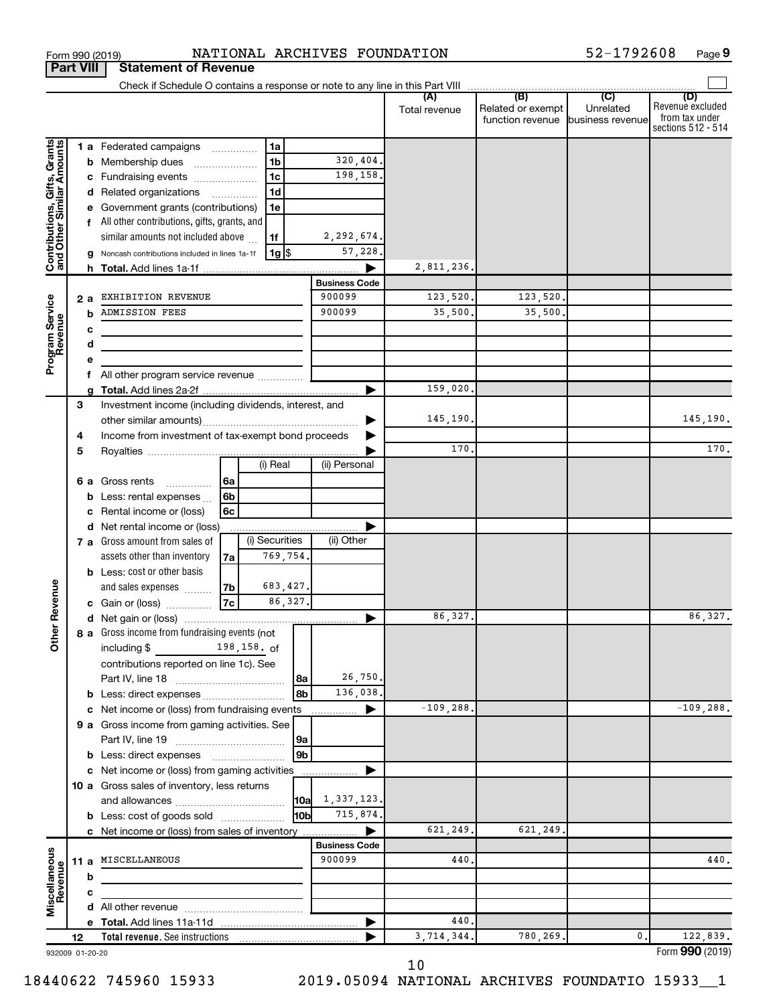| (B)<br>(C)<br>(D)<br>(A)<br>Unrelated<br>Related or exempt<br>Total revenue<br>from tax under<br>function revenue business revenue<br>Contributions, Gifts, Grants<br>and Other Similar Amounts<br>1 a Federated campaigns<br>1a<br>320,404.<br>1 <sub>b</sub><br><b>b</b> Membership dues<br>1 <sub>c</sub><br>198,158.<br>c Fundraising events<br>1 <sub>d</sub><br>d Related organizations<br>e Government grants (contributions)<br>1e<br>f All other contributions, gifts, grants, and<br>similar amounts not included above<br>2,292,674.<br>1f<br>57,228.<br> 1g <br>g Noncash contributions included in lines 1a-1f<br>2,811,236.<br><b>Business Code</b><br><b>EXHIBITION REVENUE</b><br>900099<br>123,520.<br>123,520.<br>Program Service<br>Revenue<br>2a<br>900099<br><b>ADMISSION FEES</b><br>35,500.<br>35,500.<br>b<br>c<br>d<br>All other program service revenue<br>f<br>159,020.<br>Investment income (including dividends, interest, and<br>3<br>145,190.<br>145,190.<br>Income from investment of tax-exempt bond proceeds<br>4<br>170.<br>5<br>(i) Real<br>(ii) Personal<br>6 a Gross rents<br>l 6a<br>$\cdots$<br><b>b</b> Less: rental expenses $\ldots$<br>6b<br>Rental income or (loss)<br>6c<br>c<br>Net rental income or (loss)<br>d<br>(i) Securities<br>(ii) Other<br>7 a Gross amount from sales of<br>769,754.<br>assets other than inventory<br>7al<br><b>b</b> Less: cost or other basis<br>ther Revenue<br>683,427.<br>and sales expenses<br> 7b<br>7c<br>86,327.<br>c Gain or (loss)<br>86,327.<br>86,327.<br>8 a Gross income from fundraising events (not<br>δ<br>198,158. of<br>including \$<br>contributions reported on line 1c). See<br>26,750.<br>8a<br>136,038.<br>8b<br>b Less: direct expenses<br>c Net income or (loss) from fundraising events<br>$-109, 288.$<br>$-109, 288.$<br>.<br>9 a Gross income from gaming activities. See<br>9а<br>9b<br>c Net income or (loss) from gaming activities<br>10 a Gross sales of inventory, less returns<br>1,337,123.<br> 10a <br>715,874.<br>l10bl<br><b>b</b> Less: cost of goods sold<br>621,249.<br>621,249,<br>c Net income or (loss) from sales of inventory<br><b>Business Code</b><br>Miscellaneous<br>Revenue<br>11 a MISCELLANEOUS<br>900099<br>440<br>440.<br>b<br>с<br>440.<br>3,714,344.<br>780,269.<br>0.<br>122,839.<br>12<br>932009 01-20-20 |  |  |  |  |  |  |  |                                        |
|-----------------------------------------------------------------------------------------------------------------------------------------------------------------------------------------------------------------------------------------------------------------------------------------------------------------------------------------------------------------------------------------------------------------------------------------------------------------------------------------------------------------------------------------------------------------------------------------------------------------------------------------------------------------------------------------------------------------------------------------------------------------------------------------------------------------------------------------------------------------------------------------------------------------------------------------------------------------------------------------------------------------------------------------------------------------------------------------------------------------------------------------------------------------------------------------------------------------------------------------------------------------------------------------------------------------------------------------------------------------------------------------------------------------------------------------------------------------------------------------------------------------------------------------------------------------------------------------------------------------------------------------------------------------------------------------------------------------------------------------------------------------------------------------------------------------------------------------------------------------------------------------------------------------------------------------------------------------------------------------------------------------------------------------------------------------------------------------------------------------------------------------------------------------------------------------------------------------------------------------------------------------------------------------------------------------------------------------------------|--|--|--|--|--|--|--|----------------------------------------|
|                                                                                                                                                                                                                                                                                                                                                                                                                                                                                                                                                                                                                                                                                                                                                                                                                                                                                                                                                                                                                                                                                                                                                                                                                                                                                                                                                                                                                                                                                                                                                                                                                                                                                                                                                                                                                                                                                                                                                                                                                                                                                                                                                                                                                                                                                                                                                     |  |  |  |  |  |  |  | Revenue excluded<br>sections 512 - 514 |
|                                                                                                                                                                                                                                                                                                                                                                                                                                                                                                                                                                                                                                                                                                                                                                                                                                                                                                                                                                                                                                                                                                                                                                                                                                                                                                                                                                                                                                                                                                                                                                                                                                                                                                                                                                                                                                                                                                                                                                                                                                                                                                                                                                                                                                                                                                                                                     |  |  |  |  |  |  |  |                                        |
|                                                                                                                                                                                                                                                                                                                                                                                                                                                                                                                                                                                                                                                                                                                                                                                                                                                                                                                                                                                                                                                                                                                                                                                                                                                                                                                                                                                                                                                                                                                                                                                                                                                                                                                                                                                                                                                                                                                                                                                                                                                                                                                                                                                                                                                                                                                                                     |  |  |  |  |  |  |  |                                        |
|                                                                                                                                                                                                                                                                                                                                                                                                                                                                                                                                                                                                                                                                                                                                                                                                                                                                                                                                                                                                                                                                                                                                                                                                                                                                                                                                                                                                                                                                                                                                                                                                                                                                                                                                                                                                                                                                                                                                                                                                                                                                                                                                                                                                                                                                                                                                                     |  |  |  |  |  |  |  |                                        |
|                                                                                                                                                                                                                                                                                                                                                                                                                                                                                                                                                                                                                                                                                                                                                                                                                                                                                                                                                                                                                                                                                                                                                                                                                                                                                                                                                                                                                                                                                                                                                                                                                                                                                                                                                                                                                                                                                                                                                                                                                                                                                                                                                                                                                                                                                                                                                     |  |  |  |  |  |  |  |                                        |
|                                                                                                                                                                                                                                                                                                                                                                                                                                                                                                                                                                                                                                                                                                                                                                                                                                                                                                                                                                                                                                                                                                                                                                                                                                                                                                                                                                                                                                                                                                                                                                                                                                                                                                                                                                                                                                                                                                                                                                                                                                                                                                                                                                                                                                                                                                                                                     |  |  |  |  |  |  |  |                                        |
|                                                                                                                                                                                                                                                                                                                                                                                                                                                                                                                                                                                                                                                                                                                                                                                                                                                                                                                                                                                                                                                                                                                                                                                                                                                                                                                                                                                                                                                                                                                                                                                                                                                                                                                                                                                                                                                                                                                                                                                                                                                                                                                                                                                                                                                                                                                                                     |  |  |  |  |  |  |  |                                        |
|                                                                                                                                                                                                                                                                                                                                                                                                                                                                                                                                                                                                                                                                                                                                                                                                                                                                                                                                                                                                                                                                                                                                                                                                                                                                                                                                                                                                                                                                                                                                                                                                                                                                                                                                                                                                                                                                                                                                                                                                                                                                                                                                                                                                                                                                                                                                                     |  |  |  |  |  |  |  |                                        |
|                                                                                                                                                                                                                                                                                                                                                                                                                                                                                                                                                                                                                                                                                                                                                                                                                                                                                                                                                                                                                                                                                                                                                                                                                                                                                                                                                                                                                                                                                                                                                                                                                                                                                                                                                                                                                                                                                                                                                                                                                                                                                                                                                                                                                                                                                                                                                     |  |  |  |  |  |  |  |                                        |
|                                                                                                                                                                                                                                                                                                                                                                                                                                                                                                                                                                                                                                                                                                                                                                                                                                                                                                                                                                                                                                                                                                                                                                                                                                                                                                                                                                                                                                                                                                                                                                                                                                                                                                                                                                                                                                                                                                                                                                                                                                                                                                                                                                                                                                                                                                                                                     |  |  |  |  |  |  |  |                                        |
|                                                                                                                                                                                                                                                                                                                                                                                                                                                                                                                                                                                                                                                                                                                                                                                                                                                                                                                                                                                                                                                                                                                                                                                                                                                                                                                                                                                                                                                                                                                                                                                                                                                                                                                                                                                                                                                                                                                                                                                                                                                                                                                                                                                                                                                                                                                                                     |  |  |  |  |  |  |  |                                        |
|                                                                                                                                                                                                                                                                                                                                                                                                                                                                                                                                                                                                                                                                                                                                                                                                                                                                                                                                                                                                                                                                                                                                                                                                                                                                                                                                                                                                                                                                                                                                                                                                                                                                                                                                                                                                                                                                                                                                                                                                                                                                                                                                                                                                                                                                                                                                                     |  |  |  |  |  |  |  |                                        |
|                                                                                                                                                                                                                                                                                                                                                                                                                                                                                                                                                                                                                                                                                                                                                                                                                                                                                                                                                                                                                                                                                                                                                                                                                                                                                                                                                                                                                                                                                                                                                                                                                                                                                                                                                                                                                                                                                                                                                                                                                                                                                                                                                                                                                                                                                                                                                     |  |  |  |  |  |  |  |                                        |
|                                                                                                                                                                                                                                                                                                                                                                                                                                                                                                                                                                                                                                                                                                                                                                                                                                                                                                                                                                                                                                                                                                                                                                                                                                                                                                                                                                                                                                                                                                                                                                                                                                                                                                                                                                                                                                                                                                                                                                                                                                                                                                                                                                                                                                                                                                                                                     |  |  |  |  |  |  |  |                                        |
|                                                                                                                                                                                                                                                                                                                                                                                                                                                                                                                                                                                                                                                                                                                                                                                                                                                                                                                                                                                                                                                                                                                                                                                                                                                                                                                                                                                                                                                                                                                                                                                                                                                                                                                                                                                                                                                                                                                                                                                                                                                                                                                                                                                                                                                                                                                                                     |  |  |  |  |  |  |  |                                        |
|                                                                                                                                                                                                                                                                                                                                                                                                                                                                                                                                                                                                                                                                                                                                                                                                                                                                                                                                                                                                                                                                                                                                                                                                                                                                                                                                                                                                                                                                                                                                                                                                                                                                                                                                                                                                                                                                                                                                                                                                                                                                                                                                                                                                                                                                                                                                                     |  |  |  |  |  |  |  |                                        |
|                                                                                                                                                                                                                                                                                                                                                                                                                                                                                                                                                                                                                                                                                                                                                                                                                                                                                                                                                                                                                                                                                                                                                                                                                                                                                                                                                                                                                                                                                                                                                                                                                                                                                                                                                                                                                                                                                                                                                                                                                                                                                                                                                                                                                                                                                                                                                     |  |  |  |  |  |  |  |                                        |
|                                                                                                                                                                                                                                                                                                                                                                                                                                                                                                                                                                                                                                                                                                                                                                                                                                                                                                                                                                                                                                                                                                                                                                                                                                                                                                                                                                                                                                                                                                                                                                                                                                                                                                                                                                                                                                                                                                                                                                                                                                                                                                                                                                                                                                                                                                                                                     |  |  |  |  |  |  |  |                                        |
|                                                                                                                                                                                                                                                                                                                                                                                                                                                                                                                                                                                                                                                                                                                                                                                                                                                                                                                                                                                                                                                                                                                                                                                                                                                                                                                                                                                                                                                                                                                                                                                                                                                                                                                                                                                                                                                                                                                                                                                                                                                                                                                                                                                                                                                                                                                                                     |  |  |  |  |  |  |  |                                        |
|                                                                                                                                                                                                                                                                                                                                                                                                                                                                                                                                                                                                                                                                                                                                                                                                                                                                                                                                                                                                                                                                                                                                                                                                                                                                                                                                                                                                                                                                                                                                                                                                                                                                                                                                                                                                                                                                                                                                                                                                                                                                                                                                                                                                                                                                                                                                                     |  |  |  |  |  |  |  |                                        |
|                                                                                                                                                                                                                                                                                                                                                                                                                                                                                                                                                                                                                                                                                                                                                                                                                                                                                                                                                                                                                                                                                                                                                                                                                                                                                                                                                                                                                                                                                                                                                                                                                                                                                                                                                                                                                                                                                                                                                                                                                                                                                                                                                                                                                                                                                                                                                     |  |  |  |  |  |  |  |                                        |
|                                                                                                                                                                                                                                                                                                                                                                                                                                                                                                                                                                                                                                                                                                                                                                                                                                                                                                                                                                                                                                                                                                                                                                                                                                                                                                                                                                                                                                                                                                                                                                                                                                                                                                                                                                                                                                                                                                                                                                                                                                                                                                                                                                                                                                                                                                                                                     |  |  |  |  |  |  |  | 170.                                   |
|                                                                                                                                                                                                                                                                                                                                                                                                                                                                                                                                                                                                                                                                                                                                                                                                                                                                                                                                                                                                                                                                                                                                                                                                                                                                                                                                                                                                                                                                                                                                                                                                                                                                                                                                                                                                                                                                                                                                                                                                                                                                                                                                                                                                                                                                                                                                                     |  |  |  |  |  |  |  |                                        |
|                                                                                                                                                                                                                                                                                                                                                                                                                                                                                                                                                                                                                                                                                                                                                                                                                                                                                                                                                                                                                                                                                                                                                                                                                                                                                                                                                                                                                                                                                                                                                                                                                                                                                                                                                                                                                                                                                                                                                                                                                                                                                                                                                                                                                                                                                                                                                     |  |  |  |  |  |  |  |                                        |
|                                                                                                                                                                                                                                                                                                                                                                                                                                                                                                                                                                                                                                                                                                                                                                                                                                                                                                                                                                                                                                                                                                                                                                                                                                                                                                                                                                                                                                                                                                                                                                                                                                                                                                                                                                                                                                                                                                                                                                                                                                                                                                                                                                                                                                                                                                                                                     |  |  |  |  |  |  |  |                                        |
|                                                                                                                                                                                                                                                                                                                                                                                                                                                                                                                                                                                                                                                                                                                                                                                                                                                                                                                                                                                                                                                                                                                                                                                                                                                                                                                                                                                                                                                                                                                                                                                                                                                                                                                                                                                                                                                                                                                                                                                                                                                                                                                                                                                                                                                                                                                                                     |  |  |  |  |  |  |  |                                        |
|                                                                                                                                                                                                                                                                                                                                                                                                                                                                                                                                                                                                                                                                                                                                                                                                                                                                                                                                                                                                                                                                                                                                                                                                                                                                                                                                                                                                                                                                                                                                                                                                                                                                                                                                                                                                                                                                                                                                                                                                                                                                                                                                                                                                                                                                                                                                                     |  |  |  |  |  |  |  |                                        |
|                                                                                                                                                                                                                                                                                                                                                                                                                                                                                                                                                                                                                                                                                                                                                                                                                                                                                                                                                                                                                                                                                                                                                                                                                                                                                                                                                                                                                                                                                                                                                                                                                                                                                                                                                                                                                                                                                                                                                                                                                                                                                                                                                                                                                                                                                                                                                     |  |  |  |  |  |  |  |                                        |
|                                                                                                                                                                                                                                                                                                                                                                                                                                                                                                                                                                                                                                                                                                                                                                                                                                                                                                                                                                                                                                                                                                                                                                                                                                                                                                                                                                                                                                                                                                                                                                                                                                                                                                                                                                                                                                                                                                                                                                                                                                                                                                                                                                                                                                                                                                                                                     |  |  |  |  |  |  |  |                                        |
|                                                                                                                                                                                                                                                                                                                                                                                                                                                                                                                                                                                                                                                                                                                                                                                                                                                                                                                                                                                                                                                                                                                                                                                                                                                                                                                                                                                                                                                                                                                                                                                                                                                                                                                                                                                                                                                                                                                                                                                                                                                                                                                                                                                                                                                                                                                                                     |  |  |  |  |  |  |  |                                        |
|                                                                                                                                                                                                                                                                                                                                                                                                                                                                                                                                                                                                                                                                                                                                                                                                                                                                                                                                                                                                                                                                                                                                                                                                                                                                                                                                                                                                                                                                                                                                                                                                                                                                                                                                                                                                                                                                                                                                                                                                                                                                                                                                                                                                                                                                                                                                                     |  |  |  |  |  |  |  |                                        |
|                                                                                                                                                                                                                                                                                                                                                                                                                                                                                                                                                                                                                                                                                                                                                                                                                                                                                                                                                                                                                                                                                                                                                                                                                                                                                                                                                                                                                                                                                                                                                                                                                                                                                                                                                                                                                                                                                                                                                                                                                                                                                                                                                                                                                                                                                                                                                     |  |  |  |  |  |  |  |                                        |
|                                                                                                                                                                                                                                                                                                                                                                                                                                                                                                                                                                                                                                                                                                                                                                                                                                                                                                                                                                                                                                                                                                                                                                                                                                                                                                                                                                                                                                                                                                                                                                                                                                                                                                                                                                                                                                                                                                                                                                                                                                                                                                                                                                                                                                                                                                                                                     |  |  |  |  |  |  |  |                                        |
|                                                                                                                                                                                                                                                                                                                                                                                                                                                                                                                                                                                                                                                                                                                                                                                                                                                                                                                                                                                                                                                                                                                                                                                                                                                                                                                                                                                                                                                                                                                                                                                                                                                                                                                                                                                                                                                                                                                                                                                                                                                                                                                                                                                                                                                                                                                                                     |  |  |  |  |  |  |  |                                        |
|                                                                                                                                                                                                                                                                                                                                                                                                                                                                                                                                                                                                                                                                                                                                                                                                                                                                                                                                                                                                                                                                                                                                                                                                                                                                                                                                                                                                                                                                                                                                                                                                                                                                                                                                                                                                                                                                                                                                                                                                                                                                                                                                                                                                                                                                                                                                                     |  |  |  |  |  |  |  |                                        |
|                                                                                                                                                                                                                                                                                                                                                                                                                                                                                                                                                                                                                                                                                                                                                                                                                                                                                                                                                                                                                                                                                                                                                                                                                                                                                                                                                                                                                                                                                                                                                                                                                                                                                                                                                                                                                                                                                                                                                                                                                                                                                                                                                                                                                                                                                                                                                     |  |  |  |  |  |  |  |                                        |
|                                                                                                                                                                                                                                                                                                                                                                                                                                                                                                                                                                                                                                                                                                                                                                                                                                                                                                                                                                                                                                                                                                                                                                                                                                                                                                                                                                                                                                                                                                                                                                                                                                                                                                                                                                                                                                                                                                                                                                                                                                                                                                                                                                                                                                                                                                                                                     |  |  |  |  |  |  |  |                                        |
|                                                                                                                                                                                                                                                                                                                                                                                                                                                                                                                                                                                                                                                                                                                                                                                                                                                                                                                                                                                                                                                                                                                                                                                                                                                                                                                                                                                                                                                                                                                                                                                                                                                                                                                                                                                                                                                                                                                                                                                                                                                                                                                                                                                                                                                                                                                                                     |  |  |  |  |  |  |  |                                        |
|                                                                                                                                                                                                                                                                                                                                                                                                                                                                                                                                                                                                                                                                                                                                                                                                                                                                                                                                                                                                                                                                                                                                                                                                                                                                                                                                                                                                                                                                                                                                                                                                                                                                                                                                                                                                                                                                                                                                                                                                                                                                                                                                                                                                                                                                                                                                                     |  |  |  |  |  |  |  |                                        |
|                                                                                                                                                                                                                                                                                                                                                                                                                                                                                                                                                                                                                                                                                                                                                                                                                                                                                                                                                                                                                                                                                                                                                                                                                                                                                                                                                                                                                                                                                                                                                                                                                                                                                                                                                                                                                                                                                                                                                                                                                                                                                                                                                                                                                                                                                                                                                     |  |  |  |  |  |  |  |                                        |
|                                                                                                                                                                                                                                                                                                                                                                                                                                                                                                                                                                                                                                                                                                                                                                                                                                                                                                                                                                                                                                                                                                                                                                                                                                                                                                                                                                                                                                                                                                                                                                                                                                                                                                                                                                                                                                                                                                                                                                                                                                                                                                                                                                                                                                                                                                                                                     |  |  |  |  |  |  |  |                                        |
|                                                                                                                                                                                                                                                                                                                                                                                                                                                                                                                                                                                                                                                                                                                                                                                                                                                                                                                                                                                                                                                                                                                                                                                                                                                                                                                                                                                                                                                                                                                                                                                                                                                                                                                                                                                                                                                                                                                                                                                                                                                                                                                                                                                                                                                                                                                                                     |  |  |  |  |  |  |  |                                        |
|                                                                                                                                                                                                                                                                                                                                                                                                                                                                                                                                                                                                                                                                                                                                                                                                                                                                                                                                                                                                                                                                                                                                                                                                                                                                                                                                                                                                                                                                                                                                                                                                                                                                                                                                                                                                                                                                                                                                                                                                                                                                                                                                                                                                                                                                                                                                                     |  |  |  |  |  |  |  |                                        |
|                                                                                                                                                                                                                                                                                                                                                                                                                                                                                                                                                                                                                                                                                                                                                                                                                                                                                                                                                                                                                                                                                                                                                                                                                                                                                                                                                                                                                                                                                                                                                                                                                                                                                                                                                                                                                                                                                                                                                                                                                                                                                                                                                                                                                                                                                                                                                     |  |  |  |  |  |  |  |                                        |
|                                                                                                                                                                                                                                                                                                                                                                                                                                                                                                                                                                                                                                                                                                                                                                                                                                                                                                                                                                                                                                                                                                                                                                                                                                                                                                                                                                                                                                                                                                                                                                                                                                                                                                                                                                                                                                                                                                                                                                                                                                                                                                                                                                                                                                                                                                                                                     |  |  |  |  |  |  |  |                                        |
|                                                                                                                                                                                                                                                                                                                                                                                                                                                                                                                                                                                                                                                                                                                                                                                                                                                                                                                                                                                                                                                                                                                                                                                                                                                                                                                                                                                                                                                                                                                                                                                                                                                                                                                                                                                                                                                                                                                                                                                                                                                                                                                                                                                                                                                                                                                                                     |  |  |  |  |  |  |  |                                        |
|                                                                                                                                                                                                                                                                                                                                                                                                                                                                                                                                                                                                                                                                                                                                                                                                                                                                                                                                                                                                                                                                                                                                                                                                                                                                                                                                                                                                                                                                                                                                                                                                                                                                                                                                                                                                                                                                                                                                                                                                                                                                                                                                                                                                                                                                                                                                                     |  |  |  |  |  |  |  |                                        |
|                                                                                                                                                                                                                                                                                                                                                                                                                                                                                                                                                                                                                                                                                                                                                                                                                                                                                                                                                                                                                                                                                                                                                                                                                                                                                                                                                                                                                                                                                                                                                                                                                                                                                                                                                                                                                                                                                                                                                                                                                                                                                                                                                                                                                                                                                                                                                     |  |  |  |  |  |  |  |                                        |
|                                                                                                                                                                                                                                                                                                                                                                                                                                                                                                                                                                                                                                                                                                                                                                                                                                                                                                                                                                                                                                                                                                                                                                                                                                                                                                                                                                                                                                                                                                                                                                                                                                                                                                                                                                                                                                                                                                                                                                                                                                                                                                                                                                                                                                                                                                                                                     |  |  |  |  |  |  |  |                                        |
|                                                                                                                                                                                                                                                                                                                                                                                                                                                                                                                                                                                                                                                                                                                                                                                                                                                                                                                                                                                                                                                                                                                                                                                                                                                                                                                                                                                                                                                                                                                                                                                                                                                                                                                                                                                                                                                                                                                                                                                                                                                                                                                                                                                                                                                                                                                                                     |  |  |  |  |  |  |  |                                        |
|                                                                                                                                                                                                                                                                                                                                                                                                                                                                                                                                                                                                                                                                                                                                                                                                                                                                                                                                                                                                                                                                                                                                                                                                                                                                                                                                                                                                                                                                                                                                                                                                                                                                                                                                                                                                                                                                                                                                                                                                                                                                                                                                                                                                                                                                                                                                                     |  |  |  |  |  |  |  |                                        |
|                                                                                                                                                                                                                                                                                                                                                                                                                                                                                                                                                                                                                                                                                                                                                                                                                                                                                                                                                                                                                                                                                                                                                                                                                                                                                                                                                                                                                                                                                                                                                                                                                                                                                                                                                                                                                                                                                                                                                                                                                                                                                                                                                                                                                                                                                                                                                     |  |  |  |  |  |  |  |                                        |
|                                                                                                                                                                                                                                                                                                                                                                                                                                                                                                                                                                                                                                                                                                                                                                                                                                                                                                                                                                                                                                                                                                                                                                                                                                                                                                                                                                                                                                                                                                                                                                                                                                                                                                                                                                                                                                                                                                                                                                                                                                                                                                                                                                                                                                                                                                                                                     |  |  |  |  |  |  |  |                                        |
|                                                                                                                                                                                                                                                                                                                                                                                                                                                                                                                                                                                                                                                                                                                                                                                                                                                                                                                                                                                                                                                                                                                                                                                                                                                                                                                                                                                                                                                                                                                                                                                                                                                                                                                                                                                                                                                                                                                                                                                                                                                                                                                                                                                                                                                                                                                                                     |  |  |  |  |  |  |  |                                        |
|                                                                                                                                                                                                                                                                                                                                                                                                                                                                                                                                                                                                                                                                                                                                                                                                                                                                                                                                                                                                                                                                                                                                                                                                                                                                                                                                                                                                                                                                                                                                                                                                                                                                                                                                                                                                                                                                                                                                                                                                                                                                                                                                                                                                                                                                                                                                                     |  |  |  |  |  |  |  | Form 990 (2019)                        |

Form 990 (2019) Page NATIONAL ARCHIVES FOUNDATION 52-1792608

**9**

**Part VIII Statement of Revenue**

18440622 745960 15933 2019.05094 NATIONAL ARCHIVES FOUNDATIO 15933\_\_1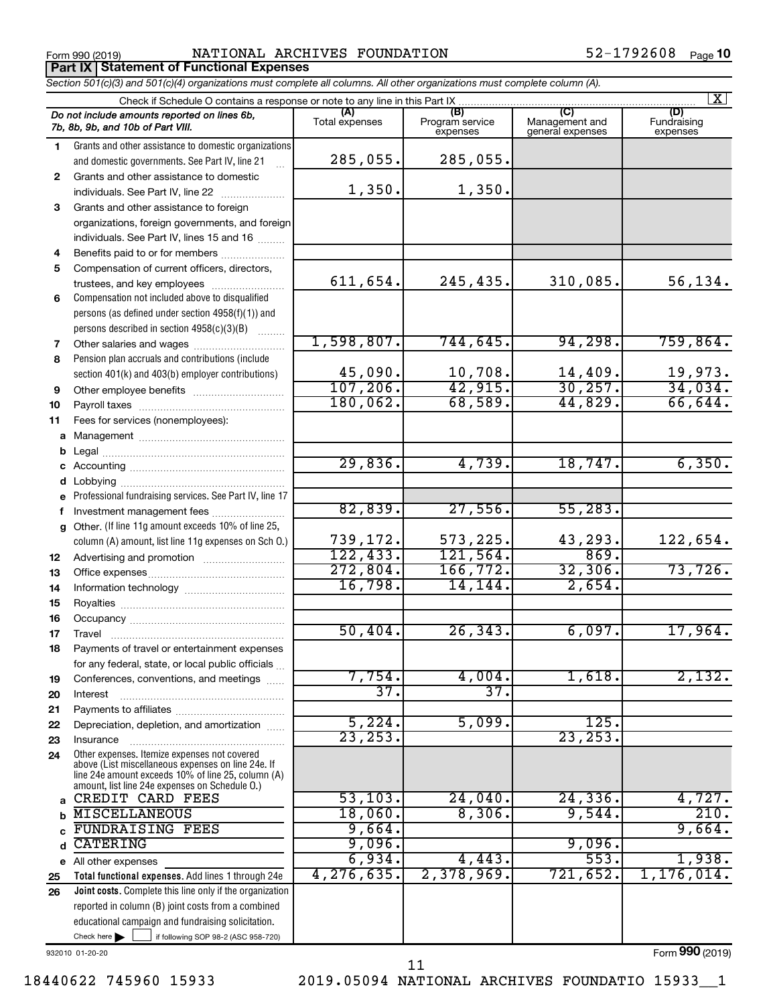**Part IX Statement of Functional Expenses**

Form 990 (2019) Page NATIONAL ARCHIVES FOUNDATION 52-1792608

|    | Section 501(c)(3) and 501(c)(4) organizations must complete all columns. All other organizations must complete column (A). |                       |                                    |                                           |                                |
|----|----------------------------------------------------------------------------------------------------------------------------|-----------------------|------------------------------------|-------------------------------------------|--------------------------------|
|    | Check if Schedule O contains a response or note to any line in this Part IX                                                |                       |                                    |                                           | X                              |
|    | Do not include amounts reported on lines 6b,<br>7b, 8b, 9b, and 10b of Part VIII.                                          | (A)<br>Total expenses | (B)<br>Program service<br>expenses | (C)<br>Management and<br>general expenses | (D)<br>Fundraising<br>expenses |
| 1  | Grants and other assistance to domestic organizations                                                                      |                       |                                    |                                           |                                |
|    | and domestic governments. See Part IV, line 21                                                                             | 285,055.              | 285,055.                           |                                           |                                |
| 2  | Grants and other assistance to domestic                                                                                    |                       |                                    |                                           |                                |
|    | individuals. See Part IV, line 22                                                                                          | 1,350.                | 1,350.                             |                                           |                                |
| 3  | Grants and other assistance to foreign                                                                                     |                       |                                    |                                           |                                |
|    | organizations, foreign governments, and foreign                                                                            |                       |                                    |                                           |                                |
|    | individuals. See Part IV, lines 15 and 16                                                                                  |                       |                                    |                                           |                                |
| 4  | Benefits paid to or for members                                                                                            |                       |                                    |                                           |                                |
| 5  | Compensation of current officers, directors,                                                                               |                       |                                    |                                           |                                |
|    | trustees, and key employees                                                                                                | 611,654.              | 245,435.                           | 310,085.                                  | 56, 134.                       |
| 6  | Compensation not included above to disqualified                                                                            |                       |                                    |                                           |                                |
|    | persons (as defined under section 4958(f)(1)) and                                                                          |                       |                                    |                                           |                                |
|    | persons described in section 4958(c)(3)(B)                                                                                 |                       |                                    |                                           |                                |
| 7  |                                                                                                                            | 1,598,807.            | 744,645.                           | 94, 298.                                  | 759,864.                       |
| 8  | Pension plan accruals and contributions (include                                                                           |                       |                                    |                                           |                                |
|    | section 401(k) and 403(b) employer contributions)                                                                          | 45,090.               | 10,708.                            | $\frac{14,409}{30,257}$                   | 19,973.                        |
| 9  | Other employee benefits                                                                                                    | 107, 206.             | 42,915.                            |                                           | 34,034.                        |
| 10 |                                                                                                                            | 180,062.              | 68,589.                            | 44,829.                                   | 66,644.                        |
| 11 | Fees for services (nonemployees):                                                                                          |                       |                                    |                                           |                                |
| a  |                                                                                                                            |                       |                                    |                                           |                                |
|    |                                                                                                                            |                       |                                    |                                           |                                |
|    |                                                                                                                            | 29,836.               | 4,739.                             | 18,747.                                   | 6,350.                         |
|    |                                                                                                                            |                       |                                    |                                           |                                |
|    | e Professional fundraising services. See Part IV, line 17                                                                  |                       |                                    |                                           |                                |
|    | f Investment management fees                                                                                               | 82,839.               | 27,556.                            | 55, 283.                                  |                                |
|    | g Other. (If line 11g amount exceeds 10% of line 25,                                                                       |                       |                                    |                                           |                                |
|    | column (A) amount, list line 11g expenses on Sch O.)                                                                       | 739,172.              | 573,225.                           | 43,293.                                   | 122,654.                       |
| 12 |                                                                                                                            | 122, 433.             | 121,564.                           | 869.                                      |                                |
| 13 |                                                                                                                            | 272,804.              | 166, 772.                          | 32,306.                                   | 73,726.                        |
| 14 |                                                                                                                            | 16,798.               | 14,144.                            | 2,654.                                    |                                |
| 15 |                                                                                                                            |                       |                                    |                                           |                                |
| 16 |                                                                                                                            |                       |                                    |                                           | 17,964.                        |
| 17 |                                                                                                                            | 50,404.               | 26, 343.                           | 6,097.                                    |                                |
| 18 | Payments of travel or entertainment expenses                                                                               |                       |                                    |                                           |                                |
|    | for any federal, state, or local public officials                                                                          | 7,754.                | 4,004.                             | 1,618.                                    | 2,132.                         |
| 19 | Conferences, conventions, and meetings                                                                                     | $\overline{37}$ .     | $\overline{37}$                    |                                           |                                |
| 20 | Interest                                                                                                                   |                       |                                    |                                           |                                |
| 21 | Depreciation, depletion, and amortization                                                                                  | 5,224.                | 5,099.                             | 125.                                      |                                |
| 22 |                                                                                                                            | 23, 253.              |                                    | 23, 253.                                  |                                |
| 23 | Insurance<br>Other expenses. Itemize expenses not covered                                                                  |                       |                                    |                                           |                                |
| 24 | above (List miscellaneous expenses on line 24e. If                                                                         |                       |                                    |                                           |                                |
|    | line 24e amount exceeds 10% of line 25, column (A)<br>amount, list line 24e expenses on Schedule O.)                       |                       |                                    |                                           |                                |
|    | CREDIT CARD FEES                                                                                                           | 53,103.               | 24,040.                            | 24, 336.                                  | 4,727.                         |
|    | <b>MISCELLANEOUS</b>                                                                                                       | 18,060.               | 8,306.                             | 9,544.                                    | 210.                           |
|    | <b>FUNDRAISING FEES</b>                                                                                                    | 9,664.                |                                    |                                           | 9,664.                         |
| d  | <b>CATERING</b>                                                                                                            | 9,096.                |                                    | 9,096.                                    |                                |
|    | e All other expenses                                                                                                       | 6,934.                | 4,443.                             | 553.                                      | 1,938.                         |
| 25 | Total functional expenses. Add lines 1 through 24e                                                                         | 4,276,635.            | 2,378,969.                         | 721,652.                                  | 1,176,014.                     |
| 26 | Joint costs. Complete this line only if the organization                                                                   |                       |                                    |                                           |                                |
|    | reported in column (B) joint costs from a combined                                                                         |                       |                                    |                                           |                                |
|    | educational campaign and fundraising solicitation.                                                                         |                       |                                    |                                           |                                |
|    | Check here $\blacktriangleright$<br>if following SOP 98-2 (ASC 958-720)                                                    |                       |                                    |                                           |                                |

932010 01-20-20

Form (2019) **990**

18440622 745960 15933 2019.05094 NATIONAL ARCHIVES FOUNDATIO 15933\_\_1 11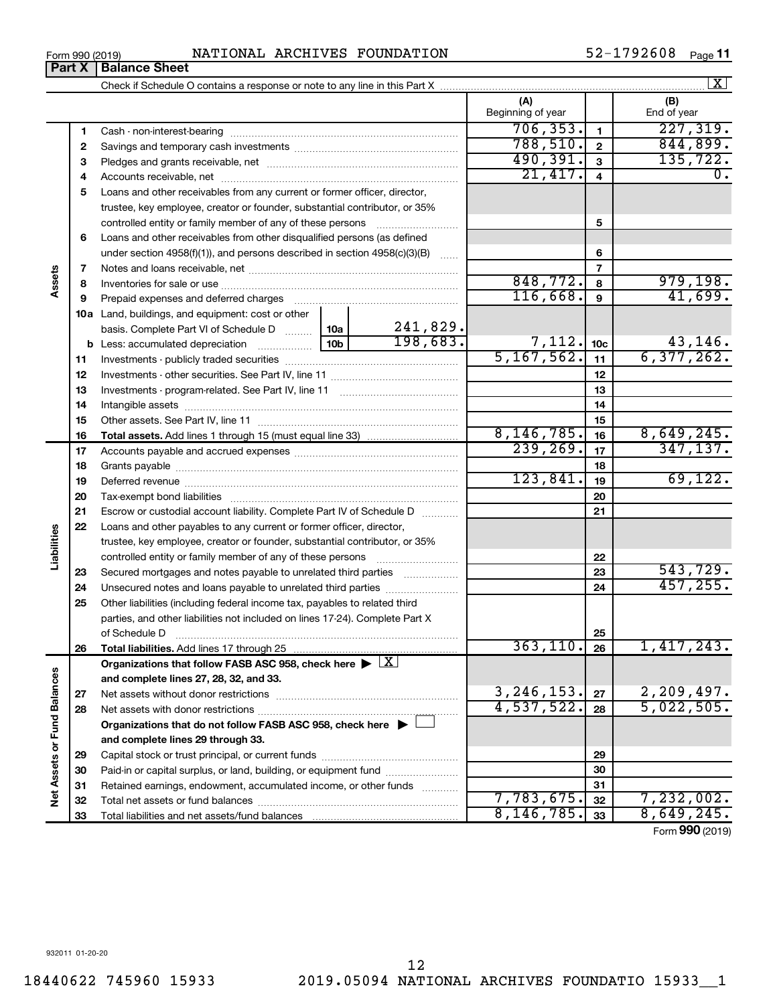Cash - non-interest-bearing Savings and temporary cash investments Pledges and grants receivable, net ~~~~~~~~~~~~~~~~~~~~~~~~~ ~~~~~~~~~~~~~~~~~~ ~~~~~~~~~~~~~~~~~~~~~ Accounts receivable, net ~~~~~~~~~~~~~~~~~~~~~~~~~~ Loans and other receivables from any current or former officer, director, trustee, key employee, creator or founder, substantial contributor, or 35% controlled entity or family member of any of these persons ~~~~~~~~~ Loans and other receivables from other disqualified persons (as defined under section 4958(f)(1)), and persons described in section 4958(c)(3)(B)  $\quad \ldots \ldots$ Notes and loans receivable, net ~~~~~~~~~~~~~~~~~~~~~~~

Check if Schedule O contains a response or note to any line in this Part X

|                                       | Beginning of year | End of year |
|---------------------------------------|-------------------|-------------|
| ash - non-interest-bearing            |                   |             |
| avings and temporary cash investments |                   |             |
| edges and grants receivable, net      |                   |             |
| counte receivable net                 |                   |             |

 $\boxed{\text{X}}$ 

|                         | 1  |                                                                                                        |  |                           | 706, 353.                   | $\mathbf{1}$    | 227,319.                   |
|-------------------------|----|--------------------------------------------------------------------------------------------------------|--|---------------------------|-----------------------------|-----------------|----------------------------|
|                         | 2  |                                                                                                        |  |                           | 788,510.                    | $\mathbf{2}$    | 844,899.                   |
|                         | З  |                                                                                                        |  |                           | 490,391.                    | $\mathbf{3}$    | 135, 722.                  |
|                         | 4  |                                                                                                        |  |                           | 21,417.                     | $\overline{4}$  | 0.                         |
|                         | 5  | Loans and other receivables from any current or former officer, director,                              |  |                           |                             |                 |                            |
|                         |    | trustee, key employee, creator or founder, substantial contributor, or 35%                             |  |                           |                             |                 |                            |
|                         |    | controlled entity or family member of any of these persons                                             |  |                           |                             | 5               |                            |
|                         | 6  | Loans and other receivables from other disqualified persons (as defined                                |  |                           |                             |                 |                            |
|                         |    | under section 4958(f)(1)), and persons described in section 4958(c)(3)(B)                              |  |                           |                             | 6               |                            |
|                         | 7  |                                                                                                        |  |                           |                             | 7               |                            |
| Assets                  | 8  |                                                                                                        |  |                           | 848,772.                    | 8               | 979,198.                   |
|                         | 9  |                                                                                                        |  |                           | 116,668.                    | 9               | 41,699.                    |
|                         |    | <b>10a</b> Land, buildings, and equipment: cost or other                                               |  |                           |                             |                 |                            |
|                         |    | basis. Complete Part VI of Schedule D  10a                                                             |  | $\frac{241,829}{198,683}$ |                             |                 |                            |
|                         |    |                                                                                                        |  |                           | $\frac{7,112.}{5,167,562.}$ | 10 <sub>c</sub> | $\frac{43,146}{6,377,262}$ |
|                         | 11 |                                                                                                        |  |                           |                             | 11              |                            |
|                         | 12 |                                                                                                        |  |                           |                             | 12              |                            |
|                         | 13 |                                                                                                        |  |                           |                             | 13              |                            |
|                         | 14 |                                                                                                        |  |                           |                             | 14              |                            |
|                         | 15 |                                                                                                        |  |                           |                             | 15              |                            |
|                         | 16 |                                                                                                        |  |                           | 8,146,785.                  | 16              | 8,649,245.                 |
|                         | 17 |                                                                                                        |  |                           | 239, 269.                   | 17              | 347, 137.                  |
|                         | 18 |                                                                                                        |  |                           |                             | 18              |                            |
|                         | 19 |                                                                                                        |  |                           | 123,841.                    | 19              | 69,122.                    |
|                         | 20 |                                                                                                        |  |                           |                             | 20              |                            |
|                         | 21 | Escrow or custodial account liability. Complete Part IV of Schedule D                                  |  |                           |                             | 21              |                            |
|                         | 22 | Loans and other payables to any current or former officer, director,                                   |  |                           |                             |                 |                            |
| Liabilities             |    | trustee, key employee, creator or founder, substantial contributor, or 35%                             |  |                           |                             |                 |                            |
|                         |    | controlled entity or family member of any of these persons                                             |  |                           |                             | 22              |                            |
|                         | 23 | Secured mortgages and notes payable to unrelated third parties                                         |  |                           |                             | 23              | 543,729.                   |
|                         | 24 | Unsecured notes and loans payable to unrelated third parties                                           |  |                           |                             | 24              | 457, 255.                  |
|                         | 25 | Other liabilities (including federal income tax, payables to related third                             |  |                           |                             |                 |                            |
|                         |    | parties, and other liabilities not included on lines 17-24). Complete Part X                           |  |                           |                             |                 |                            |
|                         |    | of Schedule D                                                                                          |  |                           |                             | 25              |                            |
|                         | 26 | Total liabilities. Add lines 17 through 25                                                             |  |                           | 363, 110.                   | 26              | 1,417,243.                 |
|                         |    | Organizations that follow FASB ASC 958, check here $\blacktriangleright \lfloor \underline{X} \rfloor$ |  |                           |                             |                 |                            |
| nces                    |    | and complete lines 27, 28, 32, and 33.                                                                 |  |                           |                             |                 |                            |
|                         | 27 |                                                                                                        |  |                           | 3, 246, 153.                | 27              | 2, 209, 497.               |
|                         | 28 |                                                                                                        |  |                           | 4,537,522.                  | 28              | 5,022,505.                 |
|                         |    | Organizations that do not follow FASB ASC 958, check here $\blacktriangleright$                        |  |                           |                             |                 |                            |
| Net Assets or Fund Bala |    | and complete lines 29 through 33.                                                                      |  |                           |                             |                 |                            |
|                         | 29 |                                                                                                        |  |                           |                             | 29              |                            |
|                         | 30 | Paid-in or capital surplus, or land, building, or equipment fund                                       |  |                           | 30                          |                 |                            |
|                         | 31 | Retained earnings, endowment, accumulated income, or other funds                                       |  |                           |                             | 31              |                            |
|                         | 32 |                                                                                                        |  |                           | 7,783,675.                  | 32              | 7,232,002.                 |
|                         | 33 | Total liabilities and net assets/fund balances                                                         |  |                           | 8, 146, 785.                | 33              | 8,649,245.                 |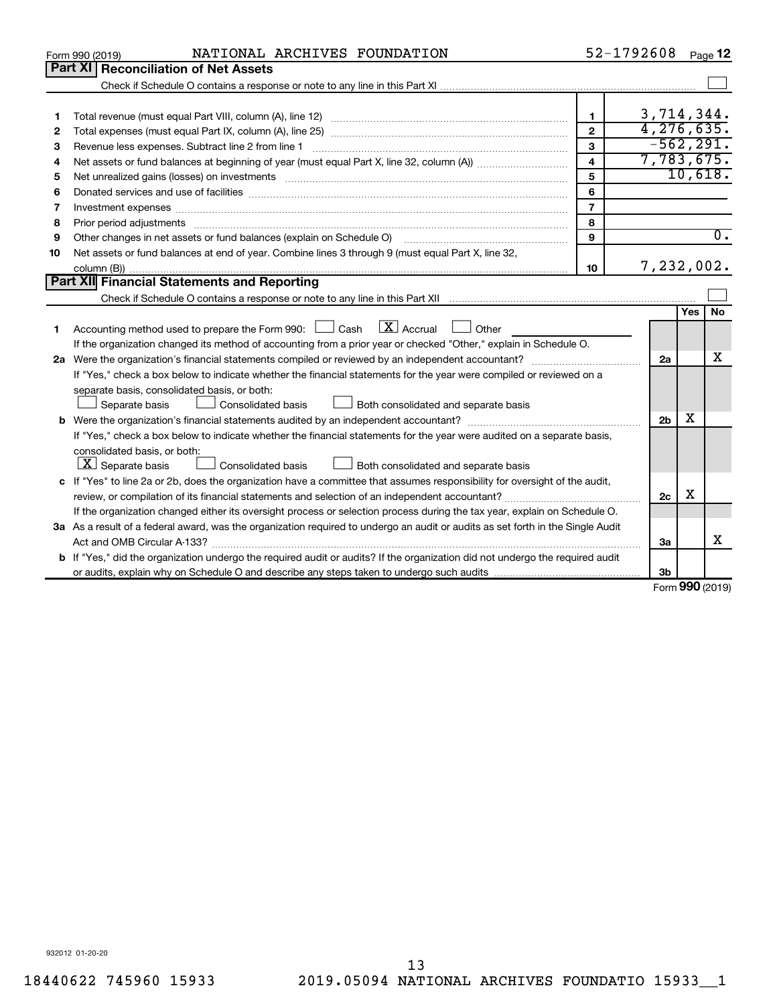|    | NATIONAL ARCHIVES FOUNDATION<br>Form 990 (2019)                                                                                                                                                                                |                         | 52-1792608     |                   | Page 12          |
|----|--------------------------------------------------------------------------------------------------------------------------------------------------------------------------------------------------------------------------------|-------------------------|----------------|-------------------|------------------|
|    | Part XI<br><b>Reconciliation of Net Assets</b>                                                                                                                                                                                 |                         |                |                   |                  |
|    |                                                                                                                                                                                                                                |                         |                |                   |                  |
|    |                                                                                                                                                                                                                                |                         |                |                   |                  |
| 1  |                                                                                                                                                                                                                                | 1.                      | 3,714,344.     |                   |                  |
| 2  |                                                                                                                                                                                                                                | $\overline{2}$          | 4, 276, 635.   |                   |                  |
| 3  | Revenue less expenses. Subtract line 2 from line 1                                                                                                                                                                             | 3                       | $-562, 291.$   |                   |                  |
| 4  |                                                                                                                                                                                                                                | $\overline{\mathbf{4}}$ | 7,783,675.     |                   |                  |
| 5  |                                                                                                                                                                                                                                | 5                       |                |                   | 10,618.          |
| 6  |                                                                                                                                                                                                                                | 6                       |                |                   |                  |
| 7  |                                                                                                                                                                                                                                | $\overline{7}$          |                |                   |                  |
| 8  | Prior period adjustments material contents and content of the content of the content of the content of the content of the content of the content of the content of the content of the content of the content of the content of | 8                       |                |                   |                  |
| 9  | Other changes in net assets or fund balances (explain on Schedule O)                                                                                                                                                           | 9                       |                |                   | $\overline{0}$ . |
| 10 | Net assets or fund balances at end of year. Combine lines 3 through 9 (must equal Part X, line 32,                                                                                                                             |                         |                |                   |                  |
|    |                                                                                                                                                                                                                                | 10                      | 7,232,002.     |                   |                  |
|    | Part XII Financial Statements and Reporting                                                                                                                                                                                    |                         |                |                   |                  |
|    |                                                                                                                                                                                                                                |                         |                |                   |                  |
|    |                                                                                                                                                                                                                                |                         |                | Yes               | <b>No</b>        |
| 1. | $\boxed{\text{X}}$ Accrual<br>Accounting method used to prepare the Form 990: [130] Cash<br>$\Box$ Other                                                                                                                       |                         |                |                   |                  |
|    | If the organization changed its method of accounting from a prior year or checked "Other," explain in Schedule O.                                                                                                              |                         |                |                   |                  |
|    |                                                                                                                                                                                                                                |                         | 2a             |                   | x                |
|    | If "Yes," check a box below to indicate whether the financial statements for the year were compiled or reviewed on a                                                                                                           |                         |                |                   |                  |
|    | separate basis, consolidated basis, or both:                                                                                                                                                                                   |                         |                |                   |                  |
|    | Separate basis<br>Consolidated basis<br>Both consolidated and separate basis                                                                                                                                                   |                         |                |                   |                  |
|    |                                                                                                                                                                                                                                |                         | 2 <sub>b</sub> | х                 |                  |
|    | If "Yes," check a box below to indicate whether the financial statements for the year were audited on a separate basis,                                                                                                        |                         |                |                   |                  |
|    | consolidated basis, or both:                                                                                                                                                                                                   |                         |                |                   |                  |
|    | $ \mathbf{X} $ Separate basis<br><b>Consolidated basis</b><br>Both consolidated and separate basis                                                                                                                             |                         |                |                   |                  |
|    | c If "Yes" to line 2a or 2b, does the organization have a committee that assumes responsibility for oversight of the audit,                                                                                                    |                         |                |                   |                  |
|    |                                                                                                                                                                                                                                |                         | 2c             | х                 |                  |
|    | If the organization changed either its oversight process or selection process during the tax year, explain on Schedule O.                                                                                                      |                         |                |                   |                  |
|    | 3a As a result of a federal award, was the organization required to undergo an audit or audits as set forth in the Single Audit                                                                                                |                         |                |                   |                  |
|    |                                                                                                                                                                                                                                |                         | За             |                   | x                |
|    | <b>b</b> If "Yes," did the organization undergo the required audit or audits? If the organization did not undergo the required audit                                                                                           |                         |                |                   |                  |
|    |                                                                                                                                                                                                                                |                         | Зb             | $000 \, \text{m}$ |                  |

Form (2019) **990**

932012 01-20-20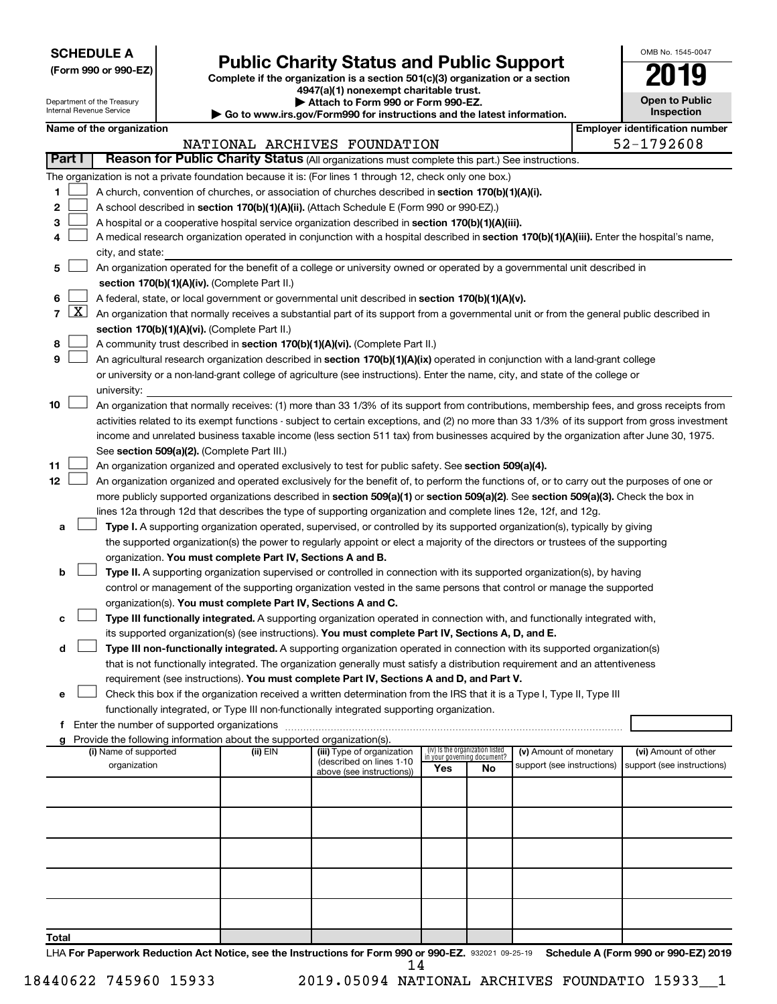**SCHEDULE A**

I

## **Public Charity Status and Public Support**

**(Form 990 or 990-EZ) Complete if the organization is a section 501(c)(3) organization or a section**

**4947(a)(1) nonexempt charitable trust.**

|   | <b>Open to Public</b><br>Inspection |
|---|-------------------------------------|
| r | antification num                    |

OMB No. 1545-0047

|                |                                                                                           | Department of the Treasury<br>Internal Revenue Service |  |                                                                        | Attach to Form 990 or Form 990-EZ.<br>Go to www.irs.gov/Form990 for instructions and the latest information.                                                                                                                                       |                                 |                                   |                            |  | <b>Open to Public</b><br>Inspection   |
|----------------|-------------------------------------------------------------------------------------------|--------------------------------------------------------|--|------------------------------------------------------------------------|----------------------------------------------------------------------------------------------------------------------------------------------------------------------------------------------------------------------------------------------------|---------------------------------|-----------------------------------|----------------------------|--|---------------------------------------|
|                |                                                                                           | Name of the organization                               |  |                                                                        |                                                                                                                                                                                                                                                    |                                 |                                   |                            |  | <b>Employer identification number</b> |
|                |                                                                                           |                                                        |  |                                                                        | NATIONAL ARCHIVES FOUNDATION                                                                                                                                                                                                                       |                                 |                                   |                            |  | 52-1792608                            |
|                | Part I                                                                                    |                                                        |  |                                                                        | Reason for Public Charity Status (All organizations must complete this part.) See instructions.                                                                                                                                                    |                                 |                                   |                            |  |                                       |
|                |                                                                                           |                                                        |  |                                                                        | The organization is not a private foundation because it is: (For lines 1 through 12, check only one box.)                                                                                                                                          |                                 |                                   |                            |  |                                       |
| 1              |                                                                                           |                                                        |  |                                                                        | A church, convention of churches, or association of churches described in section 170(b)(1)(A)(i).                                                                                                                                                 |                                 |                                   |                            |  |                                       |
| 2              |                                                                                           |                                                        |  |                                                                        | A school described in section 170(b)(1)(A)(ii). (Attach Schedule E (Form 990 or 990-EZ).)                                                                                                                                                          |                                 |                                   |                            |  |                                       |
| 3              |                                                                                           |                                                        |  |                                                                        | A hospital or a cooperative hospital service organization described in section 170(b)(1)(A)(iii).                                                                                                                                                  |                                 |                                   |                            |  |                                       |
| 4              |                                                                                           |                                                        |  |                                                                        | A medical research organization operated in conjunction with a hospital described in section 170(b)(1)(A)(iii). Enter the hospital's name,                                                                                                         |                                 |                                   |                            |  |                                       |
|                |                                                                                           | city, and state:                                       |  |                                                                        |                                                                                                                                                                                                                                                    |                                 |                                   |                            |  |                                       |
| 5              |                                                                                           |                                                        |  |                                                                        | An organization operated for the benefit of a college or university owned or operated by a governmental unit described in                                                                                                                          |                                 |                                   |                            |  |                                       |
|                |                                                                                           |                                                        |  | section 170(b)(1)(A)(iv). (Complete Part II.)                          |                                                                                                                                                                                                                                                    |                                 |                                   |                            |  |                                       |
| 6              |                                                                                           |                                                        |  |                                                                        |                                                                                                                                                                                                                                                    |                                 |                                   |                            |  |                                       |
| $\overline{7}$ | $\lfloor x \rfloor$                                                                       |                                                        |  |                                                                        | A federal, state, or local government or governmental unit described in section 170(b)(1)(A)(v).                                                                                                                                                   |                                 |                                   |                            |  |                                       |
|                |                                                                                           |                                                        |  |                                                                        | An organization that normally receives a substantial part of its support from a governmental unit or from the general public described in                                                                                                          |                                 |                                   |                            |  |                                       |
|                |                                                                                           |                                                        |  | section 170(b)(1)(A)(vi). (Complete Part II.)                          |                                                                                                                                                                                                                                                    |                                 |                                   |                            |  |                                       |
| 8<br>9         |                                                                                           |                                                        |  |                                                                        | A community trust described in section 170(b)(1)(A)(vi). (Complete Part II.)                                                                                                                                                                       |                                 |                                   |                            |  |                                       |
|                |                                                                                           |                                                        |  |                                                                        | An agricultural research organization described in section 170(b)(1)(A)(ix) operated in conjunction with a land-grant college                                                                                                                      |                                 |                                   |                            |  |                                       |
|                |                                                                                           |                                                        |  |                                                                        | or university or a non-land-grant college of agriculture (see instructions). Enter the name, city, and state of the college or                                                                                                                     |                                 |                                   |                            |  |                                       |
|                |                                                                                           | university:                                            |  |                                                                        |                                                                                                                                                                                                                                                    |                                 |                                   |                            |  |                                       |
| 10             |                                                                                           |                                                        |  |                                                                        | An organization that normally receives: (1) more than 33 1/3% of its support from contributions, membership fees, and gross receipts from                                                                                                          |                                 |                                   |                            |  |                                       |
|                |                                                                                           |                                                        |  |                                                                        | activities related to its exempt functions - subject to certain exceptions, and (2) no more than 33 1/3% of its support from gross investment                                                                                                      |                                 |                                   |                            |  |                                       |
|                |                                                                                           |                                                        |  |                                                                        | income and unrelated business taxable income (less section 511 tax) from businesses acquired by the organization after June 30, 1975.                                                                                                              |                                 |                                   |                            |  |                                       |
| 11             |                                                                                           |                                                        |  | See section 509(a)(2). (Complete Part III.)                            |                                                                                                                                                                                                                                                    |                                 |                                   |                            |  |                                       |
| 12             |                                                                                           |                                                        |  |                                                                        | An organization organized and operated exclusively to test for public safety. See section 509(a)(4).<br>An organization organized and operated exclusively for the benefit of, to perform the functions of, or to carry out the purposes of one or |                                 |                                   |                            |  |                                       |
|                |                                                                                           |                                                        |  |                                                                        |                                                                                                                                                                                                                                                    |                                 |                                   |                            |  |                                       |
|                |                                                                                           |                                                        |  |                                                                        | more publicly supported organizations described in section 509(a)(1) or section 509(a)(2). See section 509(a)(3). Check the box in                                                                                                                 |                                 |                                   |                            |  |                                       |
|                |                                                                                           |                                                        |  |                                                                        | lines 12a through 12d that describes the type of supporting organization and complete lines 12e, 12f, and 12g.<br>Type I. A supporting organization operated, supervised, or controlled by its supported organization(s), typically by giving      |                                 |                                   |                            |  |                                       |
| а              |                                                                                           |                                                        |  |                                                                        | the supported organization(s) the power to regularly appoint or elect a majority of the directors or trustees of the supporting                                                                                                                    |                                 |                                   |                            |  |                                       |
|                |                                                                                           |                                                        |  | organization. You must complete Part IV, Sections A and B.             |                                                                                                                                                                                                                                                    |                                 |                                   |                            |  |                                       |
| b              |                                                                                           |                                                        |  |                                                                        | Type II. A supporting organization supervised or controlled in connection with its supported organization(s), by having                                                                                                                            |                                 |                                   |                            |  |                                       |
|                |                                                                                           |                                                        |  |                                                                        | control or management of the supporting organization vested in the same persons that control or manage the supported                                                                                                                               |                                 |                                   |                            |  |                                       |
|                |                                                                                           |                                                        |  | organization(s). You must complete Part IV, Sections A and C.          |                                                                                                                                                                                                                                                    |                                 |                                   |                            |  |                                       |
|                |                                                                                           |                                                        |  |                                                                        | Type III functionally integrated. A supporting organization operated in connection with, and functionally integrated with,                                                                                                                         |                                 |                                   |                            |  |                                       |
| с              |                                                                                           |                                                        |  |                                                                        |                                                                                                                                                                                                                                                    |                                 |                                   |                            |  |                                       |
| d              |                                                                                           |                                                        |  |                                                                        | its supported organization(s) (see instructions). You must complete Part IV, Sections A, D, and E.<br>Type III non-functionally integrated. A supporting organization operated in connection with its supported organization(s)                    |                                 |                                   |                            |  |                                       |
|                |                                                                                           |                                                        |  |                                                                        | that is not functionally integrated. The organization generally must satisfy a distribution requirement and an attentiveness                                                                                                                       |                                 |                                   |                            |  |                                       |
|                |                                                                                           |                                                        |  |                                                                        | requirement (see instructions). You must complete Part IV, Sections A and D, and Part V.                                                                                                                                                           |                                 |                                   |                            |  |                                       |
| е              |                                                                                           |                                                        |  |                                                                        | Check this box if the organization received a written determination from the IRS that it is a Type I, Type II, Type III                                                                                                                            |                                 |                                   |                            |  |                                       |
|                |                                                                                           |                                                        |  |                                                                        |                                                                                                                                                                                                                                                    |                                 |                                   |                            |  |                                       |
|                | functionally integrated, or Type III non-functionally integrated supporting organization. |                                                        |  |                                                                        |                                                                                                                                                                                                                                                    |                                 |                                   |                            |  |                                       |
| g              |                                                                                           |                                                        |  | Provide the following information about the supported organization(s). |                                                                                                                                                                                                                                                    |                                 |                                   |                            |  |                                       |
|                |                                                                                           | (i) Name of supported                                  |  | (ii) EIN                                                               | (iii) Type of organization                                                                                                                                                                                                                         | (iv) Is the organization listed |                                   | (v) Amount of monetary     |  | (vi) Amount of other                  |
|                |                                                                                           | organization                                           |  |                                                                        | (described on lines 1-10                                                                                                                                                                                                                           | Yes                             | in your governing document?<br>No | support (see instructions) |  | support (see instructions)            |
|                |                                                                                           |                                                        |  |                                                                        | above (see instructions))                                                                                                                                                                                                                          |                                 |                                   |                            |  |                                       |
|                |                                                                                           |                                                        |  |                                                                        |                                                                                                                                                                                                                                                    |                                 |                                   |                            |  |                                       |
|                |                                                                                           |                                                        |  |                                                                        |                                                                                                                                                                                                                                                    |                                 |                                   |                            |  |                                       |
|                |                                                                                           |                                                        |  |                                                                        |                                                                                                                                                                                                                                                    |                                 |                                   |                            |  |                                       |
|                |                                                                                           |                                                        |  |                                                                        |                                                                                                                                                                                                                                                    |                                 |                                   |                            |  |                                       |
|                |                                                                                           |                                                        |  |                                                                        |                                                                                                                                                                                                                                                    |                                 |                                   |                            |  |                                       |
|                |                                                                                           |                                                        |  |                                                                        |                                                                                                                                                                                                                                                    |                                 |                                   |                            |  |                                       |
|                |                                                                                           |                                                        |  |                                                                        |                                                                                                                                                                                                                                                    |                                 |                                   |                            |  |                                       |
|                |                                                                                           |                                                        |  |                                                                        |                                                                                                                                                                                                                                                    |                                 |                                   |                            |  |                                       |
|                |                                                                                           |                                                        |  |                                                                        |                                                                                                                                                                                                                                                    |                                 |                                   |                            |  |                                       |

**Total**

LHA For Paperwork Reduction Act Notice, see the Instructions for Form 990 or 990-EZ. 932021 09-25-19 Schedule A (Form 990 or 990-EZ) 2019 14

18440622 745960 15933 2019.05094 NATIONAL ARCHIVES FOUNDATIO 15933\_\_1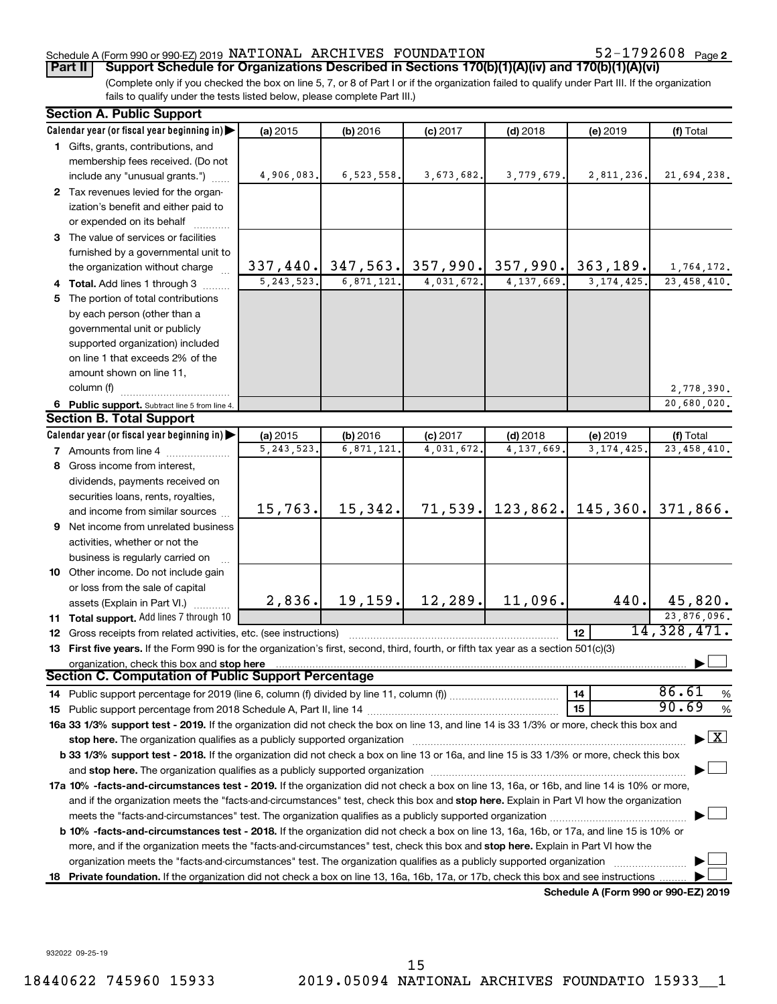#### Schedule A (Form 990 or 990-EZ) 2019  $\,$  NATIONAL  $\,$  ARCHIVES  $\,$  FOUNDATION  $\,$  52 – 1792608  $\,$   $_{\rm{Page}}$

52-1792608 Page 2

(Complete only if you checked the box on line 5, 7, or 8 of Part I or if the organization failed to qualify under Part III. If the organization fails to qualify under the tests listed below, please complete Part III.) **Part II Support Schedule for Organizations Described in Sections 170(b)(1)(A)(iv) and 170(b)(1)(A)(vi)**

| Calendar year (or fiscal year beginning in) $\blacktriangleright$<br>(a) 2015<br>(f) Total<br>(b) 2016<br>$(c)$ 2017<br>$(d)$ 2018<br>(e) 2019<br>1 Gifts, grants, contributions, and<br>membership fees received. (Do not<br>include any "unusual grants.")<br>4,906,083.<br>6,523,558.<br>3,673,682.<br>3,779,679.<br>2,811,236.<br>2 Tax revenues levied for the organ-<br>ization's benefit and either paid to<br>or expended on its behalf<br>3 The value of services or facilities<br>furnished by a governmental unit to<br>337,440. 347,563. 357,990. 357,990. 363,189.<br>the organization without charge<br>5, 243, 523.<br>6, 871, 121.<br>4, 137, 669.<br>4,031,672.<br>3, 174, 425.<br>4 Total. Add lines 1 through 3<br>5 The portion of total contributions<br>by each person (other than a<br>governmental unit or publicly<br>supported organization) included<br>on line 1 that exceeds 2% of the<br>amount shown on line 11,<br>column (f)<br>6 Public support. Subtract line 5 from line 4.<br><b>Section B. Total Support</b><br>Calendar year (or fiscal year beginning in)<br>(a) 2015<br>(b) 2016<br>$(d)$ 2018<br>$(c)$ 2017<br>$(e)$ 2019<br>(f) Total<br>5, 243, 523.<br>6,871,121<br>4,031,672.<br>4,137,669<br>3, 174, 425.<br>7 Amounts from line 4<br>8 Gross income from interest,<br>dividends, payments received on<br>securities loans, rents, royalties,<br>71,539. 123,862. 145,360. 371,866.<br>15,342.<br>15,763.<br>and income from similar sources<br><b>9</b> Net income from unrelated business<br>activities, whether or not the<br>business is regularly carried on<br>10 Other income. Do not include gain<br>or loss from the sale of capital<br>19,159.<br>12,289.<br>11,096.<br>2,836.<br>440.<br>45,820.<br>assets (Explain in Part VI.)<br>11 Total support. Add lines 7 through 10<br>14, 328, 471.<br>12<br><b>12</b> Gross receipts from related activities, etc. (see instructions)<br>13 First five years. If the Form 990 is for the organization's first, second, third, fourth, or fifth tax year as a section 501(c)(3)<br>organization, check this box and stop here<br>Section C. Computation of Public Support Percentage<br>86.61<br>14<br>90.69<br>15<br>16a 33 1/3% support test - 2019. If the organization did not check the box on line 13, and line 14 is 33 1/3% or more, check this box and<br>$\blacktriangleright$ $\boxed{\text{X}}$<br>b 33 1/3% support test - 2018. If the organization did not check a box on line 13 or 16a, and line 15 is 33 1/3% or more, check this box<br>17a 10% -facts-and-circumstances test - 2019. If the organization did not check a box on line 13, 16a, or 16b, and line 14 is 10% or more,<br>and if the organization meets the "facts-and-circumstances" test, check this box and stop here. Explain in Part VI how the organization<br><b>b 10%</b> -facts-and-circumstances test - 2018. If the organization did not check a box on line 13, 16a, 16b, or 17a, and line 15 is 10% or<br>more, and if the organization meets the "facts-and-circumstances" test, check this box and stop here. Explain in Part VI how the | <b>Section A. Public Support</b> |  |  |               |
|--------------------------------------------------------------------------------------------------------------------------------------------------------------------------------------------------------------------------------------------------------------------------------------------------------------------------------------------------------------------------------------------------------------------------------------------------------------------------------------------------------------------------------------------------------------------------------------------------------------------------------------------------------------------------------------------------------------------------------------------------------------------------------------------------------------------------------------------------------------------------------------------------------------------------------------------------------------------------------------------------------------------------------------------------------------------------------------------------------------------------------------------------------------------------------------------------------------------------------------------------------------------------------------------------------------------------------------------------------------------------------------------------------------------------------------------------------------------------------------------------------------------------------------------------------------------------------------------------------------------------------------------------------------------------------------------------------------------------------------------------------------------------------------------------------------------------------------------------------------------------------------------------------------------------------------------------------------------------------------------------------------------------------------------------------------------------------------------------------------------------------------------------------------------------------------------------------------------------------------------------------------------------------------------------------------------------------------------------------------------------------------------------------------------------------------------------------------------------------------------------------------------------------------------------------------------------------------------------------------------------------------------------------------------------------------------------------------------------------------------------------------------------------------------------------------------------------------------------------------------------------------------------------------------------------------------------------------------------------------------------------------------------------------------------------------------------------------------------------------------------------------------|----------------------------------|--|--|---------------|
|                                                                                                                                                                                                                                                                                                                                                                                                                                                                                                                                                                                                                                                                                                                                                                                                                                                                                                                                                                                                                                                                                                                                                                                                                                                                                                                                                                                                                                                                                                                                                                                                                                                                                                                                                                                                                                                                                                                                                                                                                                                                                                                                                                                                                                                                                                                                                                                                                                                                                                                                                                                                                                                                                                                                                                                                                                                                                                                                                                                                                                                                                                                                            |                                  |  |  |               |
|                                                                                                                                                                                                                                                                                                                                                                                                                                                                                                                                                                                                                                                                                                                                                                                                                                                                                                                                                                                                                                                                                                                                                                                                                                                                                                                                                                                                                                                                                                                                                                                                                                                                                                                                                                                                                                                                                                                                                                                                                                                                                                                                                                                                                                                                                                                                                                                                                                                                                                                                                                                                                                                                                                                                                                                                                                                                                                                                                                                                                                                                                                                                            |                                  |  |  |               |
|                                                                                                                                                                                                                                                                                                                                                                                                                                                                                                                                                                                                                                                                                                                                                                                                                                                                                                                                                                                                                                                                                                                                                                                                                                                                                                                                                                                                                                                                                                                                                                                                                                                                                                                                                                                                                                                                                                                                                                                                                                                                                                                                                                                                                                                                                                                                                                                                                                                                                                                                                                                                                                                                                                                                                                                                                                                                                                                                                                                                                                                                                                                                            |                                  |  |  |               |
|                                                                                                                                                                                                                                                                                                                                                                                                                                                                                                                                                                                                                                                                                                                                                                                                                                                                                                                                                                                                                                                                                                                                                                                                                                                                                                                                                                                                                                                                                                                                                                                                                                                                                                                                                                                                                                                                                                                                                                                                                                                                                                                                                                                                                                                                                                                                                                                                                                                                                                                                                                                                                                                                                                                                                                                                                                                                                                                                                                                                                                                                                                                                            |                                  |  |  | 21,694,238.   |
|                                                                                                                                                                                                                                                                                                                                                                                                                                                                                                                                                                                                                                                                                                                                                                                                                                                                                                                                                                                                                                                                                                                                                                                                                                                                                                                                                                                                                                                                                                                                                                                                                                                                                                                                                                                                                                                                                                                                                                                                                                                                                                                                                                                                                                                                                                                                                                                                                                                                                                                                                                                                                                                                                                                                                                                                                                                                                                                                                                                                                                                                                                                                            |                                  |  |  |               |
|                                                                                                                                                                                                                                                                                                                                                                                                                                                                                                                                                                                                                                                                                                                                                                                                                                                                                                                                                                                                                                                                                                                                                                                                                                                                                                                                                                                                                                                                                                                                                                                                                                                                                                                                                                                                                                                                                                                                                                                                                                                                                                                                                                                                                                                                                                                                                                                                                                                                                                                                                                                                                                                                                                                                                                                                                                                                                                                                                                                                                                                                                                                                            |                                  |  |  |               |
|                                                                                                                                                                                                                                                                                                                                                                                                                                                                                                                                                                                                                                                                                                                                                                                                                                                                                                                                                                                                                                                                                                                                                                                                                                                                                                                                                                                                                                                                                                                                                                                                                                                                                                                                                                                                                                                                                                                                                                                                                                                                                                                                                                                                                                                                                                                                                                                                                                                                                                                                                                                                                                                                                                                                                                                                                                                                                                                                                                                                                                                                                                                                            |                                  |  |  |               |
|                                                                                                                                                                                                                                                                                                                                                                                                                                                                                                                                                                                                                                                                                                                                                                                                                                                                                                                                                                                                                                                                                                                                                                                                                                                                                                                                                                                                                                                                                                                                                                                                                                                                                                                                                                                                                                                                                                                                                                                                                                                                                                                                                                                                                                                                                                                                                                                                                                                                                                                                                                                                                                                                                                                                                                                                                                                                                                                                                                                                                                                                                                                                            |                                  |  |  |               |
|                                                                                                                                                                                                                                                                                                                                                                                                                                                                                                                                                                                                                                                                                                                                                                                                                                                                                                                                                                                                                                                                                                                                                                                                                                                                                                                                                                                                                                                                                                                                                                                                                                                                                                                                                                                                                                                                                                                                                                                                                                                                                                                                                                                                                                                                                                                                                                                                                                                                                                                                                                                                                                                                                                                                                                                                                                                                                                                                                                                                                                                                                                                                            |                                  |  |  |               |
|                                                                                                                                                                                                                                                                                                                                                                                                                                                                                                                                                                                                                                                                                                                                                                                                                                                                                                                                                                                                                                                                                                                                                                                                                                                                                                                                                                                                                                                                                                                                                                                                                                                                                                                                                                                                                                                                                                                                                                                                                                                                                                                                                                                                                                                                                                                                                                                                                                                                                                                                                                                                                                                                                                                                                                                                                                                                                                                                                                                                                                                                                                                                            |                                  |  |  | 1,764,172.    |
|                                                                                                                                                                                                                                                                                                                                                                                                                                                                                                                                                                                                                                                                                                                                                                                                                                                                                                                                                                                                                                                                                                                                                                                                                                                                                                                                                                                                                                                                                                                                                                                                                                                                                                                                                                                                                                                                                                                                                                                                                                                                                                                                                                                                                                                                                                                                                                                                                                                                                                                                                                                                                                                                                                                                                                                                                                                                                                                                                                                                                                                                                                                                            |                                  |  |  | 23, 458, 410. |
|                                                                                                                                                                                                                                                                                                                                                                                                                                                                                                                                                                                                                                                                                                                                                                                                                                                                                                                                                                                                                                                                                                                                                                                                                                                                                                                                                                                                                                                                                                                                                                                                                                                                                                                                                                                                                                                                                                                                                                                                                                                                                                                                                                                                                                                                                                                                                                                                                                                                                                                                                                                                                                                                                                                                                                                                                                                                                                                                                                                                                                                                                                                                            |                                  |  |  |               |
|                                                                                                                                                                                                                                                                                                                                                                                                                                                                                                                                                                                                                                                                                                                                                                                                                                                                                                                                                                                                                                                                                                                                                                                                                                                                                                                                                                                                                                                                                                                                                                                                                                                                                                                                                                                                                                                                                                                                                                                                                                                                                                                                                                                                                                                                                                                                                                                                                                                                                                                                                                                                                                                                                                                                                                                                                                                                                                                                                                                                                                                                                                                                            |                                  |  |  |               |
|                                                                                                                                                                                                                                                                                                                                                                                                                                                                                                                                                                                                                                                                                                                                                                                                                                                                                                                                                                                                                                                                                                                                                                                                                                                                                                                                                                                                                                                                                                                                                                                                                                                                                                                                                                                                                                                                                                                                                                                                                                                                                                                                                                                                                                                                                                                                                                                                                                                                                                                                                                                                                                                                                                                                                                                                                                                                                                                                                                                                                                                                                                                                            |                                  |  |  |               |
|                                                                                                                                                                                                                                                                                                                                                                                                                                                                                                                                                                                                                                                                                                                                                                                                                                                                                                                                                                                                                                                                                                                                                                                                                                                                                                                                                                                                                                                                                                                                                                                                                                                                                                                                                                                                                                                                                                                                                                                                                                                                                                                                                                                                                                                                                                                                                                                                                                                                                                                                                                                                                                                                                                                                                                                                                                                                                                                                                                                                                                                                                                                                            |                                  |  |  |               |
|                                                                                                                                                                                                                                                                                                                                                                                                                                                                                                                                                                                                                                                                                                                                                                                                                                                                                                                                                                                                                                                                                                                                                                                                                                                                                                                                                                                                                                                                                                                                                                                                                                                                                                                                                                                                                                                                                                                                                                                                                                                                                                                                                                                                                                                                                                                                                                                                                                                                                                                                                                                                                                                                                                                                                                                                                                                                                                                                                                                                                                                                                                                                            |                                  |  |  |               |
|                                                                                                                                                                                                                                                                                                                                                                                                                                                                                                                                                                                                                                                                                                                                                                                                                                                                                                                                                                                                                                                                                                                                                                                                                                                                                                                                                                                                                                                                                                                                                                                                                                                                                                                                                                                                                                                                                                                                                                                                                                                                                                                                                                                                                                                                                                                                                                                                                                                                                                                                                                                                                                                                                                                                                                                                                                                                                                                                                                                                                                                                                                                                            |                                  |  |  |               |
|                                                                                                                                                                                                                                                                                                                                                                                                                                                                                                                                                                                                                                                                                                                                                                                                                                                                                                                                                                                                                                                                                                                                                                                                                                                                                                                                                                                                                                                                                                                                                                                                                                                                                                                                                                                                                                                                                                                                                                                                                                                                                                                                                                                                                                                                                                                                                                                                                                                                                                                                                                                                                                                                                                                                                                                                                                                                                                                                                                                                                                                                                                                                            |                                  |  |  | 2,778,390.    |
|                                                                                                                                                                                                                                                                                                                                                                                                                                                                                                                                                                                                                                                                                                                                                                                                                                                                                                                                                                                                                                                                                                                                                                                                                                                                                                                                                                                                                                                                                                                                                                                                                                                                                                                                                                                                                                                                                                                                                                                                                                                                                                                                                                                                                                                                                                                                                                                                                                                                                                                                                                                                                                                                                                                                                                                                                                                                                                                                                                                                                                                                                                                                            |                                  |  |  | 20,680,020.   |
|                                                                                                                                                                                                                                                                                                                                                                                                                                                                                                                                                                                                                                                                                                                                                                                                                                                                                                                                                                                                                                                                                                                                                                                                                                                                                                                                                                                                                                                                                                                                                                                                                                                                                                                                                                                                                                                                                                                                                                                                                                                                                                                                                                                                                                                                                                                                                                                                                                                                                                                                                                                                                                                                                                                                                                                                                                                                                                                                                                                                                                                                                                                                            |                                  |  |  |               |
|                                                                                                                                                                                                                                                                                                                                                                                                                                                                                                                                                                                                                                                                                                                                                                                                                                                                                                                                                                                                                                                                                                                                                                                                                                                                                                                                                                                                                                                                                                                                                                                                                                                                                                                                                                                                                                                                                                                                                                                                                                                                                                                                                                                                                                                                                                                                                                                                                                                                                                                                                                                                                                                                                                                                                                                                                                                                                                                                                                                                                                                                                                                                            |                                  |  |  |               |
|                                                                                                                                                                                                                                                                                                                                                                                                                                                                                                                                                                                                                                                                                                                                                                                                                                                                                                                                                                                                                                                                                                                                                                                                                                                                                                                                                                                                                                                                                                                                                                                                                                                                                                                                                                                                                                                                                                                                                                                                                                                                                                                                                                                                                                                                                                                                                                                                                                                                                                                                                                                                                                                                                                                                                                                                                                                                                                                                                                                                                                                                                                                                            |                                  |  |  | 23, 458, 410. |
|                                                                                                                                                                                                                                                                                                                                                                                                                                                                                                                                                                                                                                                                                                                                                                                                                                                                                                                                                                                                                                                                                                                                                                                                                                                                                                                                                                                                                                                                                                                                                                                                                                                                                                                                                                                                                                                                                                                                                                                                                                                                                                                                                                                                                                                                                                                                                                                                                                                                                                                                                                                                                                                                                                                                                                                                                                                                                                                                                                                                                                                                                                                                            |                                  |  |  |               |
|                                                                                                                                                                                                                                                                                                                                                                                                                                                                                                                                                                                                                                                                                                                                                                                                                                                                                                                                                                                                                                                                                                                                                                                                                                                                                                                                                                                                                                                                                                                                                                                                                                                                                                                                                                                                                                                                                                                                                                                                                                                                                                                                                                                                                                                                                                                                                                                                                                                                                                                                                                                                                                                                                                                                                                                                                                                                                                                                                                                                                                                                                                                                            |                                  |  |  |               |
|                                                                                                                                                                                                                                                                                                                                                                                                                                                                                                                                                                                                                                                                                                                                                                                                                                                                                                                                                                                                                                                                                                                                                                                                                                                                                                                                                                                                                                                                                                                                                                                                                                                                                                                                                                                                                                                                                                                                                                                                                                                                                                                                                                                                                                                                                                                                                                                                                                                                                                                                                                                                                                                                                                                                                                                                                                                                                                                                                                                                                                                                                                                                            |                                  |  |  |               |
|                                                                                                                                                                                                                                                                                                                                                                                                                                                                                                                                                                                                                                                                                                                                                                                                                                                                                                                                                                                                                                                                                                                                                                                                                                                                                                                                                                                                                                                                                                                                                                                                                                                                                                                                                                                                                                                                                                                                                                                                                                                                                                                                                                                                                                                                                                                                                                                                                                                                                                                                                                                                                                                                                                                                                                                                                                                                                                                                                                                                                                                                                                                                            |                                  |  |  |               |
|                                                                                                                                                                                                                                                                                                                                                                                                                                                                                                                                                                                                                                                                                                                                                                                                                                                                                                                                                                                                                                                                                                                                                                                                                                                                                                                                                                                                                                                                                                                                                                                                                                                                                                                                                                                                                                                                                                                                                                                                                                                                                                                                                                                                                                                                                                                                                                                                                                                                                                                                                                                                                                                                                                                                                                                                                                                                                                                                                                                                                                                                                                                                            |                                  |  |  |               |
|                                                                                                                                                                                                                                                                                                                                                                                                                                                                                                                                                                                                                                                                                                                                                                                                                                                                                                                                                                                                                                                                                                                                                                                                                                                                                                                                                                                                                                                                                                                                                                                                                                                                                                                                                                                                                                                                                                                                                                                                                                                                                                                                                                                                                                                                                                                                                                                                                                                                                                                                                                                                                                                                                                                                                                                                                                                                                                                                                                                                                                                                                                                                            |                                  |  |  |               |
|                                                                                                                                                                                                                                                                                                                                                                                                                                                                                                                                                                                                                                                                                                                                                                                                                                                                                                                                                                                                                                                                                                                                                                                                                                                                                                                                                                                                                                                                                                                                                                                                                                                                                                                                                                                                                                                                                                                                                                                                                                                                                                                                                                                                                                                                                                                                                                                                                                                                                                                                                                                                                                                                                                                                                                                                                                                                                                                                                                                                                                                                                                                                            |                                  |  |  |               |
|                                                                                                                                                                                                                                                                                                                                                                                                                                                                                                                                                                                                                                                                                                                                                                                                                                                                                                                                                                                                                                                                                                                                                                                                                                                                                                                                                                                                                                                                                                                                                                                                                                                                                                                                                                                                                                                                                                                                                                                                                                                                                                                                                                                                                                                                                                                                                                                                                                                                                                                                                                                                                                                                                                                                                                                                                                                                                                                                                                                                                                                                                                                                            |                                  |  |  |               |
|                                                                                                                                                                                                                                                                                                                                                                                                                                                                                                                                                                                                                                                                                                                                                                                                                                                                                                                                                                                                                                                                                                                                                                                                                                                                                                                                                                                                                                                                                                                                                                                                                                                                                                                                                                                                                                                                                                                                                                                                                                                                                                                                                                                                                                                                                                                                                                                                                                                                                                                                                                                                                                                                                                                                                                                                                                                                                                                                                                                                                                                                                                                                            |                                  |  |  |               |
|                                                                                                                                                                                                                                                                                                                                                                                                                                                                                                                                                                                                                                                                                                                                                                                                                                                                                                                                                                                                                                                                                                                                                                                                                                                                                                                                                                                                                                                                                                                                                                                                                                                                                                                                                                                                                                                                                                                                                                                                                                                                                                                                                                                                                                                                                                                                                                                                                                                                                                                                                                                                                                                                                                                                                                                                                                                                                                                                                                                                                                                                                                                                            |                                  |  |  |               |
|                                                                                                                                                                                                                                                                                                                                                                                                                                                                                                                                                                                                                                                                                                                                                                                                                                                                                                                                                                                                                                                                                                                                                                                                                                                                                                                                                                                                                                                                                                                                                                                                                                                                                                                                                                                                                                                                                                                                                                                                                                                                                                                                                                                                                                                                                                                                                                                                                                                                                                                                                                                                                                                                                                                                                                                                                                                                                                                                                                                                                                                                                                                                            |                                  |  |  | 23,876,096.   |
|                                                                                                                                                                                                                                                                                                                                                                                                                                                                                                                                                                                                                                                                                                                                                                                                                                                                                                                                                                                                                                                                                                                                                                                                                                                                                                                                                                                                                                                                                                                                                                                                                                                                                                                                                                                                                                                                                                                                                                                                                                                                                                                                                                                                                                                                                                                                                                                                                                                                                                                                                                                                                                                                                                                                                                                                                                                                                                                                                                                                                                                                                                                                            |                                  |  |  |               |
|                                                                                                                                                                                                                                                                                                                                                                                                                                                                                                                                                                                                                                                                                                                                                                                                                                                                                                                                                                                                                                                                                                                                                                                                                                                                                                                                                                                                                                                                                                                                                                                                                                                                                                                                                                                                                                                                                                                                                                                                                                                                                                                                                                                                                                                                                                                                                                                                                                                                                                                                                                                                                                                                                                                                                                                                                                                                                                                                                                                                                                                                                                                                            |                                  |  |  |               |
|                                                                                                                                                                                                                                                                                                                                                                                                                                                                                                                                                                                                                                                                                                                                                                                                                                                                                                                                                                                                                                                                                                                                                                                                                                                                                                                                                                                                                                                                                                                                                                                                                                                                                                                                                                                                                                                                                                                                                                                                                                                                                                                                                                                                                                                                                                                                                                                                                                                                                                                                                                                                                                                                                                                                                                                                                                                                                                                                                                                                                                                                                                                                            |                                  |  |  |               |
|                                                                                                                                                                                                                                                                                                                                                                                                                                                                                                                                                                                                                                                                                                                                                                                                                                                                                                                                                                                                                                                                                                                                                                                                                                                                                                                                                                                                                                                                                                                                                                                                                                                                                                                                                                                                                                                                                                                                                                                                                                                                                                                                                                                                                                                                                                                                                                                                                                                                                                                                                                                                                                                                                                                                                                                                                                                                                                                                                                                                                                                                                                                                            |                                  |  |  |               |
|                                                                                                                                                                                                                                                                                                                                                                                                                                                                                                                                                                                                                                                                                                                                                                                                                                                                                                                                                                                                                                                                                                                                                                                                                                                                                                                                                                                                                                                                                                                                                                                                                                                                                                                                                                                                                                                                                                                                                                                                                                                                                                                                                                                                                                                                                                                                                                                                                                                                                                                                                                                                                                                                                                                                                                                                                                                                                                                                                                                                                                                                                                                                            |                                  |  |  | %             |
|                                                                                                                                                                                                                                                                                                                                                                                                                                                                                                                                                                                                                                                                                                                                                                                                                                                                                                                                                                                                                                                                                                                                                                                                                                                                                                                                                                                                                                                                                                                                                                                                                                                                                                                                                                                                                                                                                                                                                                                                                                                                                                                                                                                                                                                                                                                                                                                                                                                                                                                                                                                                                                                                                                                                                                                                                                                                                                                                                                                                                                                                                                                                            |                                  |  |  | %             |
|                                                                                                                                                                                                                                                                                                                                                                                                                                                                                                                                                                                                                                                                                                                                                                                                                                                                                                                                                                                                                                                                                                                                                                                                                                                                                                                                                                                                                                                                                                                                                                                                                                                                                                                                                                                                                                                                                                                                                                                                                                                                                                                                                                                                                                                                                                                                                                                                                                                                                                                                                                                                                                                                                                                                                                                                                                                                                                                                                                                                                                                                                                                                            |                                  |  |  |               |
|                                                                                                                                                                                                                                                                                                                                                                                                                                                                                                                                                                                                                                                                                                                                                                                                                                                                                                                                                                                                                                                                                                                                                                                                                                                                                                                                                                                                                                                                                                                                                                                                                                                                                                                                                                                                                                                                                                                                                                                                                                                                                                                                                                                                                                                                                                                                                                                                                                                                                                                                                                                                                                                                                                                                                                                                                                                                                                                                                                                                                                                                                                                                            |                                  |  |  |               |
|                                                                                                                                                                                                                                                                                                                                                                                                                                                                                                                                                                                                                                                                                                                                                                                                                                                                                                                                                                                                                                                                                                                                                                                                                                                                                                                                                                                                                                                                                                                                                                                                                                                                                                                                                                                                                                                                                                                                                                                                                                                                                                                                                                                                                                                                                                                                                                                                                                                                                                                                                                                                                                                                                                                                                                                                                                                                                                                                                                                                                                                                                                                                            |                                  |  |  |               |
|                                                                                                                                                                                                                                                                                                                                                                                                                                                                                                                                                                                                                                                                                                                                                                                                                                                                                                                                                                                                                                                                                                                                                                                                                                                                                                                                                                                                                                                                                                                                                                                                                                                                                                                                                                                                                                                                                                                                                                                                                                                                                                                                                                                                                                                                                                                                                                                                                                                                                                                                                                                                                                                                                                                                                                                                                                                                                                                                                                                                                                                                                                                                            |                                  |  |  |               |
|                                                                                                                                                                                                                                                                                                                                                                                                                                                                                                                                                                                                                                                                                                                                                                                                                                                                                                                                                                                                                                                                                                                                                                                                                                                                                                                                                                                                                                                                                                                                                                                                                                                                                                                                                                                                                                                                                                                                                                                                                                                                                                                                                                                                                                                                                                                                                                                                                                                                                                                                                                                                                                                                                                                                                                                                                                                                                                                                                                                                                                                                                                                                            |                                  |  |  |               |
|                                                                                                                                                                                                                                                                                                                                                                                                                                                                                                                                                                                                                                                                                                                                                                                                                                                                                                                                                                                                                                                                                                                                                                                                                                                                                                                                                                                                                                                                                                                                                                                                                                                                                                                                                                                                                                                                                                                                                                                                                                                                                                                                                                                                                                                                                                                                                                                                                                                                                                                                                                                                                                                                                                                                                                                                                                                                                                                                                                                                                                                                                                                                            |                                  |  |  |               |
|                                                                                                                                                                                                                                                                                                                                                                                                                                                                                                                                                                                                                                                                                                                                                                                                                                                                                                                                                                                                                                                                                                                                                                                                                                                                                                                                                                                                                                                                                                                                                                                                                                                                                                                                                                                                                                                                                                                                                                                                                                                                                                                                                                                                                                                                                                                                                                                                                                                                                                                                                                                                                                                                                                                                                                                                                                                                                                                                                                                                                                                                                                                                            |                                  |  |  |               |
|                                                                                                                                                                                                                                                                                                                                                                                                                                                                                                                                                                                                                                                                                                                                                                                                                                                                                                                                                                                                                                                                                                                                                                                                                                                                                                                                                                                                                                                                                                                                                                                                                                                                                                                                                                                                                                                                                                                                                                                                                                                                                                                                                                                                                                                                                                                                                                                                                                                                                                                                                                                                                                                                                                                                                                                                                                                                                                                                                                                                                                                                                                                                            |                                  |  |  |               |
|                                                                                                                                                                                                                                                                                                                                                                                                                                                                                                                                                                                                                                                                                                                                                                                                                                                                                                                                                                                                                                                                                                                                                                                                                                                                                                                                                                                                                                                                                                                                                                                                                                                                                                                                                                                                                                                                                                                                                                                                                                                                                                                                                                                                                                                                                                                                                                                                                                                                                                                                                                                                                                                                                                                                                                                                                                                                                                                                                                                                                                                                                                                                            |                                  |  |  |               |
| organization meets the "facts-and-circumstances" test. The organization qualifies as a publicly supported organization                                                                                                                                                                                                                                                                                                                                                                                                                                                                                                                                                                                                                                                                                                                                                                                                                                                                                                                                                                                                                                                                                                                                                                                                                                                                                                                                                                                                                                                                                                                                                                                                                                                                                                                                                                                                                                                                                                                                                                                                                                                                                                                                                                                                                                                                                                                                                                                                                                                                                                                                                                                                                                                                                                                                                                                                                                                                                                                                                                                                                     |                                  |  |  |               |
| 18 Private foundation. If the organization did not check a box on line 13, 16a, 16b, 17a, or 17b, check this box and see instructions<br>Schedule A (Form 990 or 990-EZ) 2019                                                                                                                                                                                                                                                                                                                                                                                                                                                                                                                                                                                                                                                                                                                                                                                                                                                                                                                                                                                                                                                                                                                                                                                                                                                                                                                                                                                                                                                                                                                                                                                                                                                                                                                                                                                                                                                                                                                                                                                                                                                                                                                                                                                                                                                                                                                                                                                                                                                                                                                                                                                                                                                                                                                                                                                                                                                                                                                                                              |                                  |  |  |               |

932022 09-25-19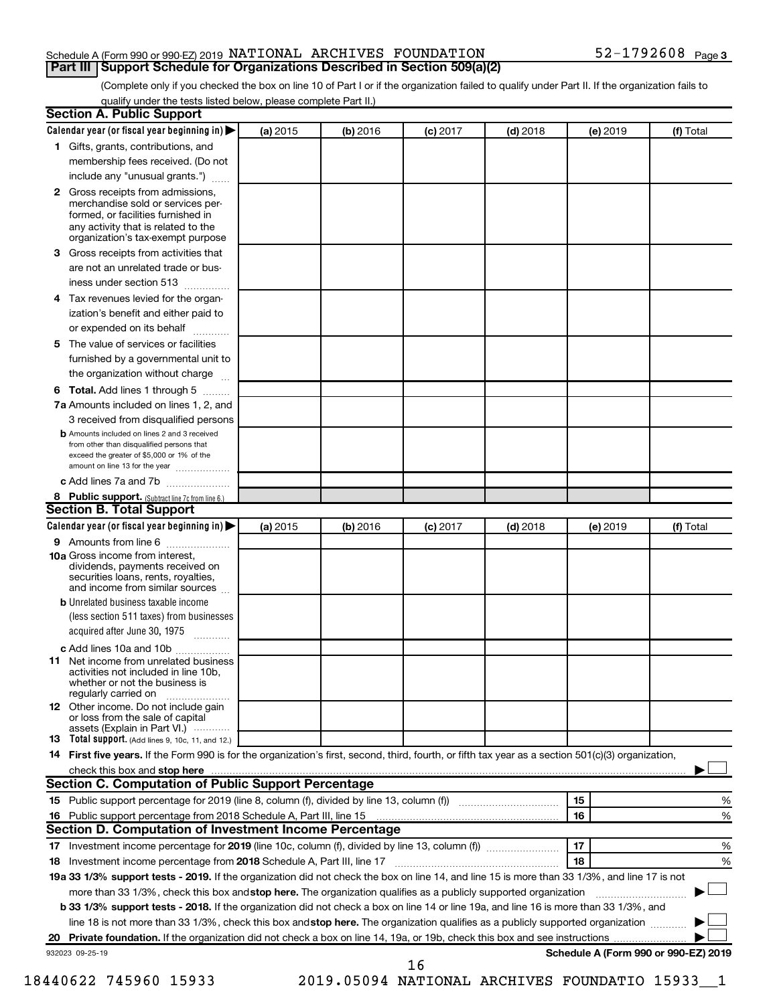#### Schedule A (Form 990 or 990-EZ) 2019  $\,$  NATIONAL  $\,$  ARCHIVES  $\,$  FOUNDATION  $\,$  52 – 1792608  $\,$   $_{\rm{Page}}$ **Part III Support Schedule for Organizations Described in Section 509(a)(2)**

(Complete only if you checked the box on line 10 of Part I or if the organization failed to qualify under Part II. If the organization fails to qualify under the tests listed below, please complete Part II.)

| Calendar year (or fiscal year beginning in)                                                                                                                                                                                                                                     | (a) 2015 | (b) 2016 | $(c)$ 2017 | $(d)$ 2018 | (e) 2019 | (f) Total                                      |
|---------------------------------------------------------------------------------------------------------------------------------------------------------------------------------------------------------------------------------------------------------------------------------|----------|----------|------------|------------|----------|------------------------------------------------|
| 1 Gifts, grants, contributions, and                                                                                                                                                                                                                                             |          |          |            |            |          |                                                |
| membership fees received. (Do not                                                                                                                                                                                                                                               |          |          |            |            |          |                                                |
| include any "unusual grants.")                                                                                                                                                                                                                                                  |          |          |            |            |          |                                                |
| 2 Gross receipts from admissions,<br>merchandise sold or services per-<br>formed, or facilities furnished in<br>any activity that is related to the<br>organization's tax-exempt purpose                                                                                        |          |          |            |            |          |                                                |
| Gross receipts from activities that<br>3.                                                                                                                                                                                                                                       |          |          |            |            |          |                                                |
| are not an unrelated trade or bus-                                                                                                                                                                                                                                              |          |          |            |            |          |                                                |
| iness under section 513                                                                                                                                                                                                                                                         |          |          |            |            |          |                                                |
| Tax revenues levied for the organ-<br>4                                                                                                                                                                                                                                         |          |          |            |            |          |                                                |
| ization's benefit and either paid to<br>or expended on its behalf<br>.                                                                                                                                                                                                          |          |          |            |            |          |                                                |
| The value of services or facilities<br>5.                                                                                                                                                                                                                                       |          |          |            |            |          |                                                |
| furnished by a governmental unit to                                                                                                                                                                                                                                             |          |          |            |            |          |                                                |
| the organization without charge                                                                                                                                                                                                                                                 |          |          |            |            |          |                                                |
| Total. Add lines 1 through 5<br>6                                                                                                                                                                                                                                               |          |          |            |            |          |                                                |
| 7a Amounts included on lines 1, 2, and                                                                                                                                                                                                                                          |          |          |            |            |          |                                                |
| 3 received from disqualified persons                                                                                                                                                                                                                                            |          |          |            |            |          |                                                |
| <b>b</b> Amounts included on lines 2 and 3 received<br>from other than disqualified persons that<br>exceed the greater of \$5,000 or 1% of the<br>amount on line 13 for the year                                                                                                |          |          |            |            |          |                                                |
| c Add lines 7a and 7b                                                                                                                                                                                                                                                           |          |          |            |            |          |                                                |
| 8 Public support. (Subtract line 7c from line 6.)                                                                                                                                                                                                                               |          |          |            |            |          |                                                |
| <b>Section B. Total Support</b>                                                                                                                                                                                                                                                 |          |          |            |            |          |                                                |
| Calendar year (or fiscal year beginning in)                                                                                                                                                                                                                                     | (a) 2015 | (b) 2016 | $(c)$ 2017 | $(d)$ 2018 | (e) 2019 | (f) Total                                      |
| 9 Amounts from line 6                                                                                                                                                                                                                                                           |          |          |            |            |          |                                                |
| <b>10a</b> Gross income from interest,<br>dividends, payments received on<br>securities loans, rents, royalties,<br>and income from similar sources                                                                                                                             |          |          |            |            |          |                                                |
| <b>b</b> Unrelated business taxable income                                                                                                                                                                                                                                      |          |          |            |            |          |                                                |
| (less section 511 taxes) from businesses<br>acquired after June 30, 1975                                                                                                                                                                                                        |          |          |            |            |          |                                                |
| c Add lines 10a and 10b                                                                                                                                                                                                                                                         |          |          |            |            |          |                                                |
| Net income from unrelated business<br>11<br>activities not included in line 10b.<br>whether or not the business is<br>regularly carried on                                                                                                                                      |          |          |            |            |          |                                                |
| <b>12</b> Other income. Do not include gain<br>or loss from the sale of capital<br>assets (Explain in Part VI.)                                                                                                                                                                 |          |          |            |            |          |                                                |
| <b>13</b> Total support. (Add lines 9, 10c, 11, and 12.)                                                                                                                                                                                                                        |          |          |            |            |          |                                                |
| 14 First five years. If the Form 990 is for the organization's first, second, third, fourth, or fifth tax year as a section 501(c)(3) organization,                                                                                                                             |          |          |            |            |          |                                                |
| check this box and stop here <i>machine and content and accordination and stop here</i> this box and stop here machine and accordination and accordination and accordination and accordination and accordination and accordination                                              |          |          |            |            |          |                                                |
| Section C. Computation of Public Support Percentage                                                                                                                                                                                                                             |          |          |            |            |          |                                                |
|                                                                                                                                                                                                                                                                                 |          |          |            |            | 15       | %                                              |
|                                                                                                                                                                                                                                                                                 |          |          |            |            | 16       | %                                              |
| Section D. Computation of Investment Income Percentage                                                                                                                                                                                                                          |          |          |            |            |          |                                                |
|                                                                                                                                                                                                                                                                                 |          |          |            |            | 17       | %                                              |
|                                                                                                                                                                                                                                                                                 |          |          |            |            | 18       | %                                              |
| 19a 33 1/3% support tests - 2019. If the organization did not check the box on line 14, and line 15 is more than 33 1/3%, and line 17 is not                                                                                                                                    |          |          |            |            |          |                                                |
| more than 33 1/3%, check this box and stop here. The organization qualifies as a publicly supported organization                                                                                                                                                                |          |          |            |            |          |                                                |
| <b>b 33 1/3% support tests - 2018.</b> If the organization did not check a box on line 14 or line 19a, and line 16 is more than 33 1/3%, and<br>line 18 is not more than 33 1/3%, check this box and stop here. The organization qualifies as a publicly supported organization |          |          |            |            |          |                                                |
|                                                                                                                                                                                                                                                                                 |          |          |            |            |          |                                                |
| 932023 09-25-19                                                                                                                                                                                                                                                                 |          |          |            |            |          | Schedule A (Form 990 or 990-EZ) 2019           |
|                                                                                                                                                                                                                                                                                 |          |          | 16         |            |          |                                                |
| 18440622 745960 15933                                                                                                                                                                                                                                                           |          |          |            |            |          | 2019.05094 NATIONAL ARCHIVES FOUNDATIO 15933 1 |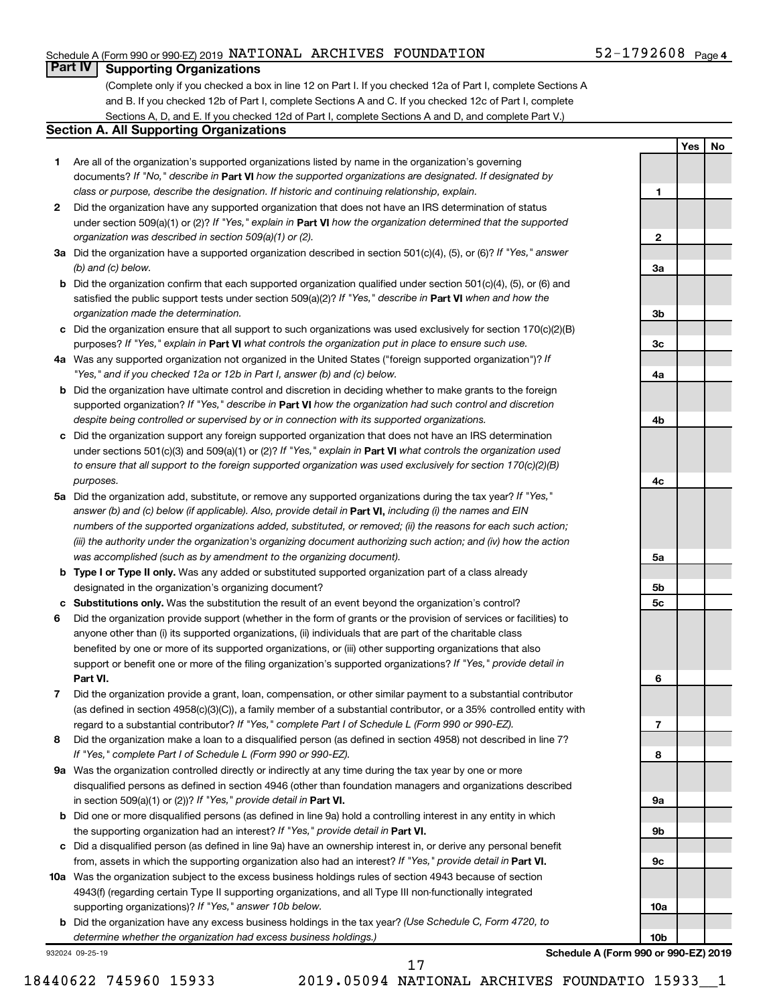#### Schedule A (Form 990 or 990-EZ) 2019  $\,$  NATIONAL  $\,$  ARCHIVES  $\,$  FOUNDATION  $\,$  52 – 1792608  $\,$   $_{\rm{Page}}$

#### **Part IV Supporting Organizations**

(Complete only if you checked a box in line 12 on Part I. If you checked 12a of Part I, complete Sections A and B. If you checked 12b of Part I, complete Sections A and C. If you checked 12c of Part I, complete Sections A, D, and E. If you checked 12d of Part I, complete Sections A and D, and complete Part V.)

#### **Section A. All Supporting Organizations**

- **1** Are all of the organization's supported organizations listed by name in the organization's governing documents? If "No," describe in Part VI how the supported organizations are designated. If designated by *class or purpose, describe the designation. If historic and continuing relationship, explain.*
- **2** Did the organization have any supported organization that does not have an IRS determination of status under section 509(a)(1) or (2)? If "Yes," explain in Part **VI** how the organization determined that the supported *organization was described in section 509(a)(1) or (2).*
- **3a** Did the organization have a supported organization described in section 501(c)(4), (5), or (6)? If "Yes," answer *(b) and (c) below.*
- **b** Did the organization confirm that each supported organization qualified under section 501(c)(4), (5), or (6) and satisfied the public support tests under section 509(a)(2)? If "Yes," describe in Part VI when and how the *organization made the determination.*
- **c** Did the organization ensure that all support to such organizations was used exclusively for section 170(c)(2)(B) purposes? If "Yes," explain in Part VI what controls the organization put in place to ensure such use.
- **4 a** *If* Was any supported organization not organized in the United States ("foreign supported organization")? *"Yes," and if you checked 12a or 12b in Part I, answer (b) and (c) below.*
- **b** Did the organization have ultimate control and discretion in deciding whether to make grants to the foreign supported organization? If "Yes," describe in Part VI how the organization had such control and discretion *despite being controlled or supervised by or in connection with its supported organizations.*
- **c** Did the organization support any foreign supported organization that does not have an IRS determination under sections 501(c)(3) and 509(a)(1) or (2)? If "Yes," explain in Part VI what controls the organization used *to ensure that all support to the foreign supported organization was used exclusively for section 170(c)(2)(B) purposes.*
- **5a** Did the organization add, substitute, or remove any supported organizations during the tax year? If "Yes," answer (b) and (c) below (if applicable). Also, provide detail in **Part VI,** including (i) the names and EIN *numbers of the supported organizations added, substituted, or removed; (ii) the reasons for each such action; (iii) the authority under the organization's organizing document authorizing such action; and (iv) how the action was accomplished (such as by amendment to the organizing document).*
- **b** Type I or Type II only. Was any added or substituted supported organization part of a class already designated in the organization's organizing document?
- **c Substitutions only.**  Was the substitution the result of an event beyond the organization's control?
- **6** Did the organization provide support (whether in the form of grants or the provision of services or facilities) to **Part VI.** support or benefit one or more of the filing organization's supported organizations? If "Yes," provide detail in anyone other than (i) its supported organizations, (ii) individuals that are part of the charitable class benefited by one or more of its supported organizations, or (iii) other supporting organizations that also
- **7** Did the organization provide a grant, loan, compensation, or other similar payment to a substantial contributor regard to a substantial contributor? If "Yes," complete Part I of Schedule L (Form 990 or 990-EZ). (as defined in section 4958(c)(3)(C)), a family member of a substantial contributor, or a 35% controlled entity with
- **8** Did the organization make a loan to a disqualified person (as defined in section 4958) not described in line 7? *If "Yes," complete Part I of Schedule L (Form 990 or 990-EZ).*
- **9 a** Was the organization controlled directly or indirectly at any time during the tax year by one or more in section 509(a)(1) or (2))? If "Yes," provide detail in **Part VI.** disqualified persons as defined in section 4946 (other than foundation managers and organizations described
- **b** Did one or more disqualified persons (as defined in line 9a) hold a controlling interest in any entity in which the supporting organization had an interest? If "Yes," provide detail in Part VI.
- **c** Did a disqualified person (as defined in line 9a) have an ownership interest in, or derive any personal benefit from, assets in which the supporting organization also had an interest? If "Yes," provide detail in Part VI.
- **10 a** Was the organization subject to the excess business holdings rules of section 4943 because of section supporting organizations)? If "Yes," answer 10b below. 4943(f) (regarding certain Type II supporting organizations, and all Type III non-functionally integrated
	- **b** Did the organization have any excess business holdings in the tax year? (Use Schedule C, Form 4720, to *determine whether the organization had excess business holdings.)*

932024 09-25-19

52-1792608 <sub>Page 4</sub>

**Yes No**

| 1               |   |  |
|-----------------|---|--|
|                 |   |  |
|                 |   |  |
| 2               |   |  |
|                 |   |  |
| За              |   |  |
|                 |   |  |
|                 |   |  |
| 3b              |   |  |
| 3c              |   |  |
|                 |   |  |
| 4a              |   |  |
|                 |   |  |
|                 |   |  |
| 4b              |   |  |
|                 |   |  |
|                 |   |  |
|                 |   |  |
| 4c              |   |  |
|                 |   |  |
|                 |   |  |
|                 |   |  |
| 5a              |   |  |
|                 |   |  |
| <u>5b</u>       |   |  |
| 5c              |   |  |
|                 |   |  |
|                 |   |  |
|                 |   |  |
| 6               |   |  |
|                 |   |  |
|                 |   |  |
| 7               |   |  |
|                 |   |  |
| 8               |   |  |
|                 |   |  |
| 9а              |   |  |
|                 |   |  |
| 9b              |   |  |
|                 |   |  |
| 9с              |   |  |
|                 |   |  |
|                 |   |  |
| 10a             |   |  |
| 10 <sub>b</sub> |   |  |
|                 | ñ |  |

**Schedule A (Form 990 or 990-EZ) 2019**

18440622 745960 15933 2019.05094 NATIONAL ARCHIVES FOUNDATIO 15933\_\_1

17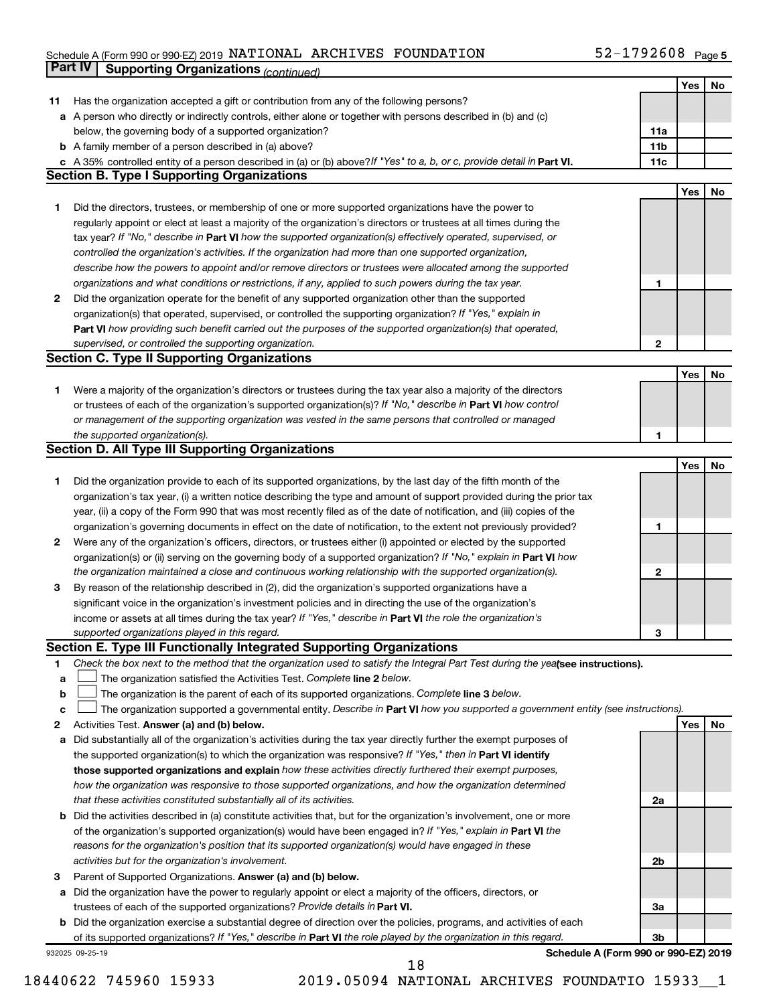### Schedule A (Form 990 or 990-EZ) 2019  $\,$  NATIONAL  $\,$  ARCHIVES  $\,$  FOUNDATION  $\,$  52 – 1792608  $\,$   $_{\rm{Page}}$ **Part IV Supporting Organizations** *(continued)*

|    |                                                                                                                                 |                 | Yes | No        |
|----|---------------------------------------------------------------------------------------------------------------------------------|-----------------|-----|-----------|
| 11 | Has the organization accepted a gift or contribution from any of the following persons?                                         |                 |     |           |
|    | a A person who directly or indirectly controls, either alone or together with persons described in (b) and (c)                  |                 |     |           |
|    | below, the governing body of a supported organization?                                                                          | 11a             |     |           |
|    | <b>b</b> A family member of a person described in (a) above?                                                                    | 11 <sub>b</sub> |     |           |
|    | c A 35% controlled entity of a person described in (a) or (b) above? If "Yes" to a, b, or c, provide detail in Part VI.         | 11c             |     |           |
|    | <b>Section B. Type I Supporting Organizations</b>                                                                               |                 |     |           |
|    |                                                                                                                                 |                 | Yes | No        |
| 1. | Did the directors, trustees, or membership of one or more supported organizations have the power to                             |                 |     |           |
|    | regularly appoint or elect at least a majority of the organization's directors or trustees at all times during the              |                 |     |           |
|    | tax year? If "No," describe in Part VI how the supported organization(s) effectively operated, supervised, or                   |                 |     |           |
|    | controlled the organization's activities. If the organization had more than one supported organization,                         |                 |     |           |
|    | describe how the powers to appoint and/or remove directors or trustees were allocated among the supported                       |                 |     |           |
|    | organizations and what conditions or restrictions, if any, applied to such powers during the tax year.                          | 1               |     |           |
| 2  | Did the organization operate for the benefit of any supported organization other than the supported                             |                 |     |           |
|    | organization(s) that operated, supervised, or controlled the supporting organization? If "Yes," explain in                      |                 |     |           |
|    | Part VI how providing such benefit carried out the purposes of the supported organization(s) that operated,                     |                 |     |           |
|    | supervised, or controlled the supporting organization.                                                                          | 2               |     |           |
|    | <b>Section C. Type II Supporting Organizations</b>                                                                              |                 |     |           |
|    |                                                                                                                                 |                 | Yes | No        |
| 1. | Were a majority of the organization's directors or trustees during the tax year also a majority of the directors                |                 |     |           |
|    | or trustees of each of the organization's supported organization(s)? If "No," describe in Part VI how control                   |                 |     |           |
|    | or management of the supporting organization was vested in the same persons that controlled or managed                          |                 |     |           |
|    | the supported organization(s).                                                                                                  | 1               |     |           |
|    | <b>Section D. All Type III Supporting Organizations</b>                                                                         |                 |     |           |
|    |                                                                                                                                 |                 | Yes | No        |
| 1  | Did the organization provide to each of its supported organizations, by the last day of the fifth month of the                  |                 |     |           |
|    | organization's tax year, (i) a written notice describing the type and amount of support provided during the prior tax           |                 |     |           |
|    | year, (ii) a copy of the Form 990 that was most recently filed as of the date of notification, and (iii) copies of the          |                 |     |           |
|    | organization's governing documents in effect on the date of notification, to the extent not previously provided?                | 1               |     |           |
| 2  | Were any of the organization's officers, directors, or trustees either (i) appointed or elected by the supported                |                 |     |           |
|    | organization(s) or (ii) serving on the governing body of a supported organization? If "No," explain in Part VI how              |                 |     |           |
|    | the organization maintained a close and continuous working relationship with the supported organization(s).                     | 2               |     |           |
| 3  | By reason of the relationship described in (2), did the organization's supported organizations have a                           |                 |     |           |
|    | significant voice in the organization's investment policies and in directing the use of the organization's                      |                 |     |           |
|    | income or assets at all times during the tax year? If "Yes," describe in Part VI the role the organization's                    |                 |     |           |
|    | supported organizations played in this regard.                                                                                  | 3               |     |           |
|    | Section E. Type III Functionally Integrated Supporting Organizations                                                            |                 |     |           |
| 1  | Check the box next to the method that the organization used to satisfy the Integral Part Test during the yealsee instructions). |                 |     |           |
| а  | The organization satisfied the Activities Test. Complete line 2 below.                                                          |                 |     |           |
| b  | The organization is the parent of each of its supported organizations. Complete line 3 below.                                   |                 |     |           |
| с  | The organization supported a governmental entity. Describe in Part VI how you supported a government entity (see instructions). |                 |     |           |
| 2  | Activities Test. Answer (a) and (b) below.                                                                                      |                 | Yes | <b>No</b> |
| а  | Did substantially all of the organization's activities during the tax year directly further the exempt purposes of              |                 |     |           |
|    | the supported organization(s) to which the organization was responsive? If "Yes," then in Part VI identify                      |                 |     |           |
|    | those supported organizations and explain how these activities directly furthered their exempt purposes,                        |                 |     |           |
|    | how the organization was responsive to those supported organizations, and how the organization determined                       |                 |     |           |
|    | that these activities constituted substantially all of its activities.                                                          | 2a              |     |           |
| b  | Did the activities described in (a) constitute activities that, but for the organization's involvement, one or more             |                 |     |           |
|    | of the organization's supported organization(s) would have been engaged in? If "Yes," explain in Part VI the                    |                 |     |           |
|    | reasons for the organization's position that its supported organization(s) would have engaged in these                          |                 |     |           |
|    | activities but for the organization's involvement.                                                                              | 2b              |     |           |
| 3  | Parent of Supported Organizations. Answer (a) and (b) below.                                                                    |                 |     |           |
| а  | Did the organization have the power to regularly appoint or elect a majority of the officers, directors, or                     |                 |     |           |
|    | trustees of each of the supported organizations? Provide details in Part VI.                                                    | За              |     |           |
| b  | Did the organization exercise a substantial degree of direction over the policies, programs, and activities of each             |                 |     |           |
|    | of its supported organizations? If "Yes," describe in Part VI the role played by the organization in this regard.               | 3b              |     |           |
|    | Schedule A (Form 990 or 990-EZ) 2019<br>932025 09-25-19                                                                         |                 |     |           |

18440622 745960 15933 2019.05094 NATIONAL ARCHIVES FOUNDATIO 15933\_\_1 18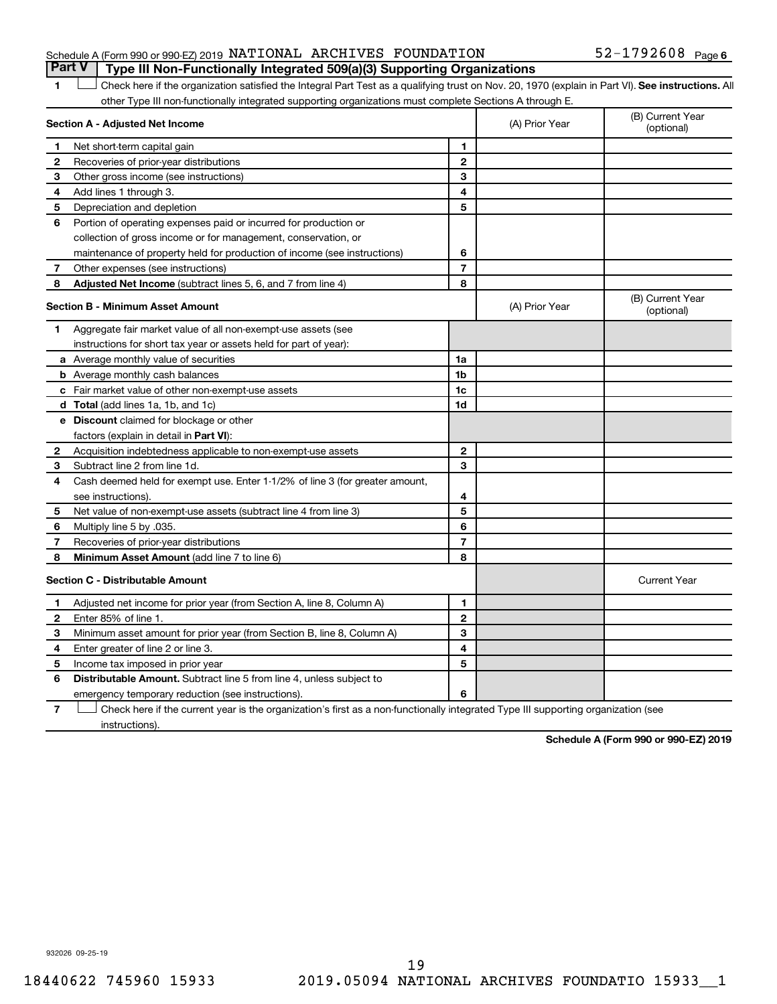#### Schedule A (Form 990 or 990-EZ) 2019  $\,$  NATIONAL  $\,$  ARCHIVES  $\,$  FOUNDATION  $\,$  52 – 1792608  $\,$   $_{\rm{Page}}$ **Part V Type III Non-Functionally Integrated 509(a)(3) Supporting Organizations**

#### 1 **Letter See instructions.** All Check here if the organization satisfied the Integral Part Test as a qualifying trust on Nov. 20, 1970 (explain in Part VI). See instructions. All other Type III non-functionally integrated supporting organizations must complete Sections A through E.

|              | Section A - Adjusted Net Income                                                                                                   | (A) Prior Year | (B) Current Year<br>(optional) |                                |
|--------------|-----------------------------------------------------------------------------------------------------------------------------------|----------------|--------------------------------|--------------------------------|
| 1            | Net short-term capital gain                                                                                                       | $\blacksquare$ |                                |                                |
| $\mathbf{2}$ | Recoveries of prior-year distributions                                                                                            | $\mathbf{2}$   |                                |                                |
| 3            | Other gross income (see instructions)                                                                                             | 3              |                                |                                |
| 4            | Add lines 1 through 3.                                                                                                            | 4              |                                |                                |
| 5            | Depreciation and depletion                                                                                                        | 5              |                                |                                |
| 6            | Portion of operating expenses paid or incurred for production or                                                                  |                |                                |                                |
|              | collection of gross income or for management, conservation, or                                                                    |                |                                |                                |
|              | maintenance of property held for production of income (see instructions)                                                          | 6              |                                |                                |
| 7            | Other expenses (see instructions)                                                                                                 | $\overline{7}$ |                                |                                |
| 8            | Adjusted Net Income (subtract lines 5, 6, and 7 from line 4)                                                                      | 8              |                                |                                |
|              | <b>Section B - Minimum Asset Amount</b>                                                                                           |                | (A) Prior Year                 | (B) Current Year<br>(optional) |
| 1            | Aggregate fair market value of all non-exempt-use assets (see                                                                     |                |                                |                                |
|              | instructions for short tax year or assets held for part of year):                                                                 |                |                                |                                |
|              | <b>a</b> Average monthly value of securities                                                                                      | 1a             |                                |                                |
|              | <b>b</b> Average monthly cash balances                                                                                            | 1b             |                                |                                |
|              | <b>c</b> Fair market value of other non-exempt-use assets                                                                         | 1 <sub>c</sub> |                                |                                |
|              | <b>d</b> Total (add lines 1a, 1b, and 1c)                                                                                         | 1d             |                                |                                |
|              | <b>e</b> Discount claimed for blockage or other                                                                                   |                |                                |                                |
|              | factors (explain in detail in Part VI):                                                                                           |                |                                |                                |
| 2            | Acquisition indebtedness applicable to non-exempt-use assets                                                                      | $\mathbf{2}$   |                                |                                |
| З            | Subtract line 2 from line 1d.                                                                                                     | 3              |                                |                                |
| 4            | Cash deemed held for exempt use. Enter 1-1/2% of line 3 (for greater amount,                                                      |                |                                |                                |
|              | see instructions).                                                                                                                | 4              |                                |                                |
| 5            | Net value of non-exempt-use assets (subtract line 4 from line 3)                                                                  | 5              |                                |                                |
| 6            | Multiply line 5 by .035.                                                                                                          | 6              |                                |                                |
| 7            | Recoveries of prior-year distributions                                                                                            | $\overline{7}$ |                                |                                |
| 8            | <b>Minimum Asset Amount (add line 7 to line 6)</b>                                                                                | 8              |                                |                                |
|              | <b>Section C - Distributable Amount</b>                                                                                           |                |                                | <b>Current Year</b>            |
| 1            | Adjusted net income for prior year (from Section A, line 8, Column A)                                                             | 1              |                                |                                |
| 2            | Enter 85% of line 1.                                                                                                              | $\mathbf{2}$   |                                |                                |
| з            | Minimum asset amount for prior year (from Section B, line 8, Column A)                                                            | 3              |                                |                                |
| 4            | Enter greater of line 2 or line 3.                                                                                                | 4              |                                |                                |
| 5            | Income tax imposed in prior year                                                                                                  | 5              |                                |                                |
| 6            | <b>Distributable Amount.</b> Subtract line 5 from line 4, unless subject to                                                       |                |                                |                                |
|              | emergency temporary reduction (see instructions).                                                                                 | 6              |                                |                                |
| 7            | Check here if the current year is the organization's first as a non-functionally integrated Type III supporting organization (see |                |                                |                                |

**7** instructions).

**Schedule A (Form 990 or 990-EZ) 2019**

932026 09-25-19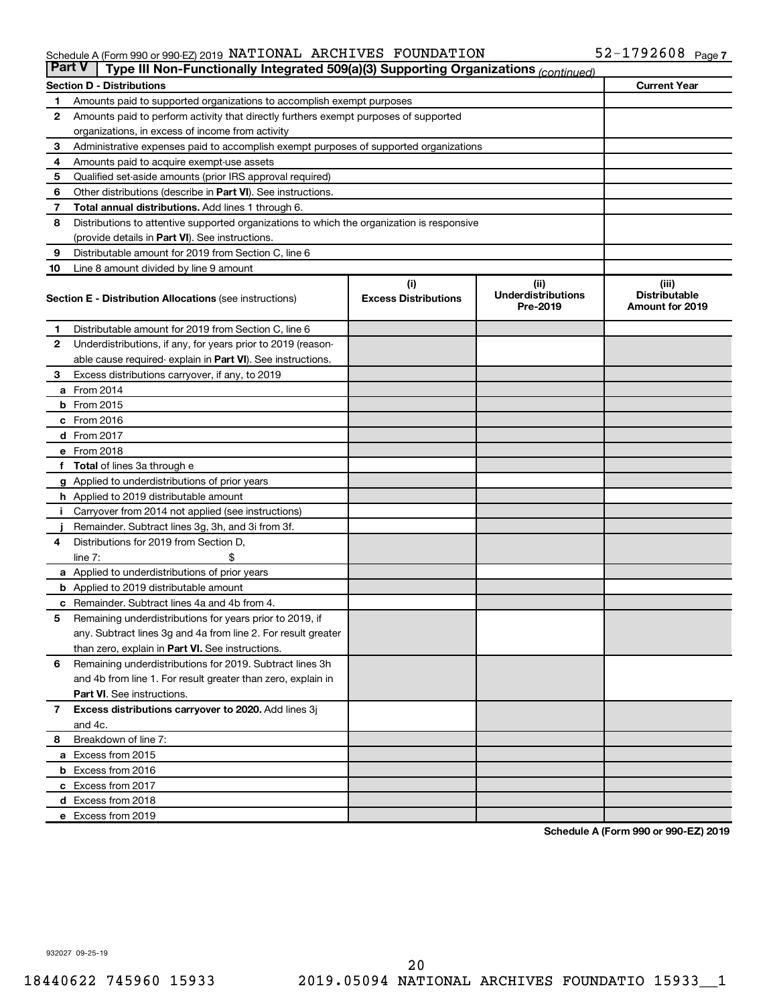#### Schedule A (Form 990 or 990-EZ) 2019 NATIONAL ARCHIVES FOUNDATION 5 Z - I 7 9 Z 6 U 8 Page NATIONAL ARCHIVES FOUNDATION 52-1792608

| <b>Part V</b> | Type III Non-Functionally Integrated 509(a)(3) Supporting Organizations (continued)        |                             |                                       |                                                |  |  |  |
|---------------|--------------------------------------------------------------------------------------------|-----------------------------|---------------------------------------|------------------------------------------------|--|--|--|
|               | <b>Current Year</b><br><b>Section D - Distributions</b>                                    |                             |                                       |                                                |  |  |  |
| 1             | Amounts paid to supported organizations to accomplish exempt purposes                      |                             |                                       |                                                |  |  |  |
| $\mathbf{2}$  | Amounts paid to perform activity that directly furthers exempt purposes of supported       |                             |                                       |                                                |  |  |  |
|               | organizations, in excess of income from activity                                           |                             |                                       |                                                |  |  |  |
| 3             | Administrative expenses paid to accomplish exempt purposes of supported organizations      |                             |                                       |                                                |  |  |  |
| 4             | Amounts paid to acquire exempt-use assets                                                  |                             |                                       |                                                |  |  |  |
| 5             | Qualified set-aside amounts (prior IRS approval required)                                  |                             |                                       |                                                |  |  |  |
| 6             | Other distributions (describe in <b>Part VI</b> ). See instructions.                       |                             |                                       |                                                |  |  |  |
| 7             | Total annual distributions. Add lines 1 through 6.                                         |                             |                                       |                                                |  |  |  |
| 8             | Distributions to attentive supported organizations to which the organization is responsive |                             |                                       |                                                |  |  |  |
|               | (provide details in Part VI). See instructions.                                            |                             |                                       |                                                |  |  |  |
| 9             | Distributable amount for 2019 from Section C, line 6                                       |                             |                                       |                                                |  |  |  |
| 10            | Line 8 amount divided by line 9 amount                                                     |                             |                                       |                                                |  |  |  |
|               |                                                                                            | (i)                         | (ii)                                  | (iii)                                          |  |  |  |
|               | <b>Section E - Distribution Allocations (see instructions)</b>                             | <b>Excess Distributions</b> | <b>Underdistributions</b><br>Pre-2019 | <b>Distributable</b><br><b>Amount for 2019</b> |  |  |  |
| 1             | Distributable amount for 2019 from Section C, line 6                                       |                             |                                       |                                                |  |  |  |
| $\mathbf{2}$  | Underdistributions, if any, for years prior to 2019 (reason-                               |                             |                                       |                                                |  |  |  |
|               | able cause required-explain in Part VI). See instructions.                                 |                             |                                       |                                                |  |  |  |
| 3             | Excess distributions carryover, if any, to 2019                                            |                             |                                       |                                                |  |  |  |
|               | a From 2014                                                                                |                             |                                       |                                                |  |  |  |
|               | <b>b</b> From 2015                                                                         |                             |                                       |                                                |  |  |  |
|               | c From 2016                                                                                |                             |                                       |                                                |  |  |  |
|               | <b>d</b> From 2017                                                                         |                             |                                       |                                                |  |  |  |
|               | e From 2018                                                                                |                             |                                       |                                                |  |  |  |
|               | f Total of lines 3a through e                                                              |                             |                                       |                                                |  |  |  |
|               | <b>g</b> Applied to underdistributions of prior years                                      |                             |                                       |                                                |  |  |  |
|               | h Applied to 2019 distributable amount                                                     |                             |                                       |                                                |  |  |  |
| Ť.            | Carryover from 2014 not applied (see instructions)                                         |                             |                                       |                                                |  |  |  |
|               | Remainder. Subtract lines 3g, 3h, and 3i from 3f.                                          |                             |                                       |                                                |  |  |  |
| 4             | Distributions for 2019 from Section D,                                                     |                             |                                       |                                                |  |  |  |
|               | line $7:$                                                                                  |                             |                                       |                                                |  |  |  |
|               | a Applied to underdistributions of prior years                                             |                             |                                       |                                                |  |  |  |
|               | <b>b</b> Applied to 2019 distributable amount                                              |                             |                                       |                                                |  |  |  |
| с             | Remainder. Subtract lines 4a and 4b from 4.                                                |                             |                                       |                                                |  |  |  |
| 5             | Remaining underdistributions for years prior to 2019, if                                   |                             |                                       |                                                |  |  |  |
|               | any. Subtract lines 3g and 4a from line 2. For result greater                              |                             |                                       |                                                |  |  |  |
|               | than zero, explain in Part VI. See instructions.                                           |                             |                                       |                                                |  |  |  |
| 6             | Remaining underdistributions for 2019. Subtract lines 3h                                   |                             |                                       |                                                |  |  |  |
|               | and 4b from line 1. For result greater than zero, explain in                               |                             |                                       |                                                |  |  |  |
|               | <b>Part VI.</b> See instructions.                                                          |                             |                                       |                                                |  |  |  |
| $\mathbf{7}$  | Excess distributions carryover to 2020. Add lines 3j                                       |                             |                                       |                                                |  |  |  |
|               | and 4c.                                                                                    |                             |                                       |                                                |  |  |  |
| 8             | Breakdown of line 7:                                                                       |                             |                                       |                                                |  |  |  |
|               | a Excess from 2015                                                                         |                             |                                       |                                                |  |  |  |
|               | <b>b</b> Excess from 2016                                                                  |                             |                                       |                                                |  |  |  |
|               | c Excess from 2017                                                                         |                             |                                       |                                                |  |  |  |
|               | d Excess from 2018                                                                         |                             |                                       |                                                |  |  |  |
|               | e Excess from 2019                                                                         |                             |                                       |                                                |  |  |  |

**Schedule A (Form 990 or 990-EZ) 2019**

932027 09-25-19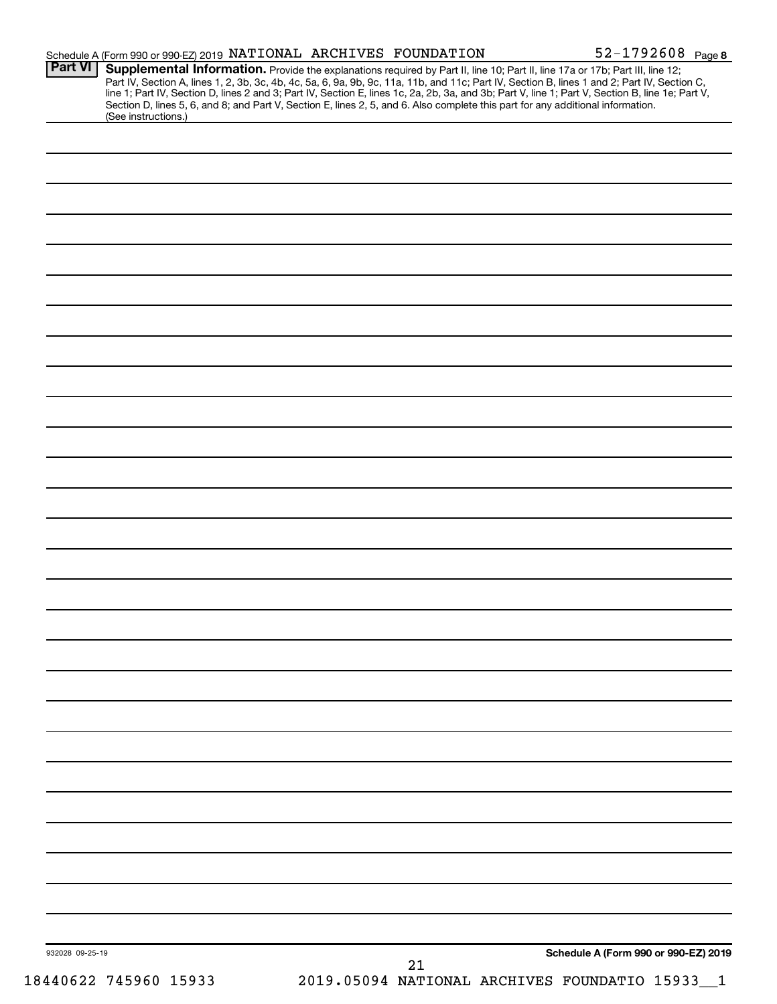| <b>Part VI</b>  | Schedule A (Form 990 or 990-EZ) 2019 NATIONAL ARCHIVES FOUNDATION<br>Supplemental Information. Provide the explanations required by Part II, line 10; Part II, line 17a or 17b; Part III, line 12;                                                                                  |  |    |                                      |
|-----------------|-------------------------------------------------------------------------------------------------------------------------------------------------------------------------------------------------------------------------------------------------------------------------------------|--|----|--------------------------------------|
|                 | Part IV, Section A, lines 1, 2, 3b, 3c, 4b, 4c, 5a, 6, 9a, 9b, 9c, 11a, 11b, and 11c; Part IV, Section B, lines 1 and 2; Part IV, Section C,                                                                                                                                        |  |    |                                      |
|                 | line 1; Part IV, Section D, lines 2 and 3; Part IV, Section E, lines 1c, 2a, 2b, 3a, and 3b; Part V, line 1; Part V, Section B, line 1e; Part V,<br>Section D, lines 5, 6, and 8; and Part V, Section E, lines 2, 5, and 6. Also complete this part for any additional information. |  |    |                                      |
|                 | (See instructions.)                                                                                                                                                                                                                                                                 |  |    |                                      |
|                 |                                                                                                                                                                                                                                                                                     |  |    |                                      |
|                 |                                                                                                                                                                                                                                                                                     |  |    |                                      |
|                 |                                                                                                                                                                                                                                                                                     |  |    |                                      |
|                 |                                                                                                                                                                                                                                                                                     |  |    |                                      |
|                 |                                                                                                                                                                                                                                                                                     |  |    |                                      |
|                 |                                                                                                                                                                                                                                                                                     |  |    |                                      |
|                 |                                                                                                                                                                                                                                                                                     |  |    |                                      |
|                 |                                                                                                                                                                                                                                                                                     |  |    |                                      |
|                 |                                                                                                                                                                                                                                                                                     |  |    |                                      |
|                 |                                                                                                                                                                                                                                                                                     |  |    |                                      |
|                 |                                                                                                                                                                                                                                                                                     |  |    |                                      |
|                 |                                                                                                                                                                                                                                                                                     |  |    |                                      |
|                 |                                                                                                                                                                                                                                                                                     |  |    |                                      |
|                 |                                                                                                                                                                                                                                                                                     |  |    |                                      |
|                 |                                                                                                                                                                                                                                                                                     |  |    |                                      |
|                 |                                                                                                                                                                                                                                                                                     |  |    |                                      |
|                 |                                                                                                                                                                                                                                                                                     |  |    |                                      |
|                 |                                                                                                                                                                                                                                                                                     |  |    |                                      |
|                 |                                                                                                                                                                                                                                                                                     |  |    |                                      |
|                 |                                                                                                                                                                                                                                                                                     |  |    |                                      |
|                 |                                                                                                                                                                                                                                                                                     |  |    |                                      |
|                 |                                                                                                                                                                                                                                                                                     |  |    |                                      |
|                 |                                                                                                                                                                                                                                                                                     |  |    |                                      |
|                 |                                                                                                                                                                                                                                                                                     |  |    |                                      |
|                 |                                                                                                                                                                                                                                                                                     |  |    |                                      |
|                 |                                                                                                                                                                                                                                                                                     |  |    |                                      |
|                 |                                                                                                                                                                                                                                                                                     |  |    |                                      |
|                 |                                                                                                                                                                                                                                                                                     |  |    |                                      |
|                 |                                                                                                                                                                                                                                                                                     |  |    |                                      |
|                 |                                                                                                                                                                                                                                                                                     |  |    |                                      |
|                 |                                                                                                                                                                                                                                                                                     |  |    |                                      |
|                 |                                                                                                                                                                                                                                                                                     |  |    |                                      |
|                 |                                                                                                                                                                                                                                                                                     |  |    |                                      |
|                 |                                                                                                                                                                                                                                                                                     |  |    |                                      |
|                 |                                                                                                                                                                                                                                                                                     |  |    |                                      |
|                 |                                                                                                                                                                                                                                                                                     |  |    |                                      |
|                 |                                                                                                                                                                                                                                                                                     |  |    |                                      |
|                 |                                                                                                                                                                                                                                                                                     |  |    |                                      |
|                 |                                                                                                                                                                                                                                                                                     |  |    |                                      |
|                 |                                                                                                                                                                                                                                                                                     |  |    |                                      |
|                 |                                                                                                                                                                                                                                                                                     |  |    |                                      |
|                 |                                                                                                                                                                                                                                                                                     |  |    |                                      |
|                 |                                                                                                                                                                                                                                                                                     |  |    |                                      |
|                 |                                                                                                                                                                                                                                                                                     |  |    |                                      |
| 932028 09-25-19 |                                                                                                                                                                                                                                                                                     |  |    | Schedule A (Form 990 or 990-EZ) 2019 |
|                 |                                                                                                                                                                                                                                                                                     |  | 21 |                                      |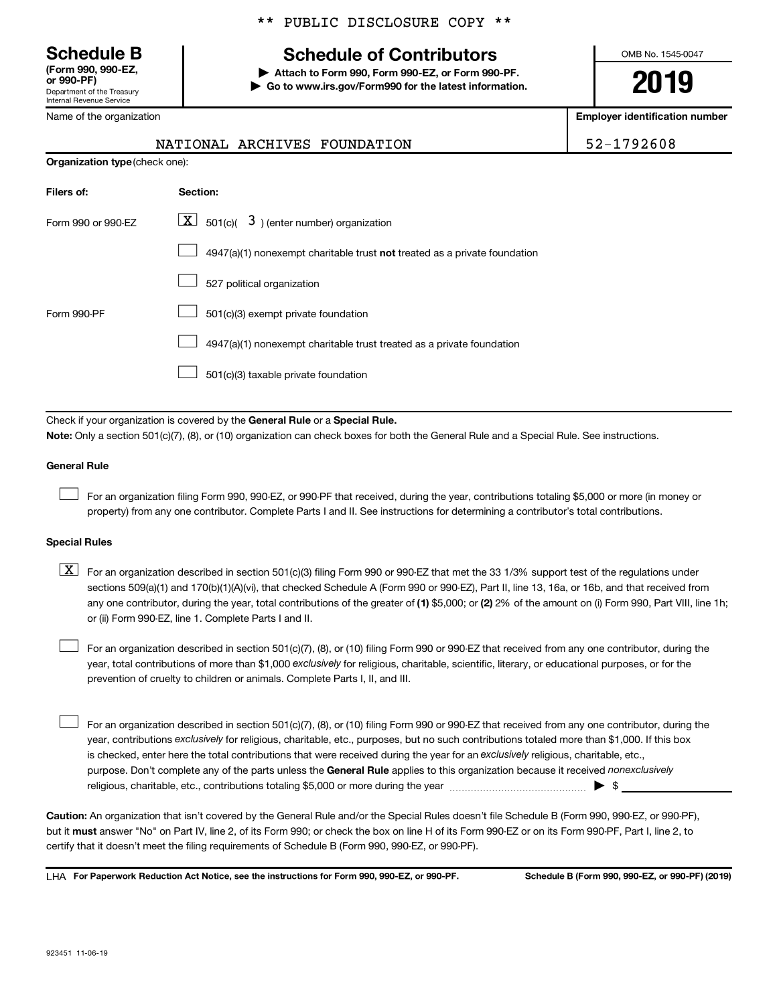**(Form 990, 990-EZ,**

Department of the Treasury Internal Revenue Service

Name of the organization

# **Schedule B Schedule of Contributors**

**or 990-PF) | Attach to Form 990, Form 990-EZ, or Form 990-PF. | Go to www.irs.gov/Form990 for the latest information.** OMB No. 1545-0047

**2019**

**Employer identification number**

| NATIONAL ARCHIVES FOUNDATION |  | 52-1792608 |  |
|------------------------------|--|------------|--|
|                              |  |            |  |

| <b>Organization type (check one):</b> |                                                                           |  |  |  |  |  |
|---------------------------------------|---------------------------------------------------------------------------|--|--|--|--|--|
| Filers of:                            | Section:                                                                  |  |  |  |  |  |
| Form 990 or 990-EZ                    | $ \mathbf{X} $ 501(c)( 3) (enter number) organization                     |  |  |  |  |  |
|                                       | 4947(a)(1) nonexempt charitable trust not treated as a private foundation |  |  |  |  |  |
|                                       | 527 political organization                                                |  |  |  |  |  |
| Form 990-PF                           | 501(c)(3) exempt private foundation                                       |  |  |  |  |  |
|                                       | 4947(a)(1) nonexempt charitable trust treated as a private foundation     |  |  |  |  |  |
|                                       | 501(c)(3) taxable private foundation                                      |  |  |  |  |  |
|                                       |                                                                           |  |  |  |  |  |

Check if your organization is covered by the General Rule or a Special Rule.

**Note:**  Only a section 501(c)(7), (8), or (10) organization can check boxes for both the General Rule and a Special Rule. See instructions.

#### **General Rule**

 $\Box$ 

For an organization filing Form 990, 990-EZ, or 990-PF that received, during the year, contributions totaling \$5,000 or more (in money or property) from any one contributor. Complete Parts I and II. See instructions for determining a contributor's total contributions.

#### **Special Rules**

any one contributor, during the year, total contributions of the greater of (1) \$5,000; or (2) 2% of the amount on (i) Form 990, Part VIII, line 1h;  $\boxed{\text{X}}$  For an organization described in section 501(c)(3) filing Form 990 or 990-EZ that met the 33 1/3% support test of the regulations under sections 509(a)(1) and 170(b)(1)(A)(vi), that checked Schedule A (Form 990 or 990-EZ), Part II, line 13, 16a, or 16b, and that received from or (ii) Form 990-EZ, line 1. Complete Parts I and II.

year, total contributions of more than \$1,000 *exclusively* for religious, charitable, scientific, literary, or educational purposes, or for the For an organization described in section 501(c)(7), (8), or (10) filing Form 990 or 990-EZ that received from any one contributor, during the prevention of cruelty to children or animals. Complete Parts I, II, and III.  $\Box$ 

purpose. Don't complete any of the parts unless the General Rule applies to this organization because it received nonexclusively year, contributions exclusively for religious, charitable, etc., purposes, but no such contributions totaled more than \$1,000. If this box is checked, enter here the total contributions that were received during the year for an exclusively religious, charitable, etc., For an organization described in section 501(c)(7), (8), or (10) filing Form 990 or 990-EZ that received from any one contributor, during the religious, charitable, etc., contributions totaling \$5,000 or more during the year  $~\ldots\ldots\ldots\ldots\ldots\ldots\ldots\ldots\blacktriangleright~$ \$  $\Box$ 

**Caution:**  An organization that isn't covered by the General Rule and/or the Special Rules doesn't file Schedule B (Form 990, 990-EZ, or 990-PF),  **must** but it answer "No" on Part IV, line 2, of its Form 990; or check the box on line H of its Form 990-EZ or on its Form 990-PF, Part I, line 2, to certify that it doesn't meet the filing requirements of Schedule B (Form 990, 990-EZ, or 990-PF).

**For Paperwork Reduction Act Notice, see the instructions for Form 990, 990-EZ, or 990-PF. Schedule B (Form 990, 990-EZ, or 990-PF) (2019)** LHA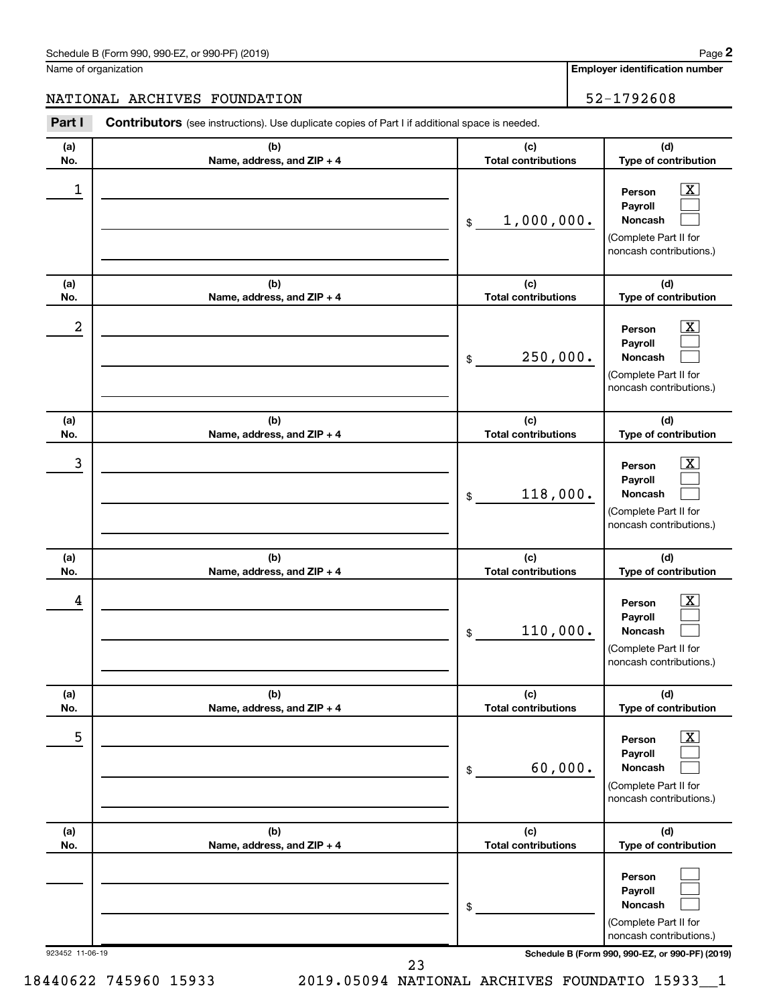#### Schedule B (Form 990, 990-EZ, or 990-PF) (2019)

Name of organization

**Employer identification number**

### NATIONAL ARCHIVES FOUNDATION 52-1792608

| Part I          | <b>Contributors</b> (see instructions). Use duplicate copies of Part I if additional space is needed. |                                   |                                                                                                                 |
|-----------------|-------------------------------------------------------------------------------------------------------|-----------------------------------|-----------------------------------------------------------------------------------------------------------------|
| (a)<br>No.      | (b)<br>Name, address, and ZIP + 4                                                                     | (c)<br><b>Total contributions</b> | (d)<br>Type of contribution                                                                                     |
| 1               |                                                                                                       | 1,000,000.<br>\$                  | $\boxed{\textbf{X}}$<br>Person<br>Payroll<br>Noncash<br>(Complete Part II for<br>noncash contributions.)        |
| (a)<br>No.      | (b)<br>Name, address, and ZIP + 4                                                                     | (c)<br><b>Total contributions</b> | (d)<br>Type of contribution                                                                                     |
| 2               |                                                                                                       | 250,000.<br>\$                    | $\mathbf{X}$<br>Person<br>Payroll<br>Noncash<br>(Complete Part II for<br>noncash contributions.)                |
| (a)<br>No.      | (b)<br>Name, address, and ZIP + 4                                                                     | (c)<br><b>Total contributions</b> | (d)<br>Type of contribution                                                                                     |
| 3               |                                                                                                       | 118,000.<br>\$                    | $\boxed{\mathbf{X}}$<br>Person<br>Payroll<br>Noncash<br>(Complete Part II for<br>noncash contributions.)        |
| (a)<br>No.      | (b)<br>Name, address, and ZIP + 4                                                                     | (c)<br><b>Total contributions</b> | (d)<br>Type of contribution                                                                                     |
| 4               |                                                                                                       | 110,000.<br>\$                    | $\mathbf{X}$<br>Person<br>Payroll<br>Noncash<br>(Complete Part II for<br>noncash contributions.)                |
| (a)<br>No.      | (b)<br>Name, address, and ZIP + 4                                                                     | (c)<br><b>Total contributions</b> | (d)<br>Type of contribution                                                                                     |
| 5               |                                                                                                       | 60,000.<br>\$                     | $\boxed{\textbf{X}}$<br>Person<br>Payroll<br><b>Noncash</b><br>(Complete Part II for<br>noncash contributions.) |
| (a)<br>No.      | (b)<br>Name, address, and ZIP + 4                                                                     | (c)<br><b>Total contributions</b> | (d)<br>Type of contribution                                                                                     |
|                 |                                                                                                       | \$                                | Person<br>Payroll<br><b>Noncash</b><br>(Complete Part II for<br>noncash contributions.)                         |
| 923452 11-06-19 |                                                                                                       |                                   | Schedule B (Form 990, 990-EZ, or 990-PF) (2019)                                                                 |

18440622 745960 15933 2019.05094 NATIONAL ARCHIVES FOUNDATIO 15933\_\_1 23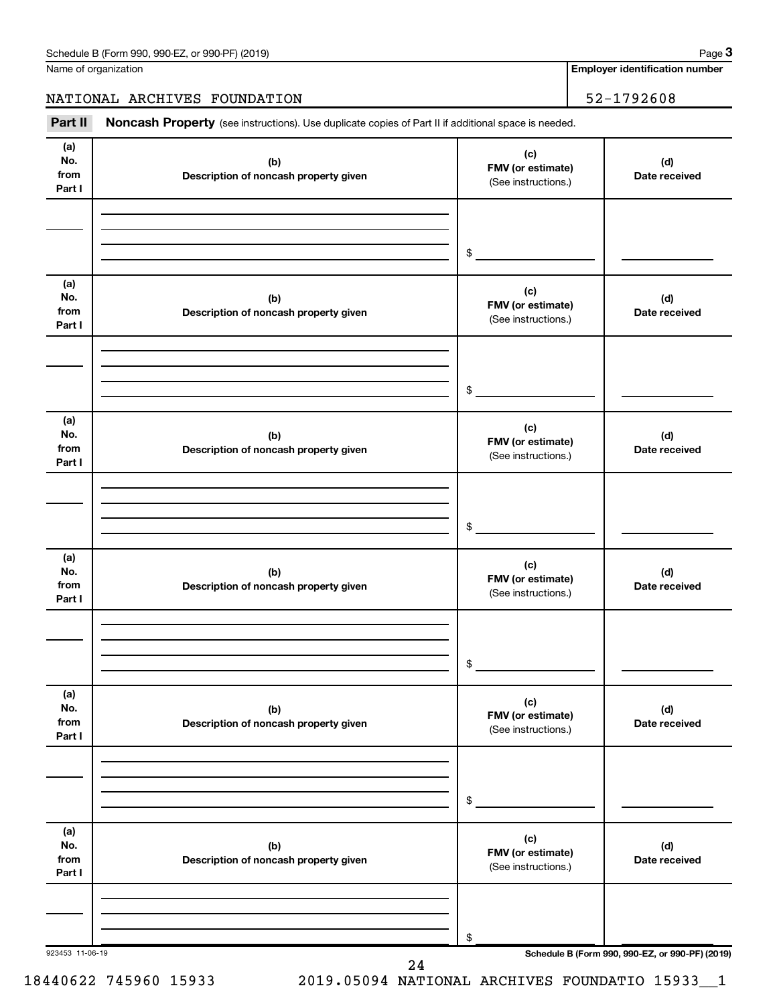Name of organization

**Employer identification number**

#### NATIONAL ARCHIVES FOUNDATION 52-1792608

Part II Noncash Property (see instructions). Use duplicate copies of Part II if additional space is needed.

| (a)<br>No.<br>from<br>Part I | (b)<br>Description of noncash property given | (c)<br>FMV (or estimate)<br>(See instructions.) | (d)<br>Date received                            |
|------------------------------|----------------------------------------------|-------------------------------------------------|-------------------------------------------------|
|                              |                                              | $\frac{1}{2}$                                   |                                                 |
| (a)<br>No.<br>from<br>Part I | (b)<br>Description of noncash property given | (c)<br>FMV (or estimate)<br>(See instructions.) | (d)<br>Date received                            |
|                              |                                              | $\frac{1}{2}$                                   |                                                 |
| (a)<br>No.<br>from<br>Part I | (b)<br>Description of noncash property given | (c)<br>FMV (or estimate)<br>(See instructions.) | (d)<br>Date received                            |
|                              |                                              | $\frac{1}{2}$                                   |                                                 |
| (a)<br>No.<br>from<br>Part I | (b)<br>Description of noncash property given | (c)<br>FMV (or estimate)<br>(See instructions.) | (d)<br>Date received                            |
|                              |                                              | $\frac{1}{2}$                                   |                                                 |
| (a)<br>No.<br>from<br>Part I | (b)<br>Description of noncash property given | (c)<br>FMV (or estimate)<br>(See instructions.) | (d)<br>Date received                            |
|                              |                                              | \$                                              |                                                 |
| (a)<br>No.<br>from<br>Part I | (b)<br>Description of noncash property given | (c)<br>FMV (or estimate)<br>(See instructions.) | (d)<br>Date received                            |
|                              |                                              | \$                                              |                                                 |
| 923453 11-06-19              | $\Omega$                                     |                                                 | Schedule B (Form 990, 990-EZ, or 990-PF) (2019) |

18440622 745960 15933 2019.05094 NATIONAL ARCHIVES FOUNDATIO 15933\_\_1

24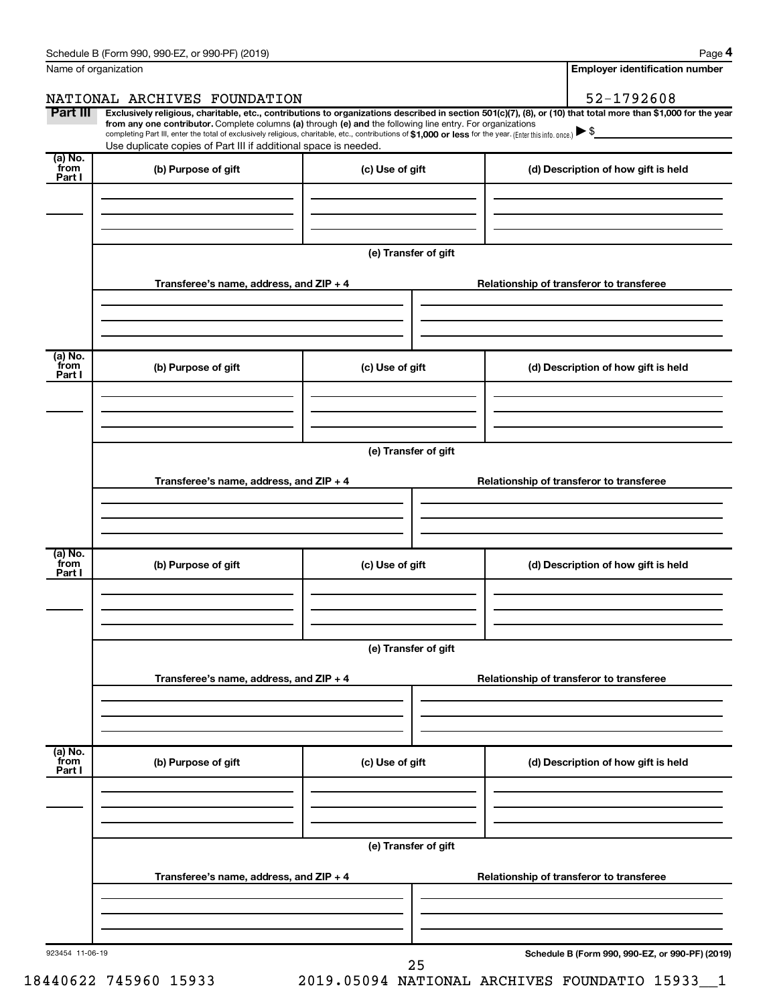|                           | Name of organization                                                                                                                                                                                                                                                                                                                                                                                                                                                                                        |                      | <b>Employer identification number</b>           |
|---------------------------|-------------------------------------------------------------------------------------------------------------------------------------------------------------------------------------------------------------------------------------------------------------------------------------------------------------------------------------------------------------------------------------------------------------------------------------------------------------------------------------------------------------|----------------------|-------------------------------------------------|
|                           | NATIONAL ARCHIVES FOUNDATION                                                                                                                                                                                                                                                                                                                                                                                                                                                                                |                      | 52-1792608                                      |
| Part III                  | Exclusively religious, charitable, etc., contributions to organizations described in section 501(c)(7), (8), or (10) that total more than \$1,000 for the year<br>from any one contributor. Complete columns (a) through (e) and the following line entry. For organizations<br>completing Part III, enter the total of exclusively religious, charitable, etc., contributions of \$1,000 or less for the year. (Enter this info. once.)<br>Use duplicate copies of Part III if additional space is needed. |                      |                                                 |
| (a) No.<br>from           | (b) Purpose of gift                                                                                                                                                                                                                                                                                                                                                                                                                                                                                         | (c) Use of gift      | (d) Description of how gift is held             |
| Part I                    |                                                                                                                                                                                                                                                                                                                                                                                                                                                                                                             |                      |                                                 |
|                           |                                                                                                                                                                                                                                                                                                                                                                                                                                                                                                             | (e) Transfer of gift |                                                 |
|                           | Transferee's name, address, and ZIP + 4                                                                                                                                                                                                                                                                                                                                                                                                                                                                     |                      | Relationship of transferor to transferee        |
|                           |                                                                                                                                                                                                                                                                                                                                                                                                                                                                                                             |                      |                                                 |
| (a) No.<br>from           | (b) Purpose of gift                                                                                                                                                                                                                                                                                                                                                                                                                                                                                         | (c) Use of gift      | (d) Description of how gift is held             |
| Part I                    |                                                                                                                                                                                                                                                                                                                                                                                                                                                                                                             |                      |                                                 |
|                           |                                                                                                                                                                                                                                                                                                                                                                                                                                                                                                             | (e) Transfer of gift |                                                 |
|                           | Transferee's name, address, and ZIP + 4                                                                                                                                                                                                                                                                                                                                                                                                                                                                     |                      | Relationship of transferor to transferee        |
|                           |                                                                                                                                                                                                                                                                                                                                                                                                                                                                                                             |                      |                                                 |
| (a) No.<br>from<br>Part I | (b) Purpose of gift                                                                                                                                                                                                                                                                                                                                                                                                                                                                                         | (c) Use of gift      | (d) Description of how gift is held             |
|                           |                                                                                                                                                                                                                                                                                                                                                                                                                                                                                                             |                      |                                                 |
|                           |                                                                                                                                                                                                                                                                                                                                                                                                                                                                                                             | (e) Transfer of gift |                                                 |
|                           | Transferee's name, address, and ZIP + 4                                                                                                                                                                                                                                                                                                                                                                                                                                                                     |                      | Relationship of transferor to transferee        |
| (a) No.<br>from           |                                                                                                                                                                                                                                                                                                                                                                                                                                                                                                             |                      |                                                 |
| Part I                    | (b) Purpose of gift                                                                                                                                                                                                                                                                                                                                                                                                                                                                                         | (c) Use of gift      | (d) Description of how gift is held             |
|                           |                                                                                                                                                                                                                                                                                                                                                                                                                                                                                                             |                      |                                                 |
|                           |                                                                                                                                                                                                                                                                                                                                                                                                                                                                                                             | (e) Transfer of gift |                                                 |
|                           | Transferee's name, address, and ZIP + 4                                                                                                                                                                                                                                                                                                                                                                                                                                                                     |                      | Relationship of transferor to transferee        |
|                           |                                                                                                                                                                                                                                                                                                                                                                                                                                                                                                             |                      |                                                 |
| 923454 11-06-19           |                                                                                                                                                                                                                                                                                                                                                                                                                                                                                                             | 25                   | Schedule B (Form 990, 990-EZ, or 990-PF) (2019) |

18440622 745960 15933 2019.05094 NATIONAL ARCHIVES FOUNDATIO 15933\_\_1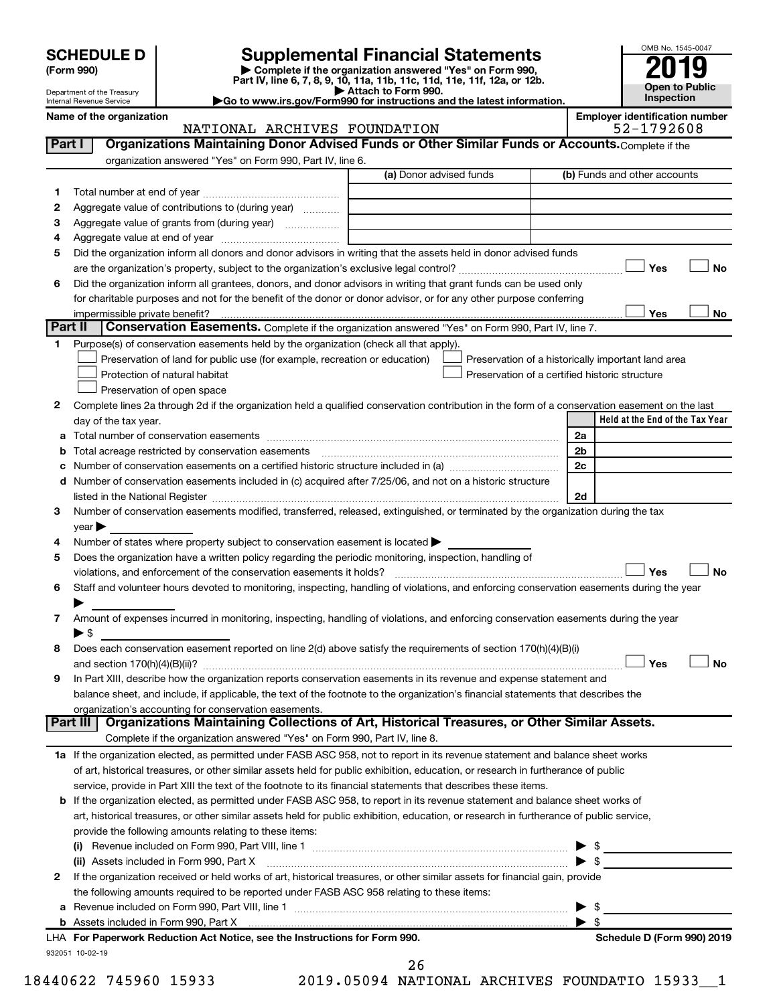| <b>SCHEDULE D</b> |  |
|-------------------|--|
|-------------------|--|

| (Form 990) |
|------------|
|            |

# **SCHEDULE D Supplemental Financial Statements**<br> **Form 990 2019**<br> **Part IV** line 6.7.8.9.10, 11a, 11b, 11d, 11d, 11d, 11d, 11d, 12a, 0r, 12b

**(Form 990) | Complete if the organization answered "Yes" on Form 990, Part IV, line 6, 7, 8, 9, 10, 11a, 11b, 11c, 11d, 11e, 11f, 12a, or 12b.**

**| Attach to Form 990. |Go to www.irs.gov/Form990 for instructions and the latest information.**



Department of the Treasury Internal Revenue Service **Name of the organization Employer identification number**

#### NATIONAL ARCHIVES FOUNDATION 52-1792608

|    |                                                                                                                                                                                                                               | organization answered "Yes" on Form 990, Part IV, line 6.<br>(a) Donor advised funds | (b) Funds and other accounts                          |
|----|-------------------------------------------------------------------------------------------------------------------------------------------------------------------------------------------------------------------------------|--------------------------------------------------------------------------------------|-------------------------------------------------------|
| 1  |                                                                                                                                                                                                                               |                                                                                      |                                                       |
| 2  | Aggregate value of contributions to (during year)                                                                                                                                                                             |                                                                                      |                                                       |
| 3  | Aggregate value of grants from (during year)                                                                                                                                                                                  |                                                                                      |                                                       |
| 4  |                                                                                                                                                                                                                               |                                                                                      |                                                       |
| 5  | Did the organization inform all donors and donor advisors in writing that the assets held in donor advised funds                                                                                                              |                                                                                      |                                                       |
|    |                                                                                                                                                                                                                               |                                                                                      | Yes                                                   |
| 6  | Did the organization inform all grantees, donors, and donor advisors in writing that grant funds can be used only                                                                                                             |                                                                                      |                                                       |
|    | for charitable purposes and not for the benefit of the donor or donor advisor, or for any other purpose conferring                                                                                                            |                                                                                      |                                                       |
|    |                                                                                                                                                                                                                               |                                                                                      | Yes                                                   |
|    | Part II<br>Conservation Easements. Complete if the organization answered "Yes" on Form 990, Part IV, line 7.                                                                                                                  |                                                                                      |                                                       |
| 1. | Purpose(s) of conservation easements held by the organization (check all that apply).                                                                                                                                         |                                                                                      |                                                       |
|    | Preservation of land for public use (for example, recreation or education)                                                                                                                                                    |                                                                                      | Preservation of a historically important land area    |
|    | Protection of natural habitat                                                                                                                                                                                                 |                                                                                      | Preservation of a certified historic structure        |
|    | Preservation of open space                                                                                                                                                                                                    |                                                                                      |                                                       |
| 2  | Complete lines 2a through 2d if the organization held a qualified conservation contribution in the form of a conservation easement on the last                                                                                |                                                                                      |                                                       |
|    | day of the tax year.                                                                                                                                                                                                          |                                                                                      | Held at the End of the Tax Year                       |
| а  |                                                                                                                                                                                                                               |                                                                                      | 2a                                                    |
|    |                                                                                                                                                                                                                               |                                                                                      | 2 <sub>b</sub>                                        |
|    |                                                                                                                                                                                                                               |                                                                                      | 2c                                                    |
| d  | Number of conservation easements included in (c) acquired after 7/25/06, and not on a historic structure                                                                                                                      |                                                                                      |                                                       |
|    | listed in the National Register [111] Marshall Register [11] Marshall Register [11] Marshall Register [11] Marshall Register [11] Marshall Register [11] Marshall Register [11] Marshall Register [11] Marshall Register [11] |                                                                                      | 2d                                                    |
| 3  | Number of conservation easements modified, transferred, released, extinguished, or terminated by the organization during the tax                                                                                              |                                                                                      |                                                       |
|    | year                                                                                                                                                                                                                          |                                                                                      |                                                       |
| 4  | Number of states where property subject to conservation easement is located >                                                                                                                                                 |                                                                                      |                                                       |
| 5  | Does the organization have a written policy regarding the periodic monitoring, inspection, handling of                                                                                                                        |                                                                                      |                                                       |
|    |                                                                                                                                                                                                                               |                                                                                      |                                                       |
|    |                                                                                                                                                                                                                               |                                                                                      |                                                       |
|    |                                                                                                                                                                                                                               |                                                                                      | Yes                                                   |
| 6  | Staff and volunteer hours devoted to monitoring, inspecting, handling of violations, and enforcing conservation easements during the year                                                                                     |                                                                                      |                                                       |
|    |                                                                                                                                                                                                                               |                                                                                      |                                                       |
| 7  | Amount of expenses incurred in monitoring, inspecting, handling of violations, and enforcing conservation easements during the year                                                                                           |                                                                                      |                                                       |
|    | $\blacktriangleright$ s                                                                                                                                                                                                       |                                                                                      |                                                       |
| 8  | Does each conservation easement reported on line 2(d) above satisfy the requirements of section 170(h)(4)(B)(i)                                                                                                               |                                                                                      |                                                       |
|    |                                                                                                                                                                                                                               |                                                                                      | Yes                                                   |
|    | In Part XIII, describe how the organization reports conservation easements in its revenue and expense statement and                                                                                                           |                                                                                      |                                                       |
|    | balance sheet, and include, if applicable, the text of the footnote to the organization's financial statements that describes the                                                                                             |                                                                                      |                                                       |
|    | organization's accounting for conservation easements.                                                                                                                                                                         |                                                                                      |                                                       |
| 9  | Organizations Maintaining Collections of Art, Historical Treasures, or Other Similar Assets.<br>Part III                                                                                                                      |                                                                                      |                                                       |
|    | Complete if the organization answered "Yes" on Form 990, Part IV, line 8.                                                                                                                                                     |                                                                                      |                                                       |
|    | 1a If the organization elected, as permitted under FASB ASC 958, not to report in its revenue statement and balance sheet works                                                                                               |                                                                                      |                                                       |
|    | of art, historical treasures, or other similar assets held for public exhibition, education, or research in furtherance of public                                                                                             |                                                                                      |                                                       |
|    | service, provide in Part XIII the text of the footnote to its financial statements that describes these items.                                                                                                                |                                                                                      |                                                       |
|    | b If the organization elected, as permitted under FASB ASC 958, to report in its revenue statement and balance sheet works of                                                                                                 |                                                                                      |                                                       |
|    | art, historical treasures, or other similar assets held for public exhibition, education, or research in furtherance of public service,                                                                                       |                                                                                      |                                                       |
|    | provide the following amounts relating to these items:                                                                                                                                                                        |                                                                                      |                                                       |
|    |                                                                                                                                                                                                                               |                                                                                      |                                                       |
|    | (ii) Assets included in Form 990, Part X                                                                                                                                                                                      | $\bullet$                                                                            |                                                       |
| 2  | If the organization received or held works of art, historical treasures, or other similar assets for financial gain, provide                                                                                                  |                                                                                      |                                                       |
|    | the following amounts required to be reported under FASB ASC 958 relating to these items:                                                                                                                                     |                                                                                      |                                                       |
| а  |                                                                                                                                                                                                                               |                                                                                      | - \$                                                  |
|    | b Assets included in Form 990, Part X [111] [2010] [2010] [2010] [2010] [2010] [2010] [2010] [2010] [2010] [20<br>LHA For Paperwork Reduction Act Notice, see the Instructions for Form 990.                                  |                                                                                      | $\blacktriangleright$ s<br>Schedule D (Form 990) 2019 |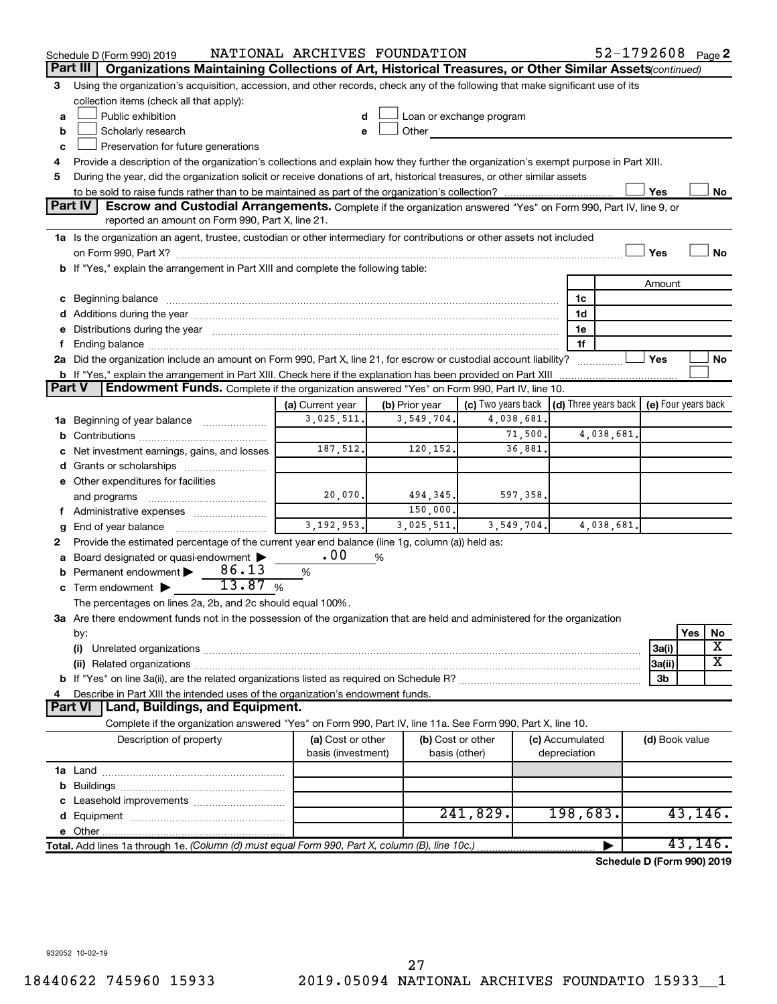|               | Schedule D (Form 990) 2019                                                                                                                                                                                                     | NATIONAL ARCHIVES FOUNDATION |                |                                                                             |                 | 52-1792608 Page 2          |                |          |    |
|---------------|--------------------------------------------------------------------------------------------------------------------------------------------------------------------------------------------------------------------------------|------------------------------|----------------|-----------------------------------------------------------------------------|-----------------|----------------------------|----------------|----------|----|
|               | Organizations Maintaining Collections of Art, Historical Treasures, or Other Similar Assets continued)<br>Part III                                                                                                             |                              |                |                                                                             |                 |                            |                |          |    |
| 3             | Using the organization's acquisition, accession, and other records, check any of the following that make significant use of its                                                                                                |                              |                |                                                                             |                 |                            |                |          |    |
|               | collection items (check all that apply):                                                                                                                                                                                       |                              |                |                                                                             |                 |                            |                |          |    |
| a             | Public exhibition                                                                                                                                                                                                              |                              |                | Loan or exchange program                                                    |                 |                            |                |          |    |
| b             | Scholarly research                                                                                                                                                                                                             |                              | Other          |                                                                             |                 |                            |                |          |    |
| c             | Preservation for future generations                                                                                                                                                                                            |                              |                |                                                                             |                 |                            |                |          |    |
|               | Provide a description of the organization's collections and explain how they further the organization's exempt purpose in Part XIII.                                                                                           |                              |                |                                                                             |                 |                            |                |          |    |
| 5             | During the year, did the organization solicit or receive donations of art, historical treasures, or other similar assets                                                                                                       |                              |                |                                                                             |                 |                            |                |          |    |
|               |                                                                                                                                                                                                                                |                              |                |                                                                             |                 |                            | Yes            |          | No |
|               | <b>Part IV</b><br><b>Escrow and Custodial Arrangements.</b> Complete if the organization answered "Yes" on Form 990, Part IV, line 9, or<br>reported an amount on Form 990, Part X, line 21.                                   |                              |                |                                                                             |                 |                            |                |          |    |
|               | 1a Is the organization an agent, trustee, custodian or other intermediary for contributions or other assets not included                                                                                                       |                              |                |                                                                             |                 |                            |                |          |    |
|               |                                                                                                                                                                                                                                |                              |                |                                                                             |                 |                            | Yes            |          | No |
|               | b If "Yes," explain the arrangement in Part XIII and complete the following table:                                                                                                                                             |                              |                |                                                                             |                 |                            |                |          |    |
|               |                                                                                                                                                                                                                                |                              |                |                                                                             |                 |                            | Amount         |          |    |
|               | c Beginning balance measurements and the contract of Beginning balance measurements are all the contract of the contract of the contract of the contract of the contract of the contract of the contract of the contract of th |                              |                |                                                                             | 1c              |                            |                |          |    |
|               |                                                                                                                                                                                                                                |                              |                |                                                                             | 1d              |                            |                |          |    |
|               | e Distributions during the year manufactured and continuum and contact the control of the control of the state of the control of the control of the control of the control of the control of the control of the control of the |                              |                |                                                                             | 1e              |                            |                |          |    |
| Ť.            |                                                                                                                                                                                                                                |                              |                |                                                                             | 1f              |                            |                |          |    |
|               | 2a Did the organization include an amount on Form 990, Part X, line 21, for escrow or custodial account liability?                                                                                                             |                              |                |                                                                             |                 |                            | Yes            |          | No |
|               | b If "Yes," explain the arrangement in Part XIII. Check here if the explanation has been provided on Part XIII                                                                                                                 |                              |                |                                                                             |                 |                            |                |          |    |
| <b>Part V</b> | Endowment Funds. Complete if the organization answered "Yes" on Form 990, Part IV, line 10.                                                                                                                                    |                              |                |                                                                             |                 |                            |                |          |    |
|               |                                                                                                                                                                                                                                | (a) Current year             | (b) Prior year | (c) Two years back $\vert$ (d) Three years back $\vert$ (e) Four years back |                 |                            |                |          |    |
|               | 1a Beginning of year balance                                                                                                                                                                                                   | 3,025,511.                   | 3,549,704.     | 4,038,681.                                                                  |                 |                            |                |          |    |
|               |                                                                                                                                                                                                                                |                              |                | 71,500.                                                                     |                 | 4,038,681.                 |                |          |    |
|               | c Net investment earnings, gains, and losses                                                                                                                                                                                   | 187,512.                     | 120, 152.      | 36,881.                                                                     |                 |                            |                |          |    |
|               |                                                                                                                                                                                                                                |                              |                |                                                                             |                 |                            |                |          |    |
|               | e Other expenditures for facilities                                                                                                                                                                                            |                              |                |                                                                             |                 |                            |                |          |    |
|               | and programs                                                                                                                                                                                                                   | 20,070.                      | 494, 345.      | 597,358.                                                                    |                 |                            |                |          |    |
|               |                                                                                                                                                                                                                                |                              | 150,000.       |                                                                             |                 |                            |                |          |    |
| g             |                                                                                                                                                                                                                                | 3, 192, 953.                 | 3,025,511.     | 3,549,704.                                                                  |                 | 4,038,681.                 |                |          |    |
| 2             | Provide the estimated percentage of the current year end balance (line 1g, column (a)) held as:                                                                                                                                |                              |                |                                                                             |                 |                            |                |          |    |
|               | a Board designated or quasi-endowment >                                                                                                                                                                                        | .00                          | %              |                                                                             |                 |                            |                |          |    |
|               | 86.13<br><b>b</b> Permanent endowment $\blacktriangleright$                                                                                                                                                                    | $\%$                         |                |                                                                             |                 |                            |                |          |    |
|               | 13.87%<br>c Term endowment $\blacktriangleright$                                                                                                                                                                               |                              |                |                                                                             |                 |                            |                |          |    |
|               | The percentages on lines 2a, 2b, and 2c should equal 100%.                                                                                                                                                                     |                              |                |                                                                             |                 |                            |                |          |    |
|               | 3a Are there endowment funds not in the possession of the organization that are held and administered for the organization                                                                                                     |                              |                |                                                                             |                 |                            |                |          |    |
|               | by:                                                                                                                                                                                                                            |                              |                |                                                                             |                 |                            |                | Yes      | No |
|               | (i)                                                                                                                                                                                                                            |                              |                |                                                                             |                 |                            | 3a(i)          |          | х  |
|               |                                                                                                                                                                                                                                |                              |                |                                                                             |                 |                            | 3a(ii)         |          | x  |
|               |                                                                                                                                                                                                                                |                              |                |                                                                             |                 |                            | 3b             |          |    |
| 4             | Describe in Part XIII the intended uses of the organization's endowment funds.                                                                                                                                                 |                              |                |                                                                             |                 |                            |                |          |    |
|               | Land, Buildings, and Equipment.<br><b>Part VI</b>                                                                                                                                                                              |                              |                |                                                                             |                 |                            |                |          |    |
|               | Complete if the organization answered "Yes" on Form 990, Part IV, line 11a. See Form 990, Part X, line 10.                                                                                                                     |                              |                |                                                                             |                 |                            |                |          |    |
|               | Description of property                                                                                                                                                                                                        | (a) Cost or other            |                | (b) Cost or other                                                           | (c) Accumulated |                            | (d) Book value |          |    |
|               |                                                                                                                                                                                                                                | basis (investment)           | basis (other)  |                                                                             | depreciation    |                            |                |          |    |
|               |                                                                                                                                                                                                                                |                              |                |                                                                             |                 |                            |                |          |    |
|               |                                                                                                                                                                                                                                |                              |                |                                                                             |                 |                            |                |          |    |
|               |                                                                                                                                                                                                                                |                              |                |                                                                             |                 |                            |                |          |    |
|               |                                                                                                                                                                                                                                |                              |                | 241,829.                                                                    | 198,683.        |                            |                | 43, 146. |    |
|               |                                                                                                                                                                                                                                |                              |                |                                                                             |                 |                            |                |          |    |
|               | Total. Add lines 1a through 1e. (Column (d) must equal Form 990, Part X, column (B), line 10c.)                                                                                                                                |                              |                |                                                                             |                 |                            |                | 43, 146. |    |
|               |                                                                                                                                                                                                                                |                              |                |                                                                             |                 | Schedule D (Form 990) 2019 |                |          |    |
|               |                                                                                                                                                                                                                                |                              |                |                                                                             |                 |                            |                |          |    |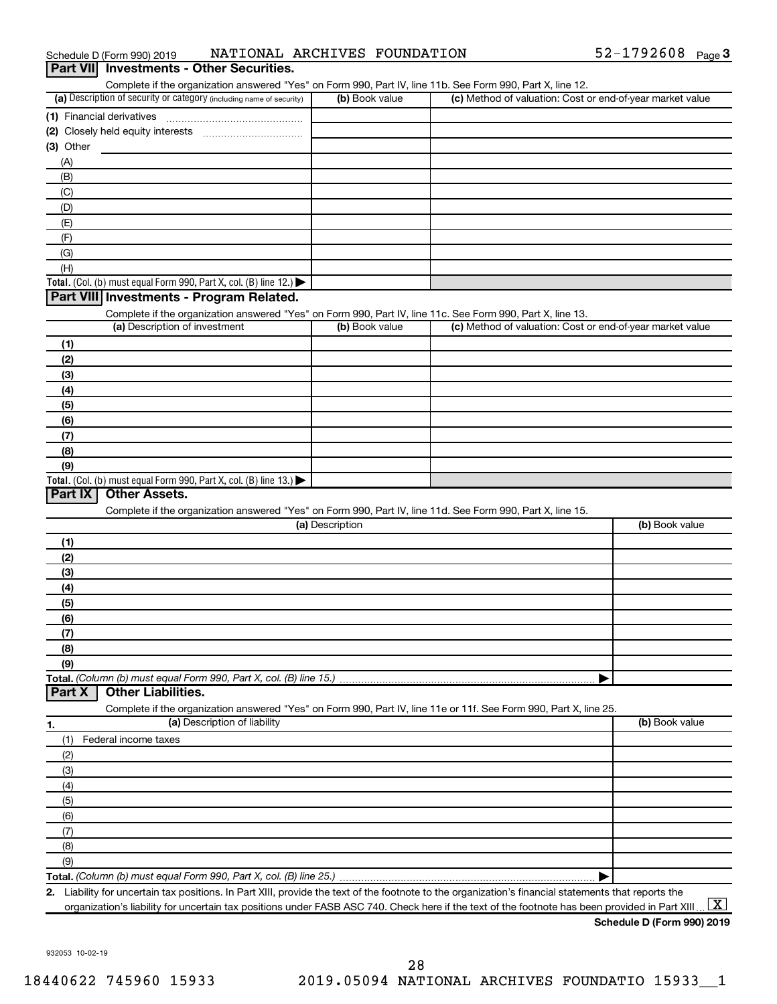| <b>Part VII</b> Investments - Other Securities. |                              |            |        |
|-------------------------------------------------|------------------------------|------------|--------|
| Schedule D (Form 990) 2019                      | NATIONAL ARCHIVES FOUNDATION | 52-1792608 | Page 3 |

| (a) Description of security or category (including name of security)                                              | (b) Book value  | (c) Method of valuation: Cost or end-of-year market value                                                  |                |
|-------------------------------------------------------------------------------------------------------------------|-----------------|------------------------------------------------------------------------------------------------------------|----------------|
| (1) Financial derivatives                                                                                         |                 |                                                                                                            |                |
|                                                                                                                   |                 |                                                                                                            |                |
| (3) Other                                                                                                         |                 |                                                                                                            |                |
| (A)                                                                                                               |                 |                                                                                                            |                |
| (B)                                                                                                               |                 |                                                                                                            |                |
|                                                                                                                   |                 |                                                                                                            |                |
| (C)                                                                                                               |                 |                                                                                                            |                |
| (D)                                                                                                               |                 |                                                                                                            |                |
| (E)                                                                                                               |                 |                                                                                                            |                |
| (F)                                                                                                               |                 |                                                                                                            |                |
| (G)                                                                                                               |                 |                                                                                                            |                |
| (H)                                                                                                               |                 |                                                                                                            |                |
| Total. (Col. (b) must equal Form 990, Part X, col. (B) line 12.) $\blacktriangleright$                            |                 |                                                                                                            |                |
| Part VIII Investments - Program Related.                                                                          |                 |                                                                                                            |                |
| Complete if the organization answered "Yes" on Form 990, Part IV, line 11c. See Form 990, Part X, line 13.        |                 |                                                                                                            |                |
| (a) Description of investment                                                                                     | (b) Book value  | (c) Method of valuation: Cost or end-of-year market value                                                  |                |
| (1)                                                                                                               |                 |                                                                                                            |                |
| (2)                                                                                                               |                 |                                                                                                            |                |
| (3)                                                                                                               |                 |                                                                                                            |                |
| (4)                                                                                                               |                 |                                                                                                            |                |
| (5)                                                                                                               |                 |                                                                                                            |                |
| (6)                                                                                                               |                 |                                                                                                            |                |
| (7)                                                                                                               |                 |                                                                                                            |                |
|                                                                                                                   |                 |                                                                                                            |                |
| (8)                                                                                                               |                 |                                                                                                            |                |
| (9)                                                                                                               |                 |                                                                                                            |                |
| Total. (Col. (b) must equal Form 990, Part X, col. (B) line 13.)<br>Part IX<br><b>Other Assets.</b>               |                 |                                                                                                            |                |
|                                                                                                                   |                 |                                                                                                            |                |
|                                                                                                                   |                 |                                                                                                            |                |
|                                                                                                                   |                 | Complete if the organization answered "Yes" on Form 990, Part IV, line 11d. See Form 990, Part X, line 15. |                |
|                                                                                                                   | (a) Description |                                                                                                            | (b) Book value |
| (1)                                                                                                               |                 |                                                                                                            |                |
| (2)                                                                                                               |                 |                                                                                                            |                |
| (3)                                                                                                               |                 |                                                                                                            |                |
| (4)                                                                                                               |                 |                                                                                                            |                |
| (5)                                                                                                               |                 |                                                                                                            |                |
| (6)                                                                                                               |                 |                                                                                                            |                |
|                                                                                                                   |                 |                                                                                                            |                |
| (7)                                                                                                               |                 |                                                                                                            |                |
| (8)                                                                                                               |                 |                                                                                                            |                |
| (9)                                                                                                               |                 |                                                                                                            |                |
|                                                                                                                   |                 |                                                                                                            |                |
| <b>Other Liabilities.</b>                                                                                         |                 |                                                                                                            |                |
| Complete if the organization answered "Yes" on Form 990, Part IV, line 11e or 11f. See Form 990, Part X, line 25. |                 |                                                                                                            |                |
| (a) Description of liability                                                                                      |                 |                                                                                                            | (b) Book value |
| (1)<br>Federal income taxes                                                                                       |                 |                                                                                                            |                |
| (2)                                                                                                               |                 |                                                                                                            |                |
| (3)                                                                                                               |                 |                                                                                                            |                |
| (4)                                                                                                               |                 |                                                                                                            |                |
| (5)                                                                                                               |                 |                                                                                                            |                |
| (6)                                                                                                               |                 |                                                                                                            |                |
| Total. (Column (b) must equal Form 990, Part X, col. (B) line 15.)<br>Part X                                      |                 |                                                                                                            |                |
| (7)                                                                                                               |                 |                                                                                                            |                |
| (8)<br>(9)                                                                                                        |                 |                                                                                                            |                |

**2.** Liability for uncertain tax positions. In Part XIII, provide the text of the footnote to the organization's financial statements that reports the organization's liability for uncertain tax positions under FASB ASC 740. Check here if the text of the footnote has been provided in Part XIII ...  $\fbox{\bf X}$ 

**Schedule D (Form 990) 2019**

932053 10-02-19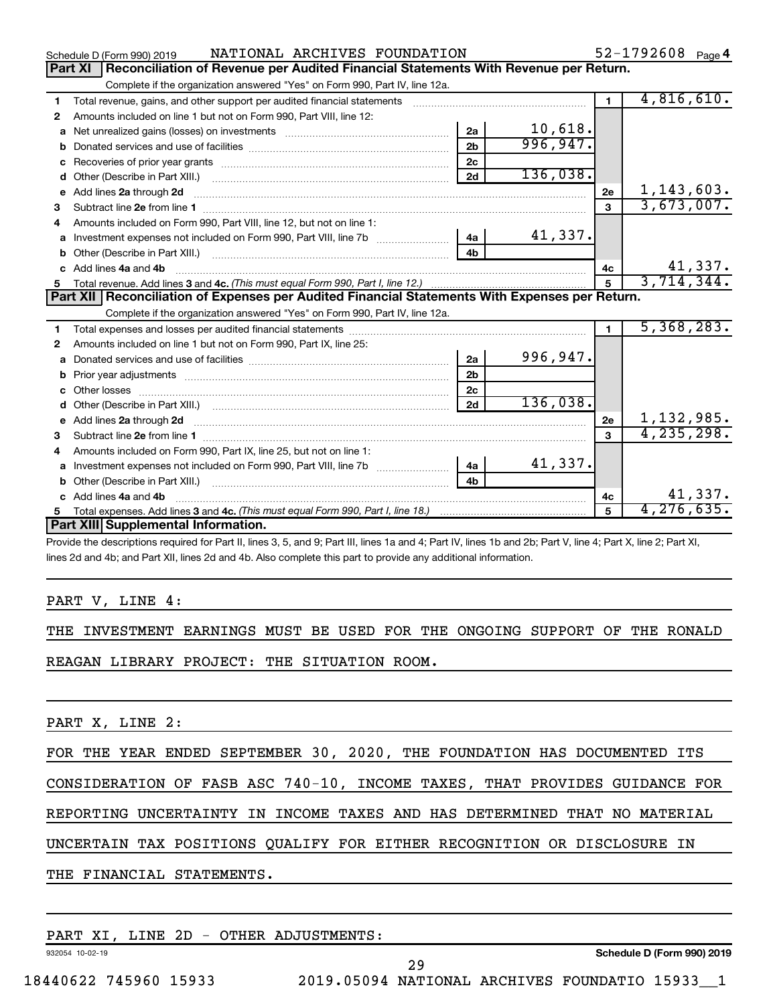|   | NATIONAL ARCHIVES FOUNDATION<br>Schedule D (Form 990) 2019                                                                                                                                          |                |          |                | $52 - 1792608$ Page 4 |
|---|-----------------------------------------------------------------------------------------------------------------------------------------------------------------------------------------------------|----------------|----------|----------------|-----------------------|
|   | Reconciliation of Revenue per Audited Financial Statements With Revenue per Return.<br>Part XI                                                                                                      |                |          |                |                       |
|   | Complete if the organization answered "Yes" on Form 990, Part IV, line 12a.                                                                                                                         |                |          |                |                       |
| 1 | Total revenue, gains, and other support per audited financial statements                                                                                                                            |                |          | $\blacksquare$ | 4,816,610.            |
| 2 | Amounts included on line 1 but not on Form 990, Part VIII, line 12:                                                                                                                                 |                |          |                |                       |
| a |                                                                                                                                                                                                     | 2a             | 10,618.  |                |                       |
|   |                                                                                                                                                                                                     | 2 <sub>h</sub> | 996,947. |                |                       |
|   |                                                                                                                                                                                                     | 2c             |          |                |                       |
| d |                                                                                                                                                                                                     | 2d             | 136,038. |                |                       |
| е | Add lines 2a through 2d                                                                                                                                                                             |                |          | 2е             | 1, 143, 603.          |
| З |                                                                                                                                                                                                     |                |          | 3              | 3,673,007.            |
| 4 | Amounts included on Form 990, Part VIII, line 12, but not on line 1:                                                                                                                                |                |          |                |                       |
| a |                                                                                                                                                                                                     |                | 41,337.  |                |                       |
|   |                                                                                                                                                                                                     | 4 <sub>b</sub> |          |                |                       |
|   | c Add lines 4a and 4b                                                                                                                                                                               |                |          | 4c             | 41,337.               |
|   |                                                                                                                                                                                                     |                |          | 5              | 3,714,344.            |
|   | Part XII Reconciliation of Expenses per Audited Financial Statements With Expenses per Return.                                                                                                      |                |          |                |                       |
|   | Complete if the organization answered "Yes" on Form 990, Part IV, line 12a.                                                                                                                         |                |          |                |                       |
| 1 |                                                                                                                                                                                                     |                |          | $\blacksquare$ | 5,368,283.            |
| 2 | Amounts included on line 1 but not on Form 990, Part IX, line 25:                                                                                                                                   |                |          |                |                       |
| a |                                                                                                                                                                                                     |                |          |                |                       |
|   |                                                                                                                                                                                                     | 2a             | 996,947. |                |                       |
| b |                                                                                                                                                                                                     | 2 <sub>b</sub> |          |                |                       |
|   | Other losses                                                                                                                                                                                        | 2 <sub>c</sub> |          |                |                       |
| d | Other (Describe in Part XIII.) [100] [2010] [2010] [2010] [2010] [2010] [2010] [2010] [2010] [2010] [2010] [20                                                                                      | 2d             | 136,038. |                |                       |
| e | Add lines 2a through 2d                                                                                                                                                                             |                |          | 2e             | 1,132,985.            |
| з |                                                                                                                                                                                                     |                |          | $\mathbf{a}$   | 4, 235, 298.          |
| 4 | Subtract line 2e from line 1 <b>Manual Community of the Community of the Community Community</b> Subtract line 2e from line 1<br>Amounts included on Form 990, Part IX, line 25, but not on line 1: |                |          |                |                       |
| a |                                                                                                                                                                                                     | 4a             | 41,337.  |                |                       |
|   |                                                                                                                                                                                                     | 4 <sub>b</sub> |          |                |                       |
|   | Add lines 4a and 4b                                                                                                                                                                                 |                |          | 4с             | 41,337.               |
| 5 |                                                                                                                                                                                                     |                |          | 5              | 4, 276, 635.          |
|   | Part XIII Supplemental Information.                                                                                                                                                                 |                |          |                |                       |

Provide the descriptions required for Part II, lines 3, 5, and 9; Part III, lines 1a and 4; Part IV, lines 1b and 2b; Part V, line 4; Part X, line 2; Part XI, lines 2d and 4b; and Part XII, lines 2d and 4b. Also complete this part to provide any additional information.

#### PART V, LINE 4:

THE INVESTMENT EARNINGS MUST BE USED FOR THE ONGOING SUPPORT OF THE RONALD REAGAN LIBRARY PROJECT: THE SITUATION ROOM.

PART X, LINE 2:

FOR THE YEAR ENDED SEPTEMBER 30, 2020, THE FOUNDATION HAS DOCUMENTED ITS

CONSIDERATION OF FASB ASC 740-10, INCOME TAXES, THAT PROVIDES GUIDANCE FOR

REPORTING UNCERTAINTY IN INCOME TAXES AND HAS DETERMINED THAT NO MATERIAL

UNCERTAIN TAX POSITIONS QUALIFY FOR EITHER RECOGNITION OR DISCLOSURE IN

THE FINANCIAL STATEMENTS.

|  |  | PART XI, LINE 2D - OTHER ADJUSTMENTS: |  |
|--|--|---------------------------------------|--|
|  |  |                                       |  |

932054 10-02-19

**Schedule D (Form 990) 2019**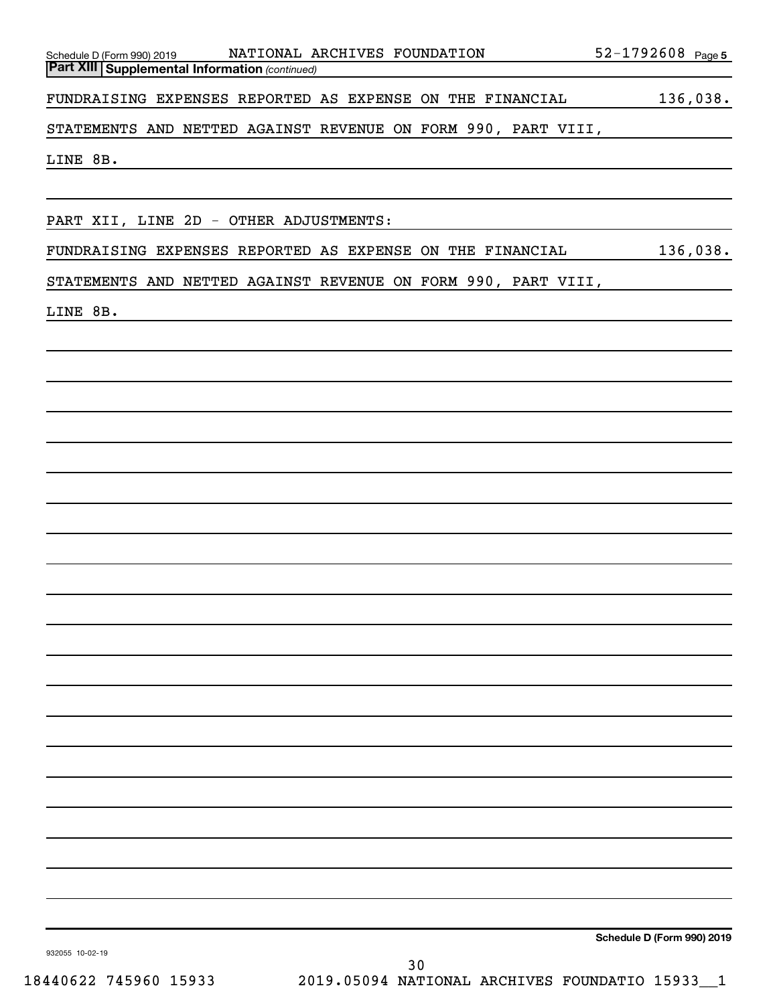| NATIONAL ARCHIVES FOUNDATION<br>Schedule D (Form 990) 2019<br><b>Part XIII Supplemental Information (continued)</b> | 52-1792608 Page 5          |
|---------------------------------------------------------------------------------------------------------------------|----------------------------|
|                                                                                                                     |                            |
| FUNDRAISING EXPENSES REPORTED AS EXPENSE ON THE FINANCIAL                                                           | 136,038.                   |
| STATEMENTS AND NETTED AGAINST REVENUE ON FORM 990, PART VIII,                                                       |                            |
| LINE 8B.                                                                                                            |                            |
|                                                                                                                     |                            |
| PART XII, LINE 2D - OTHER ADJUSTMENTS:                                                                              |                            |
|                                                                                                                     |                            |
| FUNDRAISING EXPENSES REPORTED AS EXPENSE ON THE FINANCIAL                                                           | 136,038.                   |
| STATEMENTS AND NETTED AGAINST REVENUE ON FORM 990, PART VIII,                                                       |                            |
| LINE 8B.<br><u> 1980 - John Stein, mars and de Brazilian (b. 1980)</u>                                              |                            |
|                                                                                                                     |                            |
|                                                                                                                     |                            |
|                                                                                                                     |                            |
|                                                                                                                     |                            |
|                                                                                                                     |                            |
|                                                                                                                     |                            |
|                                                                                                                     |                            |
|                                                                                                                     |                            |
|                                                                                                                     |                            |
|                                                                                                                     |                            |
|                                                                                                                     |                            |
|                                                                                                                     |                            |
|                                                                                                                     |                            |
|                                                                                                                     |                            |
|                                                                                                                     |                            |
|                                                                                                                     |                            |
|                                                                                                                     |                            |
|                                                                                                                     |                            |
|                                                                                                                     |                            |
|                                                                                                                     |                            |
|                                                                                                                     |                            |
|                                                                                                                     |                            |
|                                                                                                                     |                            |
|                                                                                                                     | Schedule D (Form 990) 2019 |
| 932055 10-02-19<br>30                                                                                               |                            |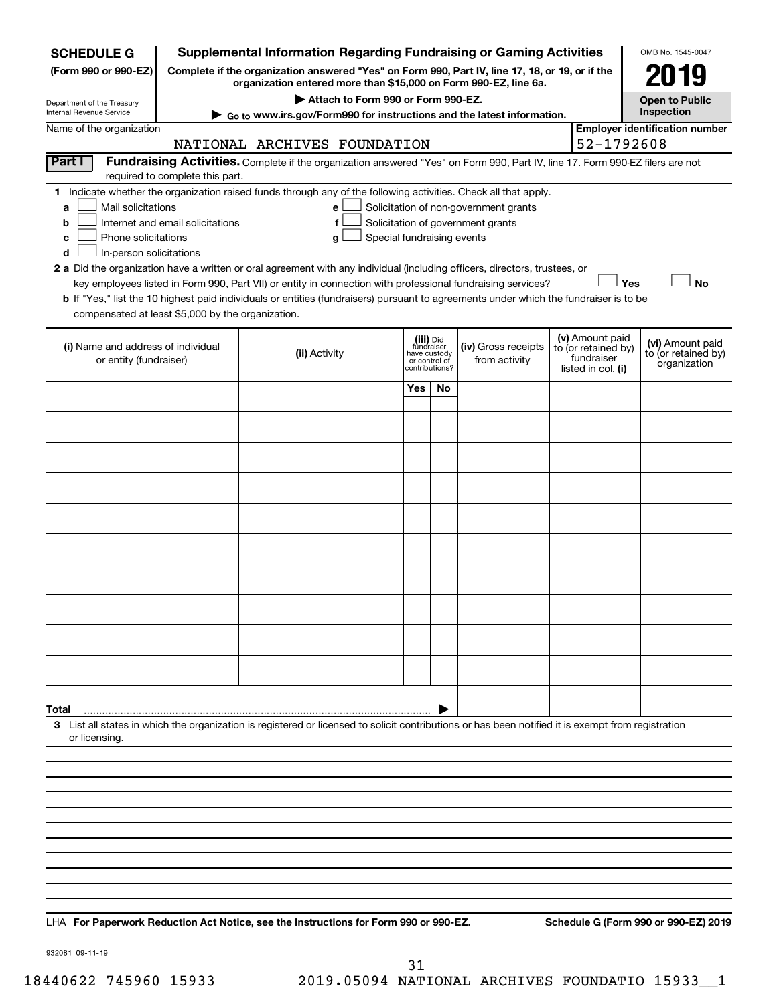| <b>SCHEDULE G</b>                                            |                                                                                                                                                                     | <b>Supplemental Information Regarding Fundraising or Gaming Activities</b>                                                                                    |                                                          |                |                                                                            |  |                                                                            | OMB No. 1545-0047                                       |  |
|--------------------------------------------------------------|---------------------------------------------------------------------------------------------------------------------------------------------------------------------|---------------------------------------------------------------------------------------------------------------------------------------------------------------|----------------------------------------------------------|----------------|----------------------------------------------------------------------------|--|----------------------------------------------------------------------------|---------------------------------------------------------|--|
| (Form 990 or 990-EZ)                                         | Complete if the organization answered "Yes" on Form 990, Part IV, line 17, 18, or 19, or if the<br>organization entered more than \$15,000 on Form 990-EZ, line 6a. |                                                                                                                                                               |                                                          |                |                                                                            |  |                                                                            |                                                         |  |
|                                                              |                                                                                                                                                                     | Attach to Form 990 or Form 990-EZ.                                                                                                                            |                                                          |                |                                                                            |  |                                                                            | 079<br><b>Open to Public</b>                            |  |
| Department of the Treasury<br>Internal Revenue Service       |                                                                                                                                                                     | ► Go to www.irs.gov/Form990 for instructions and the latest information.                                                                                      |                                                          |                |                                                                            |  |                                                                            | Inspection                                              |  |
| Name of the organization                                     |                                                                                                                                                                     |                                                                                                                                                               |                                                          |                |                                                                            |  | 52-1792608                                                                 | <b>Employer identification number</b>                   |  |
| Part I                                                       |                                                                                                                                                                     | NATIONAL ARCHIVES FOUNDATION<br>Fundraising Activities. Complete if the organization answered "Yes" on Form 990, Part IV, line 17. Form 990-EZ filers are not |                                                          |                |                                                                            |  |                                                                            |                                                         |  |
|                                                              | required to complete this part.                                                                                                                                     |                                                                                                                                                               |                                                          |                |                                                                            |  |                                                                            |                                                         |  |
| Mail solicitations<br>a<br>b                                 | Internet and email solicitations                                                                                                                                    | 1 Indicate whether the organization raised funds through any of the following activities. Check all that apply.<br>е<br>f                                     |                                                          |                | Solicitation of non-government grants<br>Solicitation of government grants |  |                                                                            |                                                         |  |
| Phone solicitations<br>с<br>In-person solicitations<br>d     |                                                                                                                                                                     | Special fundraising events<br>g                                                                                                                               |                                                          |                |                                                                            |  |                                                                            |                                                         |  |
|                                                              |                                                                                                                                                                     | 2 a Did the organization have a written or oral agreement with any individual (including officers, directors, trustees, or                                    |                                                          |                |                                                                            |  |                                                                            |                                                         |  |
|                                                              |                                                                                                                                                                     | key employees listed in Form 990, Part VII) or entity in connection with professional fundraising services?                                                   |                                                          |                |                                                                            |  | Yes                                                                        | <b>No</b>                                               |  |
|                                                              |                                                                                                                                                                     | b If "Yes," list the 10 highest paid individuals or entities (fundraisers) pursuant to agreements under which the fundraiser is to be                         |                                                          |                |                                                                            |  |                                                                            |                                                         |  |
| compensated at least \$5,000 by the organization.            |                                                                                                                                                                     |                                                                                                                                                               |                                                          |                |                                                                            |  |                                                                            |                                                         |  |
| (i) Name and address of individual<br>or entity (fundraiser) |                                                                                                                                                                     | (ii) Activity                                                                                                                                                 | (iii) Did<br>fundraiser<br>have custody<br>or control of | contributions? | (iv) Gross receipts<br>from activity                                       |  | (v) Amount paid<br>to (or retained by)<br>fundraiser<br>listed in col. (i) | (vi) Amount paid<br>to (or retained by)<br>organization |  |
|                                                              |                                                                                                                                                                     |                                                                                                                                                               | Yes                                                      | No             |                                                                            |  |                                                                            |                                                         |  |
|                                                              |                                                                                                                                                                     |                                                                                                                                                               |                                                          |                |                                                                            |  |                                                                            |                                                         |  |
|                                                              |                                                                                                                                                                     |                                                                                                                                                               |                                                          |                |                                                                            |  |                                                                            |                                                         |  |
|                                                              |                                                                                                                                                                     |                                                                                                                                                               |                                                          |                |                                                                            |  |                                                                            |                                                         |  |
|                                                              |                                                                                                                                                                     |                                                                                                                                                               |                                                          |                |                                                                            |  |                                                                            |                                                         |  |
|                                                              |                                                                                                                                                                     |                                                                                                                                                               |                                                          |                |                                                                            |  |                                                                            |                                                         |  |
|                                                              |                                                                                                                                                                     |                                                                                                                                                               |                                                          |                |                                                                            |  |                                                                            |                                                         |  |
|                                                              |                                                                                                                                                                     |                                                                                                                                                               |                                                          |                |                                                                            |  |                                                                            |                                                         |  |
|                                                              |                                                                                                                                                                     |                                                                                                                                                               |                                                          |                |                                                                            |  |                                                                            |                                                         |  |
|                                                              |                                                                                                                                                                     |                                                                                                                                                               |                                                          |                |                                                                            |  |                                                                            |                                                         |  |
| Total                                                        |                                                                                                                                                                     |                                                                                                                                                               |                                                          |                |                                                                            |  |                                                                            |                                                         |  |
| or licensing.                                                |                                                                                                                                                                     | 3 List all states in which the organization is registered or licensed to solicit contributions or has been notified it is exempt from registration            |                                                          |                |                                                                            |  |                                                                            |                                                         |  |
|                                                              |                                                                                                                                                                     |                                                                                                                                                               |                                                          |                |                                                                            |  |                                                                            |                                                         |  |
|                                                              |                                                                                                                                                                     |                                                                                                                                                               |                                                          |                |                                                                            |  |                                                                            |                                                         |  |
|                                                              |                                                                                                                                                                     |                                                                                                                                                               |                                                          |                |                                                                            |  |                                                                            |                                                         |  |
|                                                              |                                                                                                                                                                     |                                                                                                                                                               |                                                          |                |                                                                            |  |                                                                            |                                                         |  |
|                                                              |                                                                                                                                                                     |                                                                                                                                                               |                                                          |                |                                                                            |  |                                                                            |                                                         |  |
|                                                              |                                                                                                                                                                     |                                                                                                                                                               |                                                          |                |                                                                            |  |                                                                            |                                                         |  |
|                                                              |                                                                                                                                                                     |                                                                                                                                                               |                                                          |                |                                                                            |  |                                                                            |                                                         |  |

**For Paperwork Reduction Act Notice, see the Instructions for Form 990 or 990-EZ. Schedule G (Form 990 or 990-EZ) 2019** LHA

932081 09-11-19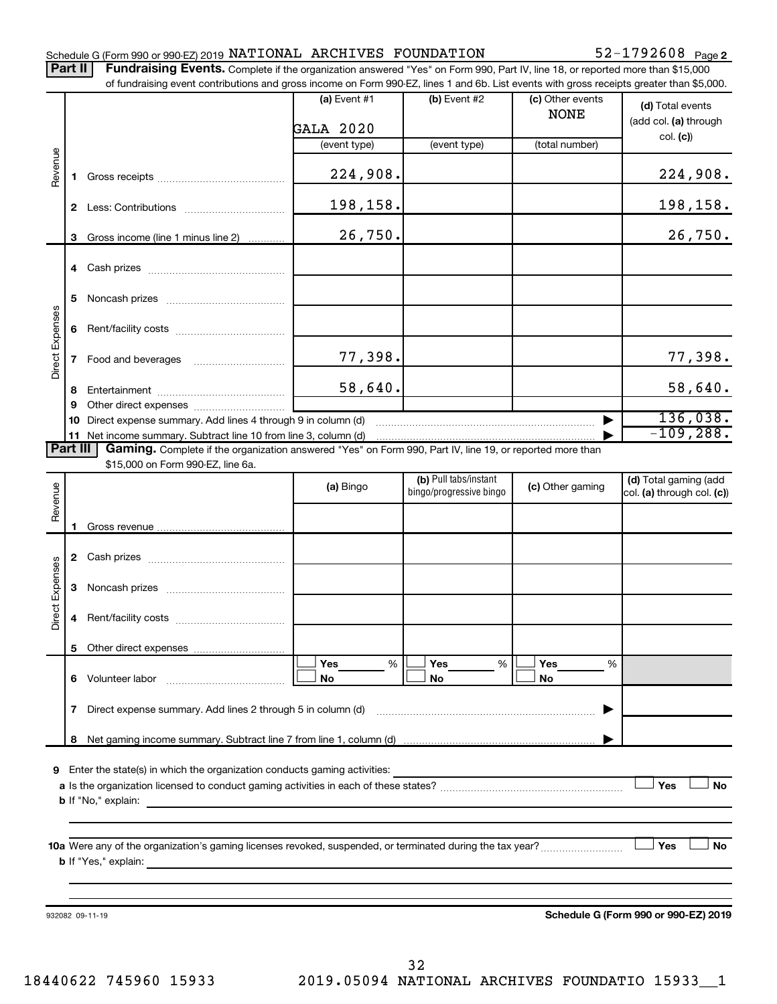#### Schedule G (Form 990 or 990-EZ) 2019  $\texttt{NATIONAL}$   $\texttt{ARCHIVES}$   $\texttt{FOUNDATION}$  52-1792608  $\texttt{Page}$

52-1792608 Page 2

Part II | Fundraising Events. Complete if the organization answered "Yes" on Form 990, Part IV, line 18, or reported more than \$15,000 of fundraising event contributions and gross income on Form 990-EZ, lines 1 and 6b. List events with gross receipts greater than \$5,000.

|                        |              | OF iditionalshig event contributions and gross income on Form 990-EZ, lines T and 6D. Elst events with gross receipts greater than \$5,000. |                |                                                  |                                 |                                                     |
|------------------------|--------------|---------------------------------------------------------------------------------------------------------------------------------------------|----------------|--------------------------------------------------|---------------------------------|-----------------------------------------------------|
|                        |              |                                                                                                                                             | (a) Event $#1$ | $(b)$ Event #2                                   | (c) Other events<br><b>NONE</b> | (d) Total events<br>(add col. (a) through           |
|                        |              |                                                                                                                                             | GALA 2020      |                                                  |                                 | col. (c)                                            |
|                        |              |                                                                                                                                             | (event type)   | (event type)                                     | (total number)                  |                                                     |
| Revenue                | 1.           |                                                                                                                                             | 224,908.       |                                                  |                                 | 224,908.                                            |
|                        |              |                                                                                                                                             | 198,158.       |                                                  |                                 | 198,158.                                            |
|                        | 3            | Gross income (line 1 minus line 2)                                                                                                          | 26,750.        |                                                  |                                 | 26,750.                                             |
|                        |              |                                                                                                                                             |                |                                                  |                                 |                                                     |
|                        | 5            |                                                                                                                                             |                |                                                  |                                 |                                                     |
|                        | 6            |                                                                                                                                             |                |                                                  |                                 |                                                     |
| Direct Expenses        |              |                                                                                                                                             | 77,398.        |                                                  |                                 | 77,398.                                             |
|                        | 8<br>9       |                                                                                                                                             | 58,640.        |                                                  |                                 | 58,640.                                             |
|                        | 10           | Direct expense summary. Add lines 4 through 9 in column (d)                                                                                 |                |                                                  |                                 | 136,038.                                            |
|                        |              |                                                                                                                                             |                |                                                  |                                 | $-109, 288.$                                        |
| Part III               |              | Gaming. Complete if the organization answered "Yes" on Form 990, Part IV, line 19, or reported more than                                    |                |                                                  |                                 |                                                     |
|                        |              | \$15,000 on Form 990-EZ, line 6a.                                                                                                           |                |                                                  |                                 |                                                     |
| Revenue                |              |                                                                                                                                             | (a) Bingo      | (b) Pull tabs/instant<br>bingo/progressive bingo | (c) Other gaming                | (d) Total gaming (add<br>col. (a) through col. (c)) |
|                        |              |                                                                                                                                             |                |                                                  |                                 |                                                     |
|                        | 1.           |                                                                                                                                             |                |                                                  |                                 |                                                     |
|                        |              |                                                                                                                                             |                |                                                  |                                 |                                                     |
| <b>Direct Expenses</b> | 3            |                                                                                                                                             |                |                                                  |                                 |                                                     |
|                        | 4            |                                                                                                                                             |                |                                                  |                                 |                                                     |
|                        | 5.           |                                                                                                                                             |                |                                                  |                                 |                                                     |
|                        |              |                                                                                                                                             | Yes<br>%       | Yes<br>%                                         | Yes<br>%                        |                                                     |
|                        |              | 6 Volunteer labor                                                                                                                           | No             | No                                               | No                              |                                                     |
|                        | $\mathbf{7}$ | Direct expense summary. Add lines 2 through 5 in column (d)                                                                                 |                |                                                  |                                 |                                                     |
|                        | 8            |                                                                                                                                             |                |                                                  |                                 |                                                     |
|                        |              | Enter the state(s) in which the organization conducts gaming activities:                                                                    |                |                                                  |                                 |                                                     |
| 9                      |              |                                                                                                                                             |                |                                                  |                                 | Yes<br>No                                           |
|                        |              | <b>b</b> If "No," explain:                                                                                                                  |                |                                                  |                                 |                                                     |
|                        |              |                                                                                                                                             |                |                                                  |                                 |                                                     |
|                        |              |                                                                                                                                             |                |                                                  |                                 |                                                     |
|                        |              |                                                                                                                                             |                |                                                  |                                 | Yes<br>No                                           |
|                        |              | <b>b</b> If "Yes," explain:                                                                                                                 |                |                                                  |                                 |                                                     |
|                        |              |                                                                                                                                             |                |                                                  |                                 |                                                     |
|                        |              |                                                                                                                                             |                |                                                  |                                 |                                                     |
|                        |              | 932082 09-11-19                                                                                                                             |                |                                                  |                                 | Schedule G (Form 990 or 990-EZ) 2019                |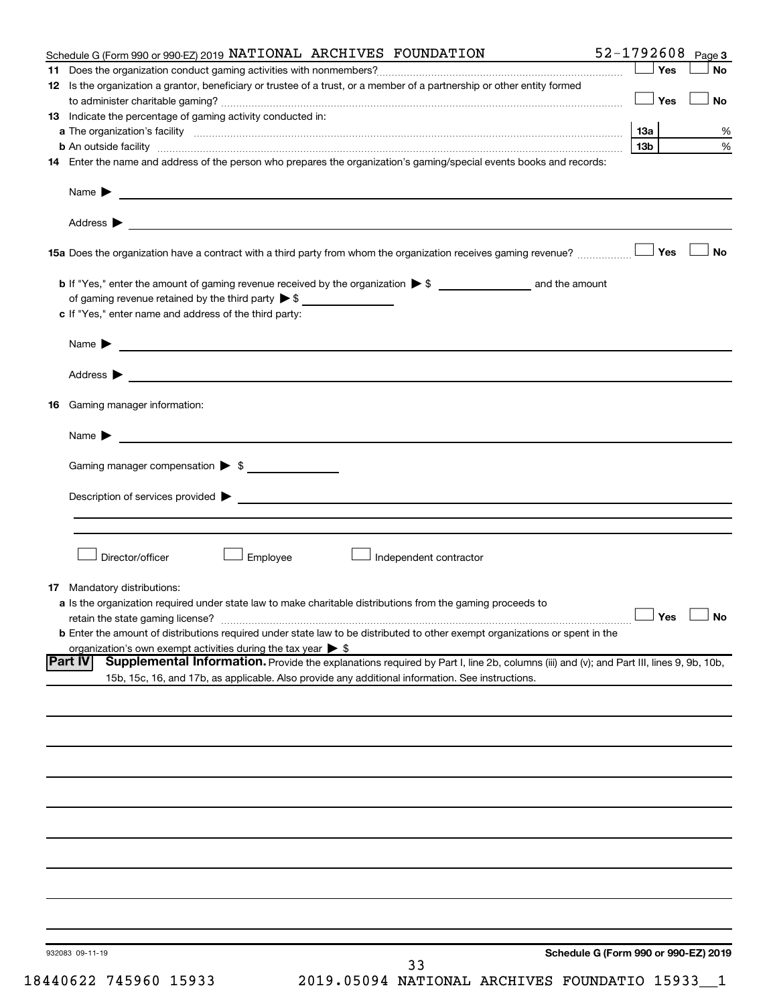|     | Schedule G (Form 990 or 990-EZ) 2019 NATIONAL ARCHIVES FOUNDATION                                                                                                                                                              | 52-1792608      |       | Page 3                                       |
|-----|--------------------------------------------------------------------------------------------------------------------------------------------------------------------------------------------------------------------------------|-----------------|-------|----------------------------------------------|
| 11. |                                                                                                                                                                                                                                |                 | ∫ Yes | No                                           |
|     | 12 Is the organization a grantor, beneficiary or trustee of a trust, or a member of a partnership or other entity formed                                                                                                       |                 |       |                                              |
|     |                                                                                                                                                                                                                                |                 | Yes   | No                                           |
|     | 13 Indicate the percentage of gaming activity conducted in:                                                                                                                                                                    |                 |       |                                              |
|     |                                                                                                                                                                                                                                |                 |       | %                                            |
|     |                                                                                                                                                                                                                                | 13 <sub>b</sub> |       | $\%$                                         |
|     | 14 Enter the name and address of the person who prepares the organization's gaming/special events books and records:                                                                                                           |                 |       |                                              |
|     | Name $\blacktriangleright$<br><u> 1989 - Johann Barbara, martin amerikan basal dan berasal dan berasal dalam basal dan berasal dan berasal dan</u>                                                                             |                 |       |                                              |
|     |                                                                                                                                                                                                                                |                 |       |                                              |
|     | 15a Does the organization have a contract with a third party from whom the organization receives gaming revenue?                                                                                                               |                 | 」Yes  | <b>No</b>                                    |
|     |                                                                                                                                                                                                                                |                 |       |                                              |
|     | of gaming revenue retained by the third party $\triangleright$ \$                                                                                                                                                              |                 |       |                                              |
|     | c If "Yes," enter name and address of the third party:                                                                                                                                                                         |                 |       |                                              |
|     | <u> 1980 - Johann Barbara, martin amerikan basal dan berasal dan berasal dalam basal dan berasal dan berasal dan</u><br>Name $\blacktriangleright$                                                                             |                 |       |                                              |
|     |                                                                                                                                                                                                                                |                 |       |                                              |
| 16  | Gaming manager information:                                                                                                                                                                                                    |                 |       |                                              |
|     |                                                                                                                                                                                                                                |                 |       |                                              |
|     | <u> 1989 - Johann Harry Harry Harry Harry Harry Harry Harry Harry Harry Harry Harry Harry Harry Harry Harry Harry</u><br>Name $\blacktriangleright$                                                                            |                 |       |                                              |
|     | Gaming manager compensation > \$                                                                                                                                                                                               |                 |       |                                              |
|     | Description of services provided states and the state of the state of the state of the state of the state of the state of the state of the state of the state of the state of the state of the state of the state of the state |                 |       |                                              |
|     |                                                                                                                                                                                                                                |                 |       |                                              |
|     |                                                                                                                                                                                                                                |                 |       |                                              |
|     | Director/officer<br>Employee<br>Independent contractor                                                                                                                                                                         |                 |       |                                              |
|     | <b>17</b> Mandatory distributions:                                                                                                                                                                                             |                 |       |                                              |
|     | <b>a</b> Is the organization required under state law to make charitable distributions from the gaming proceeds to                                                                                                             |                 |       |                                              |
|     |                                                                                                                                                                                                                                |                 |       | $\mathbin{\sqcup}$ Yes $\mathbin{\sqcup}$ No |
|     | <b>b</b> Enter the amount of distributions required under state law to be distributed to other exempt organizations or spent in the                                                                                            |                 |       |                                              |
|     | organization's own exempt activities during the tax year $\triangleright$ \$                                                                                                                                                   |                 |       |                                              |
|     | <b>Part IV</b><br>Supplemental Information. Provide the explanations required by Part I, line 2b, columns (iii) and (v); and Part III, lines 9, 9b, 10b,                                                                       |                 |       |                                              |
|     | 15b, 15c, 16, and 17b, as applicable. Also provide any additional information. See instructions.                                                                                                                               |                 |       |                                              |
|     |                                                                                                                                                                                                                                |                 |       |                                              |
|     |                                                                                                                                                                                                                                |                 |       |                                              |
|     |                                                                                                                                                                                                                                |                 |       |                                              |
|     |                                                                                                                                                                                                                                |                 |       |                                              |
|     |                                                                                                                                                                                                                                |                 |       |                                              |
|     |                                                                                                                                                                                                                                |                 |       |                                              |
|     |                                                                                                                                                                                                                                |                 |       |                                              |
|     |                                                                                                                                                                                                                                |                 |       |                                              |
|     |                                                                                                                                                                                                                                |                 |       |                                              |
|     |                                                                                                                                                                                                                                |                 |       |                                              |
|     |                                                                                                                                                                                                                                |                 |       |                                              |
|     | Schedule G (Form 990 or 990-EZ) 2019<br>932083 09-11-19<br>33                                                                                                                                                                  |                 |       |                                              |
|     |                                                                                                                                                                                                                                |                 |       |                                              |

18440622 745960 15933 2019.05094 NATIONAL ARCHIVES FOUNDATIO 15933\_\_1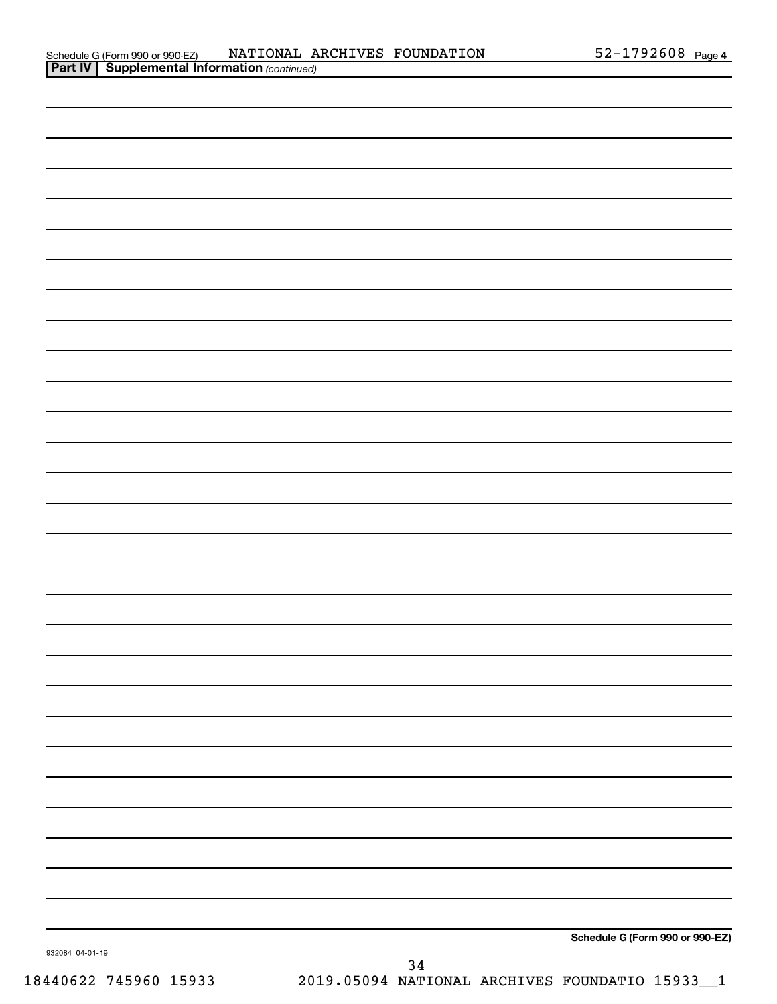| Schedule G (Form 990 or 990-EZ) |
|---------------------------------|

932084 04-01-19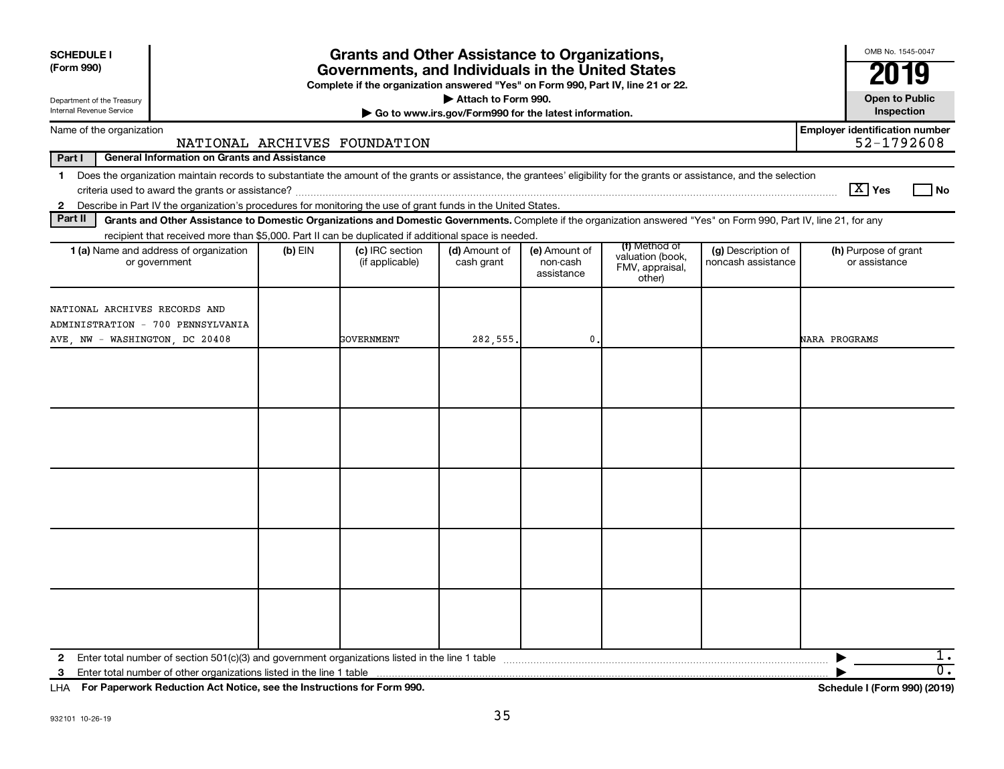| <b>SCHEDULE I</b><br>(Form 990)                                                                                                                                                         |           | <b>Grants and Other Assistance to Organizations,</b><br>Governments, and Individuals in the United States<br>Complete if the organization answered "Yes" on Form 990, Part IV, line 21 or 22. |                                                       |                                         |                                                                |                                          | OMB No. 1545-0047                                   |
|-----------------------------------------------------------------------------------------------------------------------------------------------------------------------------------------|-----------|-----------------------------------------------------------------------------------------------------------------------------------------------------------------------------------------------|-------------------------------------------------------|-----------------------------------------|----------------------------------------------------------------|------------------------------------------|-----------------------------------------------------|
| Department of the Treasury<br>Internal Revenue Service                                                                                                                                  |           |                                                                                                                                                                                               | Attach to Form 990.                                   |                                         |                                                                |                                          | <b>Open to Public</b><br>Inspection                 |
|                                                                                                                                                                                         |           |                                                                                                                                                                                               | Go to www.irs.gov/Form990 for the latest information. |                                         |                                                                |                                          |                                                     |
| Name of the organization                                                                                                                                                                |           | NATIONAL ARCHIVES FOUNDATION                                                                                                                                                                  |                                                       |                                         |                                                                |                                          | <b>Employer identification number</b><br>52-1792608 |
| Part I<br><b>General Information on Grants and Assistance</b>                                                                                                                           |           |                                                                                                                                                                                               |                                                       |                                         |                                                                |                                          |                                                     |
| Does the organization maintain records to substantiate the amount of the grants or assistance, the grantees' eligibility for the grants or assistance, and the selection<br>$\mathbf 1$ |           |                                                                                                                                                                                               |                                                       |                                         |                                                                |                                          | $\boxed{\text{X}}$ Yes<br>l No                      |
| 2 Describe in Part IV the organization's procedures for monitoring the use of grant funds in the United States.                                                                         |           |                                                                                                                                                                                               |                                                       |                                         |                                                                |                                          |                                                     |
| Part II<br>Grants and Other Assistance to Domestic Organizations and Domestic Governments. Complete if the organization answered "Yes" on Form 990, Part IV, line 21, for any           |           |                                                                                                                                                                                               |                                                       |                                         |                                                                |                                          |                                                     |
| recipient that received more than \$5,000. Part II can be duplicated if additional space is needed.<br>1 (a) Name and address of organization<br>or government                          | $(b)$ EIN | (c) IRC section<br>(if applicable)                                                                                                                                                            | (d) Amount of<br>cash grant                           | (e) Amount of<br>non-cash<br>assistance | (f) Method of<br>valuation (book,<br>FMV, appraisal,<br>other) | (g) Description of<br>noncash assistance | (h) Purpose of grant<br>or assistance               |
| NATIONAL ARCHIVES RECORDS AND<br>ADMINISTRATION - 700 PENNSYLVANIA<br>AVE, NW - WASHINGTON, DC 20408                                                                                    |           | GOVERNMENT                                                                                                                                                                                    | 282,555.                                              | 0.                                      |                                                                |                                          | <b>NARA PROGRAMS</b>                                |
|                                                                                                                                                                                         |           |                                                                                                                                                                                               |                                                       |                                         |                                                                |                                          |                                                     |
|                                                                                                                                                                                         |           |                                                                                                                                                                                               |                                                       |                                         |                                                                |                                          |                                                     |
|                                                                                                                                                                                         |           |                                                                                                                                                                                               |                                                       |                                         |                                                                |                                          |                                                     |
|                                                                                                                                                                                         |           |                                                                                                                                                                                               |                                                       |                                         |                                                                |                                          |                                                     |
|                                                                                                                                                                                         |           |                                                                                                                                                                                               |                                                       |                                         |                                                                |                                          |                                                     |
|                                                                                                                                                                                         |           |                                                                                                                                                                                               |                                                       |                                         |                                                                |                                          | ı.<br>$\overline{0}$ .                              |

**For Paperwork Reduction Act Notice, see the Instructions for Form 990. Schedule I (Form 990) (2019)** LHA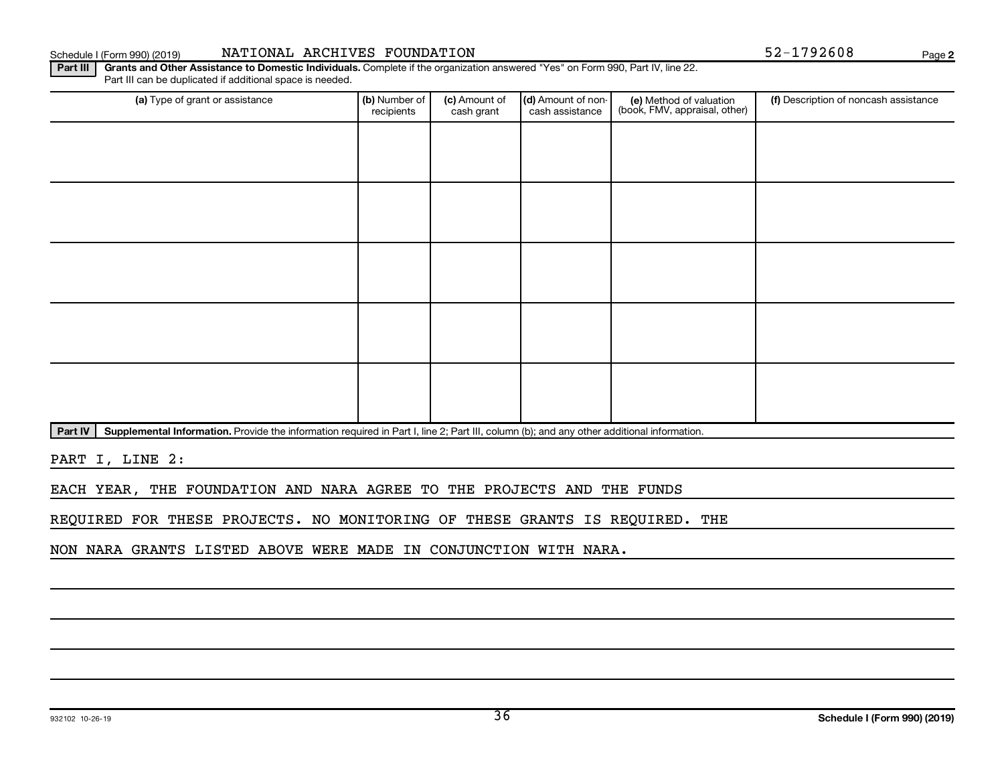Part IV | Supplemental Information. Provide the information required in Part I, line 2; Part III, column (b); and any other additional information.

PART I, LINE 2:

EACH YEAR, THE FOUNDATION AND NARA AGREE TO THE PROJECTS AND THE FUNDS

Part III | Grants and Other Assistance to Domestic Individuals. Complete if the organization answered "Yes" on Form 990, Part IV, line 22.

recipients

Part III can be duplicated if additional space is needed.

(a) Type of grant or assistance **(b)** Number of  $|$  **(c)** Amount of  $|$  **(d)** Amount of non- $|$  **(e)** Method of valuation  $|$  **(f)** 

(c) Amount of cash grant

Schedule I (Form 990) (2019) MATIONAL ARCHIVES FOUNDATION 52-1792608 Page

(d) Amount of noncash assistance

(e) Method of valuation (book, FMV, appraisal, other)

REQUIRED FOR THESE PROJECTS. NO MONITORING OF THESE GRANTS IS REQUIRED. THE

NON NARA GRANTS LISTED ABOVE WERE MADE IN CONJUNCTION WITH NARA.

**2**

(f) Description of noncash assistance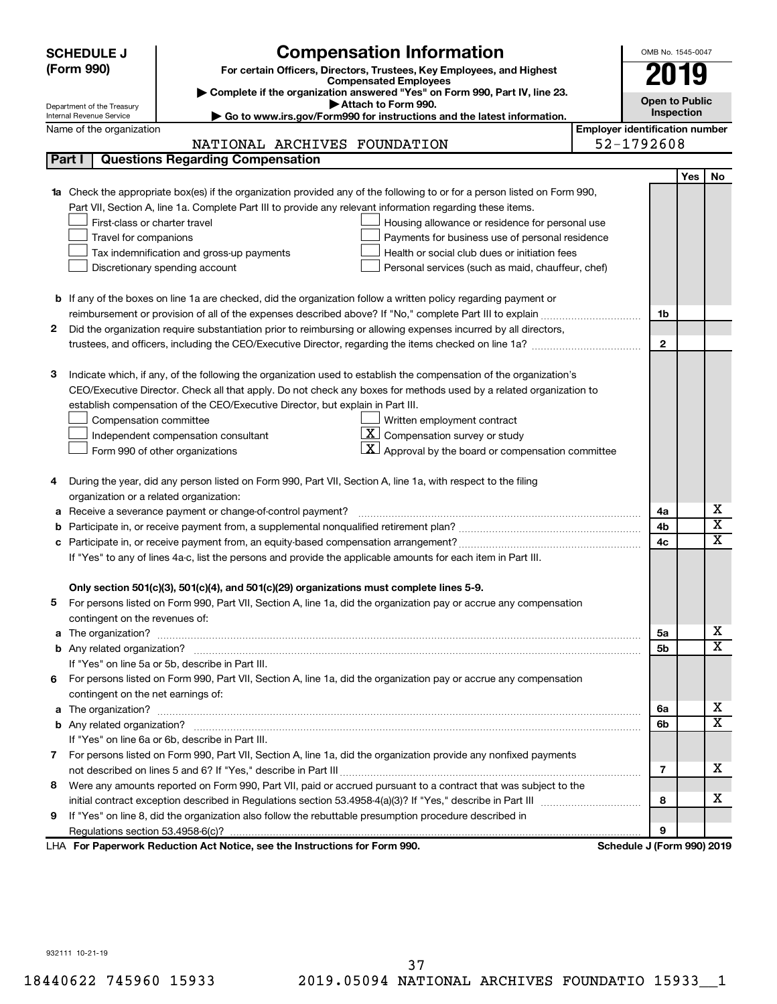| <b>Compensation Information</b><br><b>SCHEDULE J</b>                                                                                                                                                                                      | OMB No. 1545-0047                     |                              |
|-------------------------------------------------------------------------------------------------------------------------------------------------------------------------------------------------------------------------------------------|---------------------------------------|------------------------------|
| (Form 990)<br>For certain Officers, Directors, Trustees, Key Employees, and Highest                                                                                                                                                       |                                       |                              |
| <b>Compensated Employees</b>                                                                                                                                                                                                              |                                       | 019                          |
| Complete if the organization answered "Yes" on Form 990, Part IV, line 23.<br>Attach to Form 990.                                                                                                                                         | <b>Open to Public</b>                 |                              |
| Department of the Treasury<br>Go to www.irs.gov/Form990 for instructions and the latest information.<br>Internal Revenue Service                                                                                                          |                                       | Inspection                   |
| Name of the organization                                                                                                                                                                                                                  | <b>Employer identification number</b> |                              |
| NATIONAL ARCHIVES FOUNDATION                                                                                                                                                                                                              | 52-1792608                            |                              |
| <b>Questions Regarding Compensation</b><br>Part I                                                                                                                                                                                         |                                       |                              |
|                                                                                                                                                                                                                                           |                                       | <b>Yes</b><br>No             |
| 1a Check the appropriate box(es) if the organization provided any of the following to or for a person listed on Form 990,                                                                                                                 |                                       |                              |
| Part VII, Section A, line 1a. Complete Part III to provide any relevant information regarding these items.                                                                                                                                |                                       |                              |
| First-class or charter travel<br>Housing allowance or residence for personal use                                                                                                                                                          |                                       |                              |
| Payments for business use of personal residence<br>Travel for companions                                                                                                                                                                  |                                       |                              |
| Health or social club dues or initiation fees<br>Tax indemnification and gross-up payments                                                                                                                                                |                                       |                              |
| Discretionary spending account<br>Personal services (such as maid, chauffeur, chef)                                                                                                                                                       |                                       |                              |
|                                                                                                                                                                                                                                           |                                       |                              |
| <b>b</b> If any of the boxes on line 1a are checked, did the organization follow a written policy regarding payment or                                                                                                                    |                                       |                              |
| reimbursement or provision of all of the expenses described above? If "No," complete Part III to explain                                                                                                                                  | 1b                                    |                              |
| 2<br>Did the organization require substantiation prior to reimbursing or allowing expenses incurred by all directors,                                                                                                                     |                                       |                              |
|                                                                                                                                                                                                                                           | $\mathbf{2}$                          |                              |
| Indicate which, if any, of the following the organization used to establish the compensation of the organization's<br>3                                                                                                                   |                                       |                              |
| CEO/Executive Director. Check all that apply. Do not check any boxes for methods used by a related organization to                                                                                                                        |                                       |                              |
| establish compensation of the CEO/Executive Director, but explain in Part III.                                                                                                                                                            |                                       |                              |
| Compensation committee<br>Written employment contract                                                                                                                                                                                     |                                       |                              |
| $\overline{X}$ Compensation survey or study<br>Independent compensation consultant                                                                                                                                                        |                                       |                              |
| Approval by the board or compensation committee<br>Form 990 of other organizations                                                                                                                                                        |                                       |                              |
|                                                                                                                                                                                                                                           |                                       |                              |
| During the year, did any person listed on Form 990, Part VII, Section A, line 1a, with respect to the filing<br>4                                                                                                                         |                                       |                              |
| organization or a related organization:                                                                                                                                                                                                   |                                       |                              |
| Receive a severance payment or change-of-control payment?<br>а                                                                                                                                                                            | 4a                                    | х                            |
|                                                                                                                                                                                                                                           | 4b                                    | $\overline{\textnormal{x}}$  |
| c                                                                                                                                                                                                                                         | 4c                                    | $\overline{\textnormal{x}}$  |
| If "Yes" to any of lines 4a-c, list the persons and provide the applicable amounts for each item in Part III.                                                                                                                             |                                       |                              |
|                                                                                                                                                                                                                                           |                                       |                              |
| Only section 501(c)(3), 501(c)(4), and 501(c)(29) organizations must complete lines 5-9.                                                                                                                                                  |                                       |                              |
| For persons listed on Form 990, Part VII, Section A, line 1a, did the organization pay or accrue any compensation                                                                                                                         |                                       |                              |
| contingent on the revenues of:                                                                                                                                                                                                            |                                       |                              |
|                                                                                                                                                                                                                                           | 5a                                    | х                            |
|                                                                                                                                                                                                                                           | 5b                                    | $\overline{\mathbf{X}}$      |
| If "Yes" on line 5a or 5b, describe in Part III.                                                                                                                                                                                          |                                       |                              |
| 6 For persons listed on Form 990, Part VII, Section A, line 1a, did the organization pay or accrue any compensation                                                                                                                       |                                       |                              |
| contingent on the net earnings of:                                                                                                                                                                                                        |                                       |                              |
| The organization? <b>With the contract of the contract of the contract of the contract of the contract of the contract of the contract of the contract of the contract of the contract of the contract of the contract of the co</b><br>a | 6a                                    | х<br>$\overline{\mathbf{X}}$ |
|                                                                                                                                                                                                                                           | 6b                                    |                              |
| If "Yes" on line 6a or 6b, describe in Part III.                                                                                                                                                                                          |                                       |                              |
| 7 For persons listed on Form 990, Part VII, Section A, line 1a, did the organization provide any nonfixed payments                                                                                                                        |                                       | x                            |
|                                                                                                                                                                                                                                           | 7                                     |                              |
| Were any amounts reported on Form 990, Part VII, paid or accrued pursuant to a contract that was subject to the<br>8                                                                                                                      |                                       | х                            |
| If "Yes" on line 8, did the organization also follow the rebuttable presumption procedure described in                                                                                                                                    | 8                                     |                              |
| 9                                                                                                                                                                                                                                         | 9                                     |                              |
| LHA For Paperwork Reduction Act Notice, see the Instructions for Form 990.                                                                                                                                                                | Schedule J (Form 990) 2019            |                              |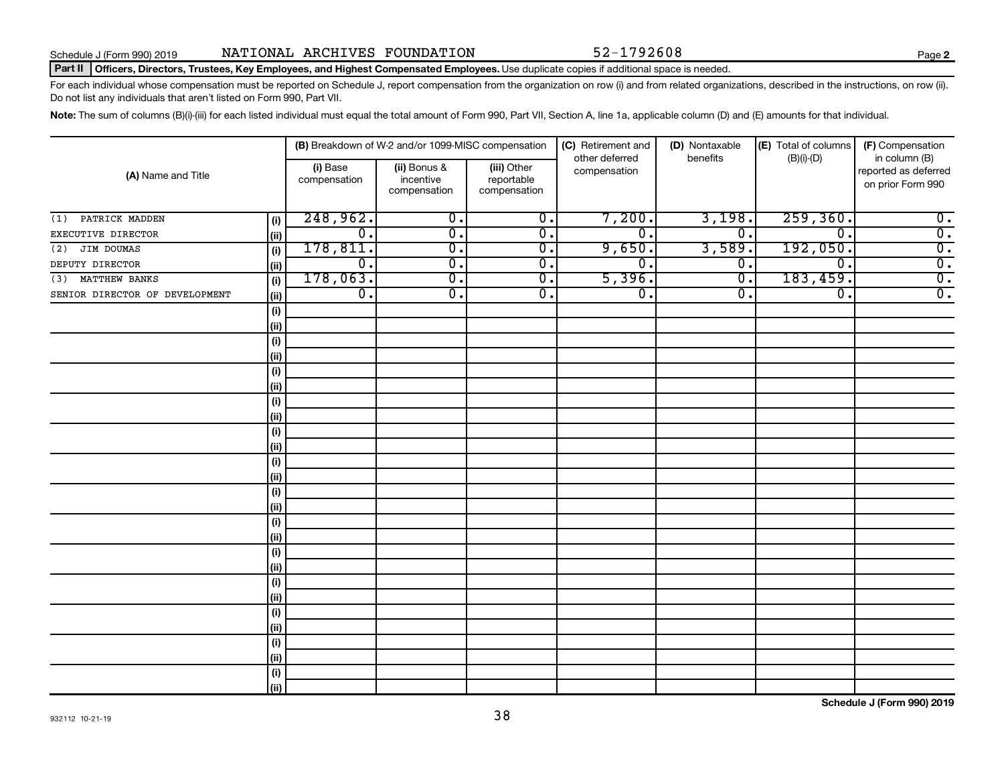#### Part II | Officers, Directors, Trustees, Key Employees, and Highest Compensated Employees. Use duplicate copies if additional space is needed.

For each individual whose compensation must be reported on Schedule J, report compensation from the organization on row (i) and from related organizations, described in the instructions, on row (ii). Do not list any individuals that aren't listed on Form 990, Part VII.

Note: The sum of columns (B)(i)-(iii) for each listed individual must equal the total amount of Form 990, Part VII, Section A, line 1a, applicable column (D) and (E) amounts for that individual.

|                                |      |                          | (B) Breakdown of W-2 and/or 1099-MISC compensation |                                           | (C) Retirement and             | (D) Nontaxable              | (E) Total of columns        | (F) Compensation                                           |
|--------------------------------|------|--------------------------|----------------------------------------------------|-------------------------------------------|--------------------------------|-----------------------------|-----------------------------|------------------------------------------------------------|
| (A) Name and Title             |      | (i) Base<br>compensation | (ii) Bonus &<br>incentive<br>compensation          | (iii) Other<br>reportable<br>compensation | other deferred<br>compensation | benefits                    | $(B)(i)$ - $(D)$            | in column (B)<br>reported as deferred<br>on prior Form 990 |
| PATRICK MADDEN<br>(1)          | (i)  | 248,962.                 | $\overline{0}$ .                                   | $\overline{0}$ .                          | 7,200.                         | 3,198.                      | 259, 360.                   | $\overline{0}$ .                                           |
| EXECUTIVE DIRECTOR             | (ii) | $\overline{0}$ .         | $\overline{\mathbf{0}}$ .                          | $\overline{0}$ .                          | 0.                             | $\overline{0}$ .            | $\overline{0}$ .            | $\overline{0}$ .                                           |
| JIM DOUMAS<br>(2)              | (i)  | 178,811.                 | $\overline{\mathbf{0}}$ .                          | $\overline{0}$ .                          | 9,650.                         | 3,589.                      | 192,050.                    | $\overline{0}$ .                                           |
| DEPUTY DIRECTOR                | (ii) | $\overline{0}$ .         | $\overline{\mathfrak{o}}$ .                        | $\overline{0}$ .                          | $\mathbf 0$                    | $\overline{0}$ .            | $\overline{\mathfrak{o}}$ . | $\overline{0}$ .                                           |
| MATTHEW BANKS<br>(3)           | (i)  | 178,063.                 | $\overline{\mathbf{0}}$ .                          | $\overline{0}$ .                          | 5,396.                         | $\overline{\mathfrak{o}}$ . | 183,459.                    | $\overline{0}$ .                                           |
| SENIOR DIRECTOR OF DEVELOPMENT | (ii) | $\overline{0}$ .         | $\overline{\mathfrak{o}}$ .                        | $\overline{0}$ .                          | $\overline{0}$ .               | $\overline{0}$ .            | $\overline{\mathfrak{o}}$ . | $\overline{0}$ .                                           |
|                                | (i)  |                          |                                                    |                                           |                                |                             |                             |                                                            |
|                                | (ii) |                          |                                                    |                                           |                                |                             |                             |                                                            |
|                                | (i)  |                          |                                                    |                                           |                                |                             |                             |                                                            |
|                                | (ii) |                          |                                                    |                                           |                                |                             |                             |                                                            |
|                                | (i)  |                          |                                                    |                                           |                                |                             |                             |                                                            |
|                                | (ii) |                          |                                                    |                                           |                                |                             |                             |                                                            |
|                                | (i)  |                          |                                                    |                                           |                                |                             |                             |                                                            |
|                                | (ii) |                          |                                                    |                                           |                                |                             |                             |                                                            |
|                                | (i)  |                          |                                                    |                                           |                                |                             |                             |                                                            |
|                                | (ii) |                          |                                                    |                                           |                                |                             |                             |                                                            |
|                                | (i)  |                          |                                                    |                                           |                                |                             |                             |                                                            |
|                                | (ii) |                          |                                                    |                                           |                                |                             |                             |                                                            |
|                                | (i)  |                          |                                                    |                                           |                                |                             |                             |                                                            |
|                                | (ii) |                          |                                                    |                                           |                                |                             |                             |                                                            |
|                                | (i)  |                          |                                                    |                                           |                                |                             |                             |                                                            |
|                                | (ii) |                          |                                                    |                                           |                                |                             |                             |                                                            |
|                                | (i)  |                          |                                                    |                                           |                                |                             |                             |                                                            |
|                                | (ii) |                          |                                                    |                                           |                                |                             |                             |                                                            |
|                                | (i)  |                          |                                                    |                                           |                                |                             |                             |                                                            |
|                                | (ii) |                          |                                                    |                                           |                                |                             |                             |                                                            |
|                                | (i)  |                          |                                                    |                                           |                                |                             |                             |                                                            |
|                                | (ii) |                          |                                                    |                                           |                                |                             |                             |                                                            |
|                                | (i)  |                          |                                                    |                                           |                                |                             |                             |                                                            |
|                                | (ii) |                          |                                                    |                                           |                                |                             |                             |                                                            |
|                                | (i)  |                          |                                                    |                                           |                                |                             |                             |                                                            |
|                                | (ii) |                          |                                                    |                                           |                                |                             |                             |                                                            |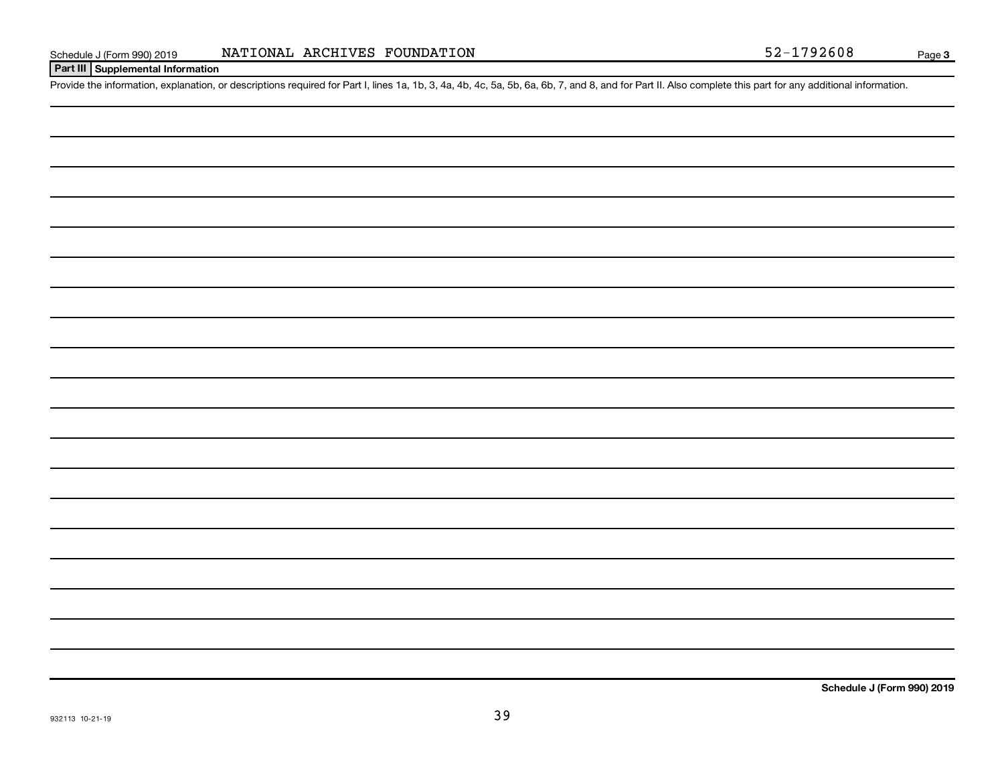### **Part III Supplemental Information**

Provide the information, explanation, or descriptions required for Part I, lines 1a, 1b, 3, 4a, 4b, 4c, 5a, 5b, 6a, 6b, 7, and 8, and for Part II. Also complete this part for any additional information.

**Schedule J (Form 990) 2019**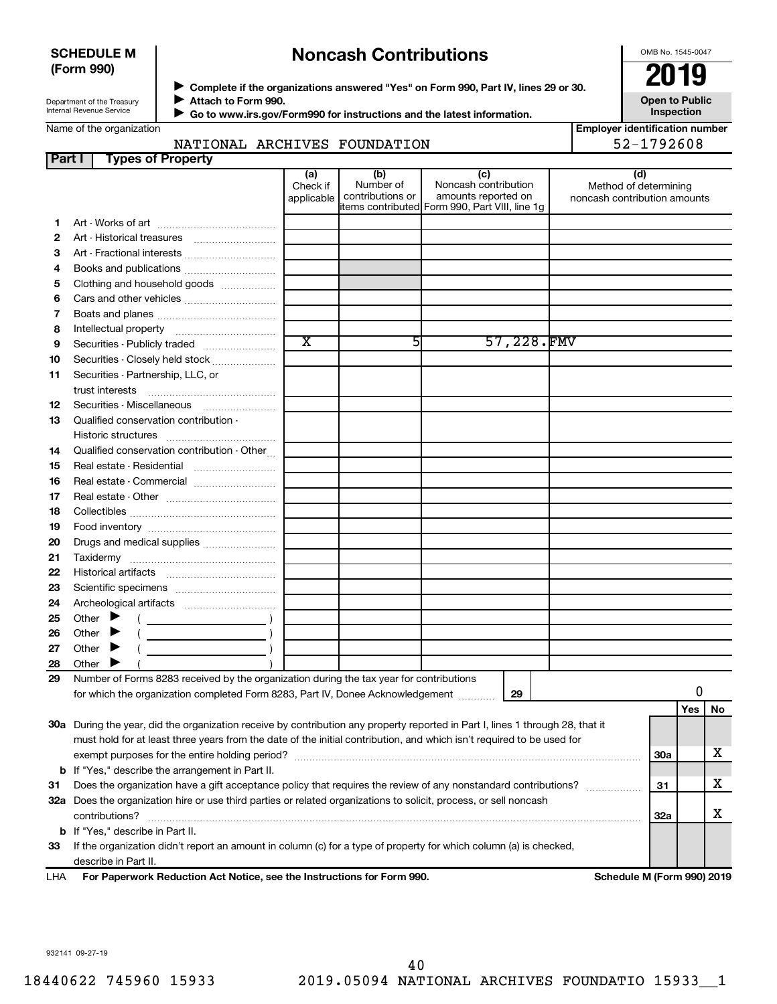#### **SCHEDULE M (Form 990)**

# **Noncash Contributions**

OMB No. 1545-0047

**Open to Public**

Department of the Treasury Internal Revenue Service

Name of the organization

◆ Complete if the organizations answered "Yes" on Form 990, Part IV, lines 29 or 30.<br>▶ Complete if the organizations answered "Yes" on Form 990, Part IV, lines 29 or 30. **Attach to Form 990.**  $\blacktriangleright$ 

 **Go to www.irs.gov/Form990 for instructions and the latest information.** J

**Inspection Employer identification number**

| NATIONAL ARCHIVES FOUNDATION | 52-1792608 |
|------------------------------|------------|
|------------------------------|------------|

| Part I | <b>Types of Property</b>                                                                                                       |                               |                                      |                                                                                                      |                                                              |            |    |
|--------|--------------------------------------------------------------------------------------------------------------------------------|-------------------------------|--------------------------------------|------------------------------------------------------------------------------------------------------|--------------------------------------------------------------|------------|----|
|        |                                                                                                                                | (a)<br>Check if<br>applicable | (b)<br>Number of<br>contributions or | (c)<br>Noncash contribution<br>amounts reported on<br>items contributed Form 990, Part VIII, line 1g | (d)<br>Method of determining<br>noncash contribution amounts |            |    |
| 1.     |                                                                                                                                |                               |                                      |                                                                                                      |                                                              |            |    |
| 2      |                                                                                                                                |                               |                                      |                                                                                                      |                                                              |            |    |
| З      | Art - Fractional interests                                                                                                     |                               |                                      |                                                                                                      |                                                              |            |    |
| 4      | Books and publications                                                                                                         |                               |                                      |                                                                                                      |                                                              |            |    |
| 5      | Clothing and household goods                                                                                                   |                               |                                      |                                                                                                      |                                                              |            |    |
| 6      | Cars and other vehicles                                                                                                        |                               |                                      |                                                                                                      |                                                              |            |    |
| 7      |                                                                                                                                |                               |                                      |                                                                                                      |                                                              |            |    |
| 8      |                                                                                                                                |                               |                                      |                                                                                                      |                                                              |            |    |
| 9      | Securities - Publicly traded                                                                                                   | $\overline{\text{x}}$         | 51                                   | 57,228.FMV                                                                                           |                                                              |            |    |
| 10     | Securities - Closely held stock                                                                                                |                               |                                      |                                                                                                      |                                                              |            |    |
| 11     | Securities - Partnership, LLC, or<br>trust interests                                                                           |                               |                                      |                                                                                                      |                                                              |            |    |
| 12     |                                                                                                                                |                               |                                      |                                                                                                      |                                                              |            |    |
| 13     | Qualified conservation contribution -                                                                                          |                               |                                      |                                                                                                      |                                                              |            |    |
|        |                                                                                                                                |                               |                                      |                                                                                                      |                                                              |            |    |
| 14     | Qualified conservation contribution - Other                                                                                    |                               |                                      |                                                                                                      |                                                              |            |    |
| 15     | Real estate - Residential                                                                                                      |                               |                                      |                                                                                                      |                                                              |            |    |
| 16     | Real estate - Commercial                                                                                                       |                               |                                      |                                                                                                      |                                                              |            |    |
| 17     |                                                                                                                                |                               |                                      |                                                                                                      |                                                              |            |    |
| 18     |                                                                                                                                |                               |                                      |                                                                                                      |                                                              |            |    |
| 19     |                                                                                                                                |                               |                                      |                                                                                                      |                                                              |            |    |
| 20     | Drugs and medical supplies                                                                                                     |                               |                                      |                                                                                                      |                                                              |            |    |
| 21     |                                                                                                                                |                               |                                      |                                                                                                      |                                                              |            |    |
| 22     |                                                                                                                                |                               |                                      |                                                                                                      |                                                              |            |    |
| 23     |                                                                                                                                |                               |                                      |                                                                                                      |                                                              |            |    |
| 24     |                                                                                                                                |                               |                                      |                                                                                                      |                                                              |            |    |
| 25     | Other $\blacktriangleright$                                                                                                    |                               |                                      |                                                                                                      |                                                              |            |    |
| 26     | Other $\blacktriangleright$                                                                                                    |                               |                                      |                                                                                                      |                                                              |            |    |
| 27     | Other                                                                                                                          |                               |                                      |                                                                                                      |                                                              |            |    |
| 28     | Other                                                                                                                          |                               |                                      |                                                                                                      |                                                              |            |    |
| 29     | Number of Forms 8283 received by the organization during the tax year for contributions                                        |                               |                                      |                                                                                                      |                                                              |            |    |
|        | for which the organization completed Form 8283, Part IV, Donee Acknowledgement                                                 |                               |                                      | 29                                                                                                   |                                                              |            |    |
|        | 30a During the year, did the organization receive by contribution any property reported in Part I, lines 1 through 28, that it |                               |                                      |                                                                                                      |                                                              | Yes        | No |
|        | must hold for at least three years from the date of the initial contribution, and which isn't required to be used for          |                               |                                      |                                                                                                      |                                                              |            |    |
|        |                                                                                                                                |                               |                                      |                                                                                                      |                                                              | <b>30a</b> | х  |
|        | <b>b</b> If "Yes," describe the arrangement in Part II.                                                                        |                               |                                      |                                                                                                      |                                                              |            |    |
| 31     | Does the organization have a gift acceptance policy that requires the review of any nonstandard contributions?                 |                               |                                      |                                                                                                      |                                                              | 31         | х  |
|        | 32a Does the organization hire or use third parties or related organizations to solicit, process, or sell noncash              |                               |                                      |                                                                                                      |                                                              |            |    |
|        | contributions?                                                                                                                 |                               |                                      |                                                                                                      |                                                              | 32a        | х  |
|        | <b>b</b> If "Yes," describe in Part II.                                                                                        |                               |                                      |                                                                                                      |                                                              |            |    |
| 33     | If the organization didn't report an amount in column (c) for a type of property for which column (a) is checked,              |                               |                                      |                                                                                                      |                                                              |            |    |
|        | describe in Part II.                                                                                                           |                               |                                      |                                                                                                      |                                                              |            |    |

**For Paperwork Reduction Act Notice, see the Instructions for Form 990. Schedule M (Form 990) 2019** LHA

932141 09-27-19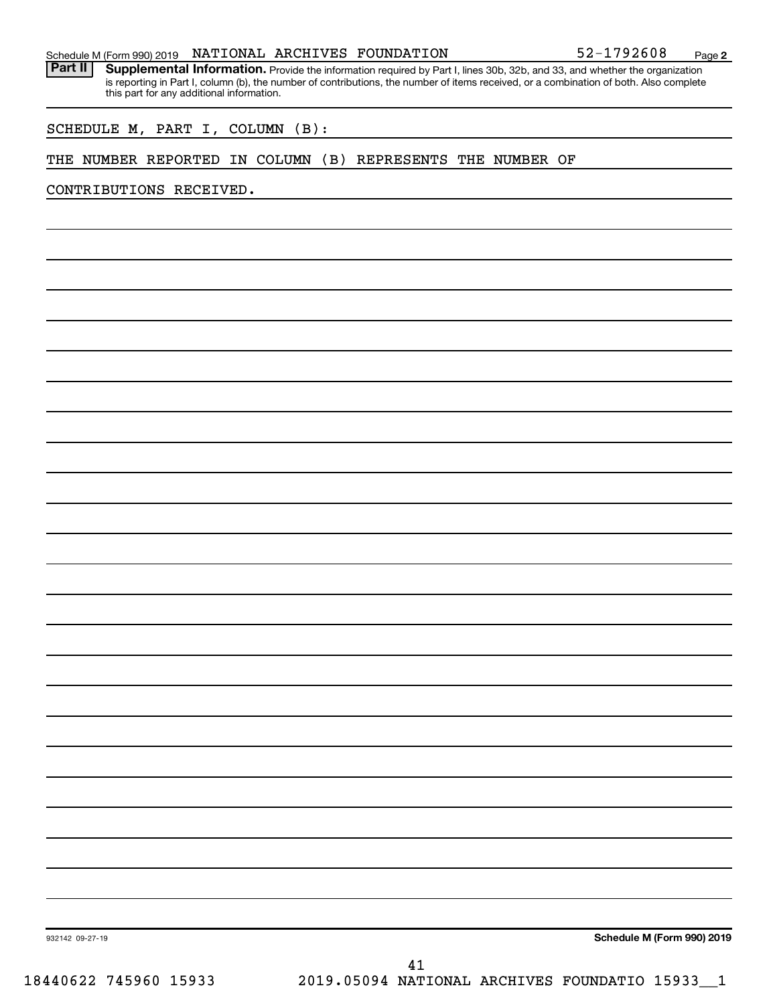#### Schedule M (Form 990) 2019 Page NATIONAL ARCHIVES FOUNDATION 52-1792608

Part II | Supplemental Information. Provide the information required by Part I, lines 30b, 32b, and 33, and whether the organization is reporting in Part I, column (b), the number of contributions, the number of items received, or a combination of both. Also complete this part for any additional information.

SCHEDULE M, PART I, COLUMN (B):

#### THE NUMBER REPORTED IN COLUMN (B) REPRESENTS THE NUMBER OF

CONTRIBUTIONS RECEIVED.

**Schedule M (Form 990) 2019**

932142 09-27-19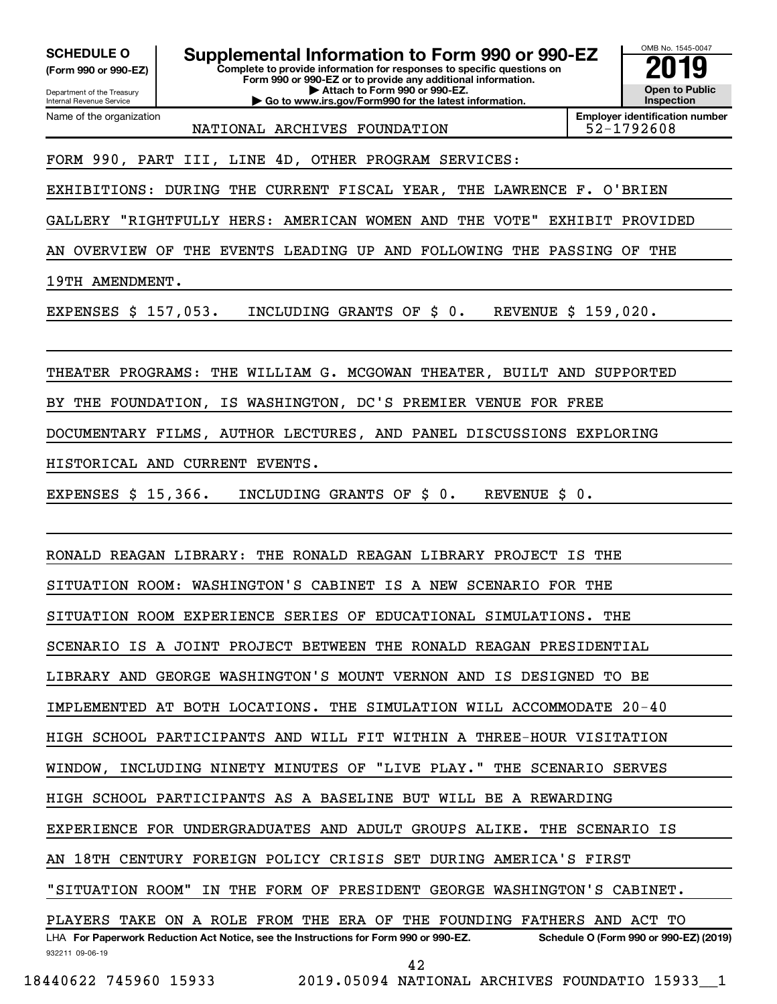**(Form 990 or 990-EZ)**

Department of the Treasury Internal Revenue Service Name of the organization

**Complete to provide information for responses to specific questions on Form 990 or 990-EZ or to provide any additional information. | Attach to Form 990 or 990-EZ. | Go to www.irs.gov/Form990 for the latest information. SCHEDULE O Supplemental Information to Form 990 or 990-EZ 2019** 



**Employer identification number** NATIONAL ARCHIVES FOUNDATION | 52-1792608

# FORM 990, PART III, LINE 4D, OTHER PROGRAM SERVICES:

EXHIBITIONS: DURING THE CURRENT FISCAL YEAR, THE LAWRENCE F. O'BRIEN

GALLERY "RIGHTFULLY HERS: AMERICAN WOMEN AND THE VOTE" EXHIBIT PROVIDED

AN OVERVIEW OF THE EVENTS LEADING UP AND FOLLOWING THE PASSING OF THE

19TH AMENDMENT.

EXPENSES \$ 157,053. INCLUDING GRANTS OF \$ 0. REVENUE \$ 159,020.

THEATER PROGRAMS: THE WILLIAM G. MCGOWAN THEATER, BUILT AND SUPPORTED

BY THE FOUNDATION, IS WASHINGTON, DC'S PREMIER VENUE FOR FREE

DOCUMENTARY FILMS, AUTHOR LECTURES, AND PANEL DISCUSSIONS EXPLORING

HISTORICAL AND CURRENT EVENTS.

EXPENSES \$ 15,366. INCLUDING GRANTS OF \$ 0. REVENUE \$ 0.

RONALD REAGAN LIBRARY: THE RONALD REAGAN LIBRARY PROJECT IS THE

SITUATION ROOM: WASHINGTON'S CABINET IS A NEW SCENARIO FOR THE

SITUATION ROOM EXPERIENCE SERIES OF EDUCATIONAL SIMULATIONS. THE

SCENARIO IS A JOINT PROJECT BETWEEN THE RONALD REAGAN PRESIDENTIAL

LIBRARY AND GEORGE WASHINGTON'S MOUNT VERNON AND IS DESIGNED TO BE

IMPLEMENTED AT BOTH LOCATIONS. THE SIMULATION WILL ACCOMMODATE 20-40

HIGH SCHOOL PARTICIPANTS AND WILL FIT WITHIN A THREE-HOUR VISITATION

WINDOW, INCLUDING NINETY MINUTES OF "LIVE PLAY." THE SCENARIO SERVES

HIGH SCHOOL PARTICIPANTS AS A BASELINE BUT WILL BE A REWARDING

EXPERIENCE FOR UNDERGRADUATES AND ADULT GROUPS ALIKE. THE SCENARIO IS

AN 18TH CENTURY FOREIGN POLICY CRISIS SET DURING AMERICA'S FIRST

"SITUATION ROOM" IN THE FORM OF PRESIDENT GEORGE WASHINGTON'S CABINET.

932211 09-06-19 LHA For Paperwork Reduction Act Notice, see the Instructions for Form 990 or 990-EZ. Schedule O (Form 990 or 990-EZ) (2019) PLAYERS TAKE ON A ROLE FROM THE ERA OF THE FOUNDING FATHERS AND ACT TO

42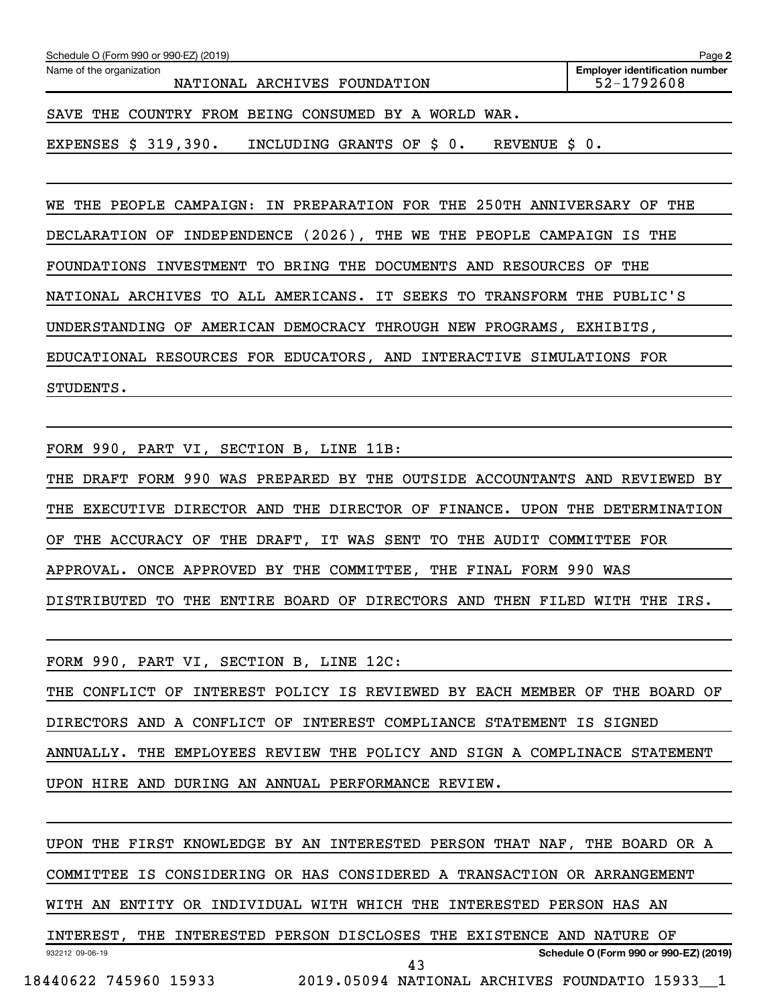| Schedule O (Form 990 or 990-EZ) (2019)<br>Page 2         |                                                     |  |  |  |  |  |  |  |  |
|----------------------------------------------------------|-----------------------------------------------------|--|--|--|--|--|--|--|--|
| Name of the organization<br>NATIONAL ARCHIVES FOUNDATION | <b>Employer identification number</b><br>52-1792608 |  |  |  |  |  |  |  |  |
| SAVE THE COUNTRY FROM BEING CONSUMED BY A WORLD WAR.     |                                                     |  |  |  |  |  |  |  |  |

EXPENSES \$ 319,390. INCLUDING GRANTS OF \$ 0. REVENUE \$ 0.

WE THE PEOPLE CAMPAIGN: IN PREPARATION FOR THE 250TH ANNIVERSARY OF THE DECLARATION OF INDEPENDENCE (2026), THE WE THE PEOPLE CAMPAIGN IS THE FOUNDATIONS INVESTMENT TO BRING THE DOCUMENTS AND RESOURCES OF THE NATIONAL ARCHIVES TO ALL AMERICANS. IT SEEKS TO TRANSFORM THE PUBLIC'S UNDERSTANDING OF AMERICAN DEMOCRACY THROUGH NEW PROGRAMS, EXHIBITS, EDUCATIONAL RESOURCES FOR EDUCATORS, AND INTERACTIVE SIMULATIONS FOR STUDENTS.

FORM 990, PART VI, SECTION B, LINE 11B:

THE DRAFT FORM 990 WAS PREPARED BY THE OUTSIDE ACCOUNTANTS AND REVIEWED BY THE EXECUTIVE DIRECTOR AND THE DIRECTOR OF FINANCE. UPON THE DETERMINATION OF THE ACCURACY OF THE DRAFT, IT WAS SENT TO THE AUDIT COMMITTEE FOR APPROVAL. ONCE APPROVED BY THE COMMITTEE, THE FINAL FORM 990 WAS DISTRIBUTED TO THE ENTIRE BOARD OF DIRECTORS AND THEN FILED WITH THE IRS.

FORM 990, PART VI, SECTION B, LINE 12C:

THE CONFLICT OF INTEREST POLICY IS REVIEWED BY EACH MEMBER OF THE BOARD OF DIRECTORS AND A CONFLICT OF INTEREST COMPLIANCE STATEMENT IS SIGNED ANNUALLY. THE EMPLOYEES REVIEW THE POLICY AND SIGN A COMPLINACE STATEMENT UPON HIRE AND DURING AN ANNUAL PERFORMANCE REVIEW.

932212 09-06-19 **Schedule O (Form 990 or 990-EZ) (2019)** UPON THE FIRST KNOWLEDGE BY AN INTERESTED PERSON THAT NAF, THE BOARD OR A COMMITTEE IS CONSIDERING OR HAS CONSIDERED A TRANSACTION OR ARRANGEMENT WITH AN ENTITY OR INDIVIDUAL WITH WHICH THE INTERESTED PERSON HAS AN INTEREST, THE INTERESTED PERSON DISCLOSES THE EXISTENCE AND NATURE OF 18440622 745960 15933 2019.05094 NATIONAL ARCHIVES FOUNDATIO 15933\_\_1 43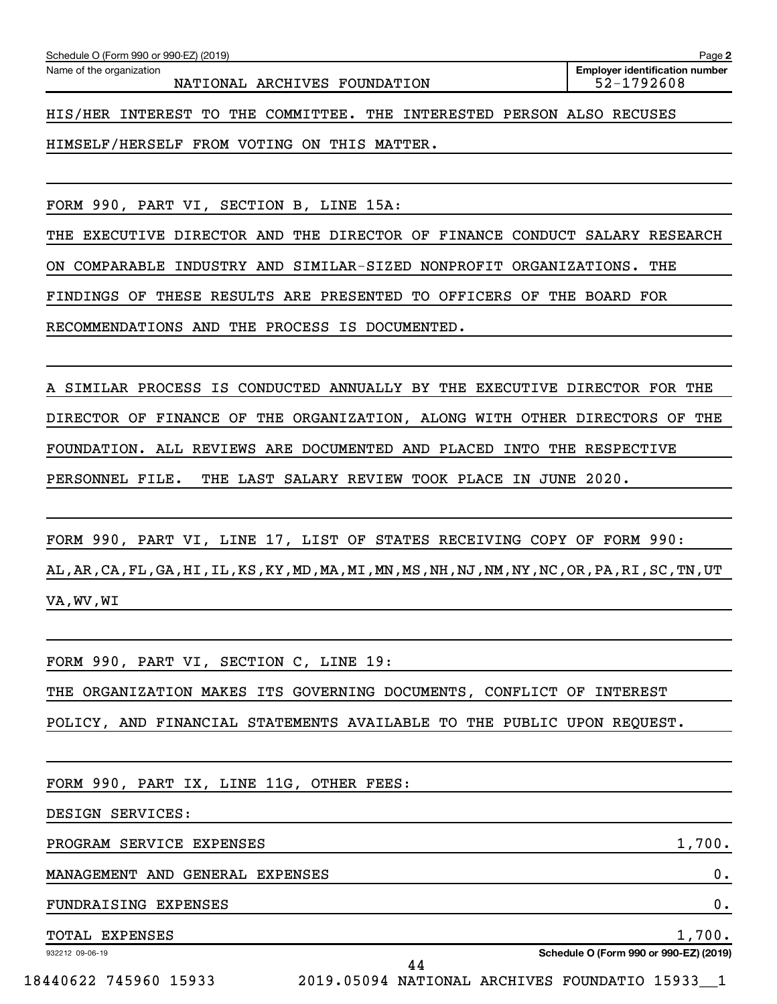**2**

HIS/HER INTEREST TO THE COMMITTEE. THE INTERESTED PERSON ALSO RECUSES

HIMSELF/HERSELF FROM VOTING ON THIS MATTER.

RECOMMENDATIONS AND THE PROCESS IS DOCUMENTED.

FORM 990, PART VI, SECTION B, LINE 15A:

THE EXECUTIVE DIRECTOR AND THE DIRECTOR OF FINANCE CONDUCT SALARY RESEARCH ON COMPARABLE INDUSTRY AND SIMILAR-SIZED NONPROFIT ORGANIZATIONS. THE FINDINGS OF THESE RESULTS ARE PRESENTED TO OFFICERS OF THE BOARD FOR

A SIMILAR PROCESS IS CONDUCTED ANNUALLY BY THE EXECUTIVE DIRECTOR FOR THE DIRECTOR OF FINANCE OF THE ORGANIZATION, ALONG WITH OTHER DIRECTORS OF THE FOUNDATION. ALL REVIEWS ARE DOCUMENTED AND PLACED INTO THE RESPECTIVE PERSONNEL FILE. THE LAST SALARY REVIEW TOOK PLACE IN JUNE 2020.

FORM 990, PART VI, LINE 17, LIST OF STATES RECEIVING COPY OF FORM 990: AL,AR,CA,FL,GA,HI,IL,KS,KY,MD,MA,MI,MN,MS,NH,NJ,NM,NY,NC,OR,PA,RI,SC,TN,UT VA,WV,WI

FORM 990, PART VI, SECTION C, LINE 19:

THE ORGANIZATION MAKES ITS GOVERNING DOCUMENTS, CONFLICT OF INTEREST

POLICY, AND FINANCIAL STATEMENTS AVAILABLE TO THE PUBLIC UPON REQUEST.

FORM 990, PART IX, LINE 11G, OTHER FEES:

DESIGN SERVICES:

PROGRAM SERVICE EXPENSES 1,700.

MANAGEMENT AND GENERAL EXPENSES 0.

FUNDRAISING EXPENSES 0.

TOTAL EXPENSES 1,700.

932212 09-06-19

**Schedule O (Form 990 or 990-EZ) (2019)**

18440622 745960 15933 2019.05094 NATIONAL ARCHIVES FOUNDATIO 15933\_\_1

44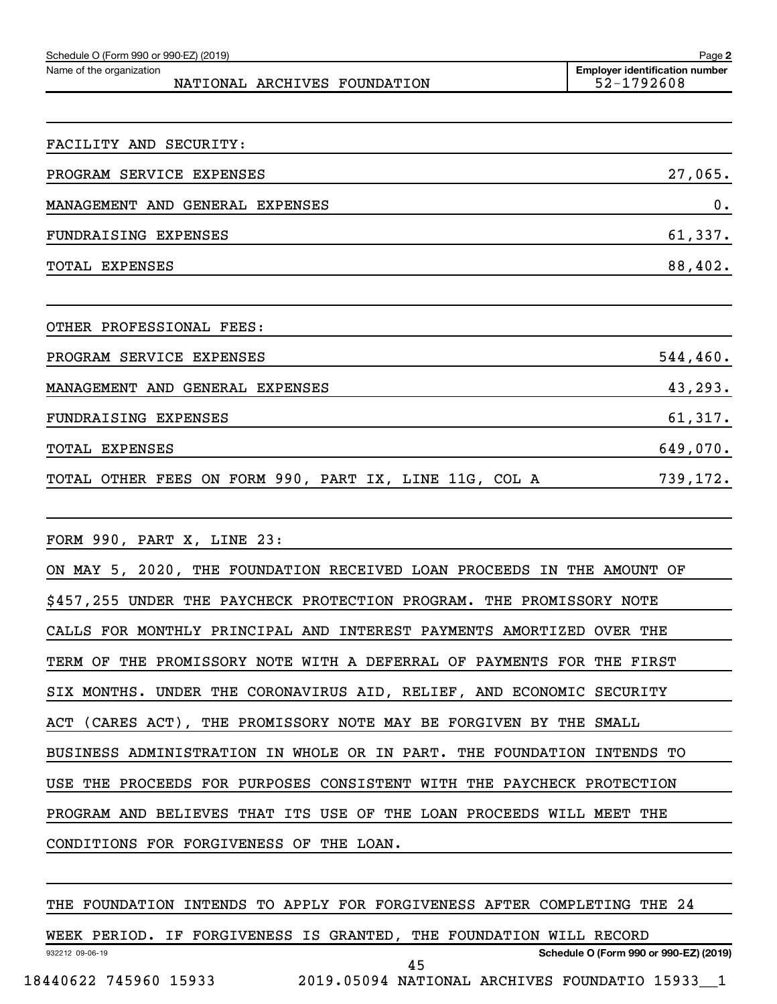| Schedule O (Form 990 or 990-EZ) (2019)                                 | Page 2                                              |
|------------------------------------------------------------------------|-----------------------------------------------------|
| Name of the organization<br>NATIONAL ARCHIVES FOUNDATION               | <b>Employer identification number</b><br>52-1792608 |
|                                                                        |                                                     |
| FACILITY AND SECURITY:                                                 |                                                     |
| PROGRAM SERVICE EXPENSES                                               | 27,065.                                             |
| MANAGEMENT AND GENERAL EXPENSES                                        | 0.                                                  |
| FUNDRAISING EXPENSES                                                   | 61,337.                                             |
| <b>TOTAL EXPENSES</b>                                                  | 88,402.                                             |
|                                                                        |                                                     |
| OTHER PROFESSIONAL FEES:                                               |                                                     |
| PROGRAM SERVICE EXPENSES                                               | 544, 460.                                           |
| MANAGEMENT AND GENERAL EXPENSES                                        | 43,293.                                             |
| FUNDRAISING EXPENSES                                                   | 61,317.                                             |
| TOTAL EXPENSES                                                         | 649,070.                                            |
| TOTAL OTHER FEES ON FORM 990, PART IX, LINE 11G, COL A                 | 739,172.                                            |
|                                                                        |                                                     |
| FORM 990, PART X, LINE 23:                                             |                                                     |
| ON MAY 5, 2020, THE FOUNDATION RECEIVED LOAN PROCEEDS IN THE AMOUNT OF |                                                     |
| \$457,255 UNDER THE PAYCHECK PROTECTION PROGRAM. THE PROMISSORY NOTE   |                                                     |
| CALLS FOR MONTHLY PRINCIPAL AND INTEREST PAYMENTS AMORTIZED OVER THE   |                                                     |

TERM OF THE PROMISSORY NOTE WITH A DEFERRAL OF PAYMENTS FOR THE FIRST

SIX MONTHS. UNDER THE CORONAVIRUS AID, RELIEF, AND ECONOMIC SECURITY

ACT (CARES ACT), THE PROMISSORY NOTE MAY BE FORGIVEN BY THE SMALL

BUSINESS ADMINISTRATION IN WHOLE OR IN PART. THE FOUNDATION INTENDS TO

USE THE PROCEEDS FOR PURPOSES CONSISTENT WITH THE PAYCHECK PROTECTION

PROGRAM AND BELIEVES THAT ITS USE OF THE LOAN PROCEEDS WILL MEET THE

CONDITIONS FOR FORGIVENESS OF THE LOAN.

THE FOUNDATION INTENDS TO APPLY FOR FORGIVENESS AFTER COMPLETING THE 24

932212 09-06-19 **Schedule O (Form 990 or 990-EZ) (2019)** WEEK PERIOD. IF FORGIVENESS IS GRANTED, THE FOUNDATION WILL RECORD 18440622 745960 15933 2019.05094 NATIONAL ARCHIVES FOUNDATIO 15933\_\_1 45